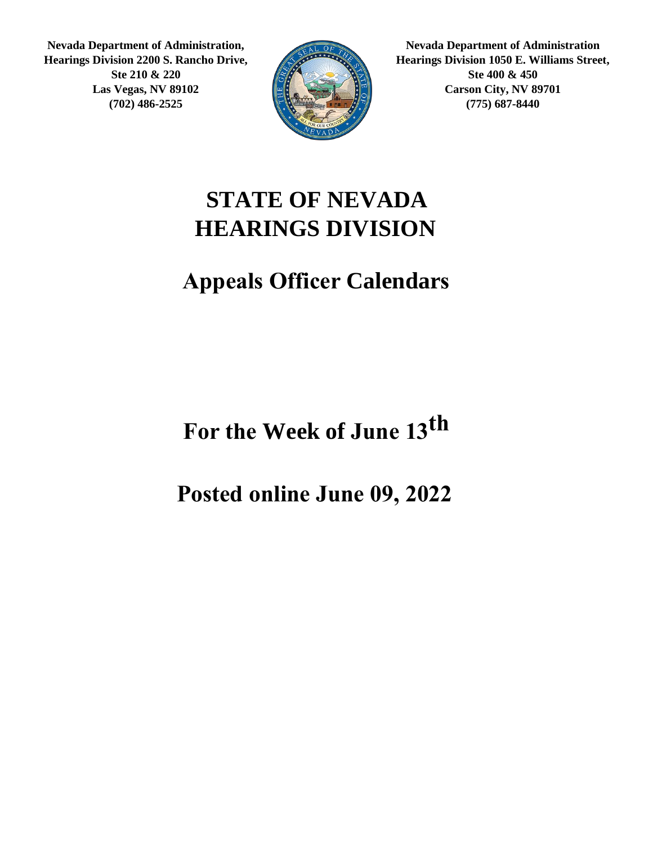**Nevada Department of Administration, Hearings Division 2200 S. Rancho Drive, Ste 210 & 220 Las Vegas, NV 89102 (702) 486-2525**



**Nevada Department of Administration Hearings Division 1050 E. Williams Street, Ste 400 & 450 Carson City, NV 89701 (775) 687-8440**

#### **STATE OF NEVADA HEARINGS DIVISION**

#### **Appeals Officer Calendars**

**th For the Week of June 13**

**Posted online June 09, 2022**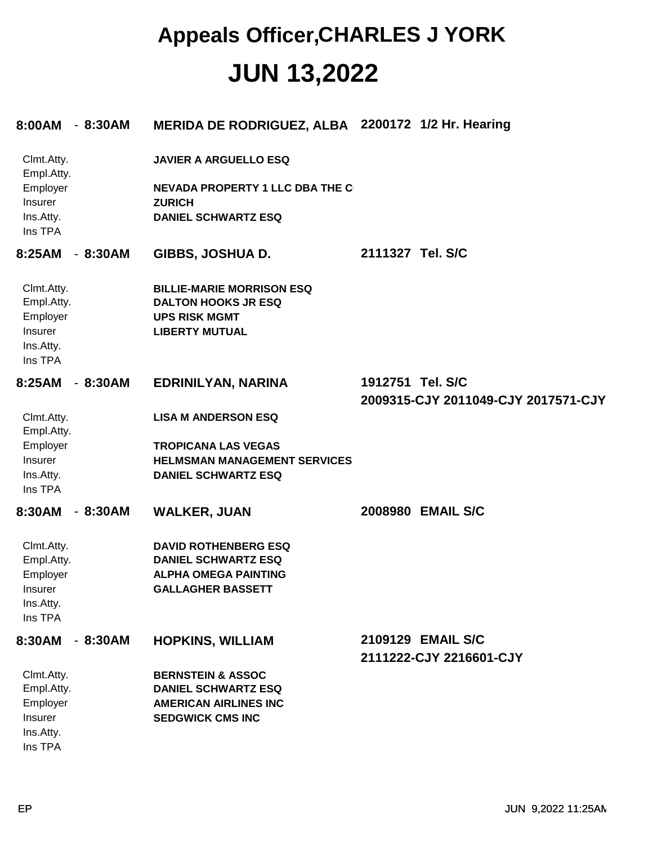| 8:00AM - 8:30AM                                                                |           | MERIDA DE RODRIGUEZ, ALBA 2200172 1/2 Hr. Hearing                                                                             |                                                         |
|--------------------------------------------------------------------------------|-----------|-------------------------------------------------------------------------------------------------------------------------------|---------------------------------------------------------|
| Clmt.Atty.<br>Empl.Atty.<br>Employer<br>Insurer<br>Ins.Atty.<br>Ins TPA        |           | <b>JAVIER A ARGUELLO ESQ</b><br><b>NEVADA PROPERTY 1 LLC DBA THE C</b><br><b>ZURICH</b><br><b>DANIEL SCHWARTZ ESQ</b>         |                                                         |
| 8:25AM                                                                         | $-8:30AM$ | GIBBS, JOSHUA D.                                                                                                              | 2111327 Tel. S/C                                        |
| Clmt.Atty.<br>Empl.Atty.<br>Employer<br>Insurer<br>Ins.Atty.<br>Ins TPA        |           | <b>BILLIE-MARIE MORRISON ESQ</b><br><b>DALTON HOOKS JR ESQ</b><br><b>UPS RISK MGMT</b><br><b>LIBERTY MUTUAL</b>               |                                                         |
| 8:25AM                                                                         | $-8:30AM$ | <b>EDRINILYAN, NARINA</b>                                                                                                     | 1912751 Tel. S/C<br>2009315-CJY 2011049-CJY 2017571-CJY |
| Clmt.Atty.<br>Empl.Atty.<br>Employer<br>Insurer<br>Ins.Atty.<br>Ins TPA        |           | <b>LISA M ANDERSON ESQ</b><br><b>TROPICANA LAS VEGAS</b><br><b>HELMSMAN MANAGEMENT SERVICES</b><br><b>DANIEL SCHWARTZ ESQ</b> |                                                         |
| 8:30AM                                                                         | $-8:30AM$ | <b>WALKER, JUAN</b>                                                                                                           | 2008980 EMAIL S/C                                       |
| Clmt.Atty.<br>Empl.Atty.<br>Employer<br><b>Insurer</b><br>Ins.Atty.<br>Ins TPA |           | <b>DAVID ROTHENBERG ESQ</b><br><b>DANIEL SCHWARTZ ESQ</b><br><b>ALPHA OMEGA PAINTING</b><br><b>GALLAGHER BASSETT</b>          |                                                         |
| 8:30AM                                                                         | $-8:30AM$ | <b>HOPKINS, WILLIAM</b>                                                                                                       | 2109129 EMAIL S/C<br>2111222-CJY 2216601-CJY            |
| Clmt.Atty.<br>Empl.Atty.<br>Employer<br>Insurer<br>Ins.Atty.<br>Ins TPA        |           | <b>BERNSTEIN &amp; ASSOC</b><br><b>DANIEL SCHWARTZ ESQ</b><br><b>AMERICAN AIRLINES INC</b><br><b>SEDGWICK CMS INC</b>         |                                                         |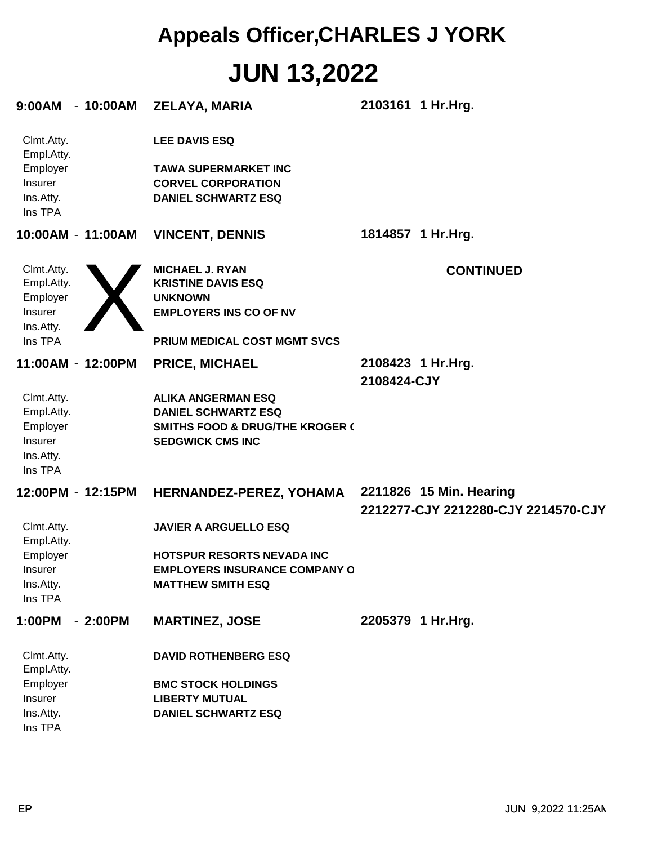| $-10:00AM$<br>9:00AM                                                    | <b>ZELAYA, MARIA</b>                                                                                                                          | 2103161 1 Hr. Hrg.                                             |
|-------------------------------------------------------------------------|-----------------------------------------------------------------------------------------------------------------------------------------------|----------------------------------------------------------------|
| Clmt.Atty.<br>Empl.Atty.<br>Employer<br>Insurer<br>Ins.Atty.<br>Ins TPA | <b>LEE DAVIS ESQ</b><br><b>TAWA SUPERMARKET INC</b><br><b>CORVEL CORPORATION</b><br><b>DANIEL SCHWARTZ ESQ</b>                                |                                                                |
| 10:00AM - 11:00AM                                                       | <b>VINCENT, DENNIS</b>                                                                                                                        | 1814857 1 Hr.Hrg.                                              |
| Clmt.Atty.<br>Empl.Atty.<br>Employer<br>Insurer<br>Ins.Atty.<br>Ins TPA | <b>MICHAEL J. RYAN</b><br><b>KRISTINE DAVIS ESQ</b><br><b>UNKNOWN</b><br><b>EMPLOYERS INS CO OF NV</b><br><b>PRIUM MEDICAL COST MGMT SVCS</b> | <b>CONTINUED</b>                                               |
| 11:00AM - 12:00PM                                                       | <b>PRICE, MICHAEL</b>                                                                                                                         | 2108423 1 Hr. Hrg.<br>2108424-CJY                              |
| Clmt.Atty.<br>Empl.Atty.<br>Employer<br>Insurer<br>Ins.Atty.<br>Ins TPA | <b>ALIKA ANGERMAN ESQ</b><br><b>DANIEL SCHWARTZ ESQ</b><br><b>SMITHS FOOD &amp; DRUG/THE KROGER (</b><br><b>SEDGWICK CMS INC</b>              |                                                                |
| 12:00PM - 12:15PM                                                       | HERNANDEZ-PEREZ, YOHAMA                                                                                                                       | 2211826 15 Min. Hearing<br>2212277-CJY 2212280-CJY 2214570-CJY |
| Clmt.Atty.<br>Empl.Atty.<br>Employer<br>Insurer<br>Ins.Atty.            | <b>JAVIER A ARGUELLO ESQ</b><br><b>HOTSPUR RESORTS NEVADA INC</b><br><b>EMPLOYERS INSURANCE COMPANY O</b><br><b>MATTHEW SMITH ESQ</b>         |                                                                |
| Ins TPA<br>1:00PM<br>$-2:00PM$                                          | <b>MARTINEZ, JOSE</b>                                                                                                                         | 2205379 1 Hr. Hrg.                                             |
| Clmt.Atty.<br>Empl.Atty.<br>Employer<br>Insurer<br>Ins.Atty.<br>Ins TPA | <b>DAVID ROTHENBERG ESQ</b><br><b>BMC STOCK HOLDINGS</b><br><b>LIBERTY MUTUAL</b><br><b>DANIEL SCHWARTZ ESQ</b>                               |                                                                |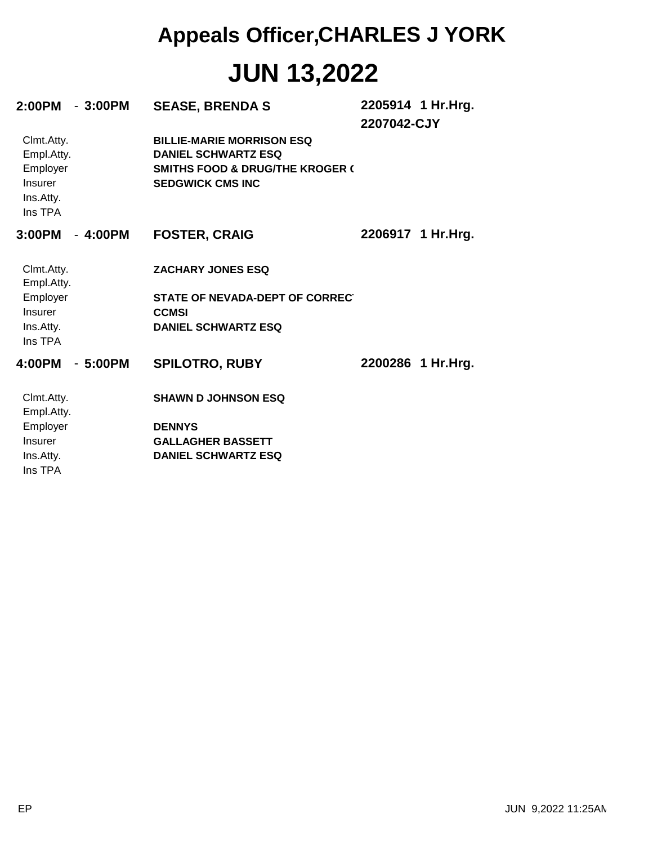| 2:00PM - 3:00PM                                                         |           | <b>SEASE, BRENDA S</b>                                                                                                                  | 2207042-CJY | 2205914 1 Hr.Hrg.  |
|-------------------------------------------------------------------------|-----------|-----------------------------------------------------------------------------------------------------------------------------------------|-------------|--------------------|
| Clmt.Atty.<br>Empl.Atty.<br>Employer<br>Insurer<br>Ins.Atty.<br>Ins TPA |           | <b>BILLIE-MARIE MORRISON ESQ</b><br><b>DANIEL SCHWARTZ ESQ</b><br><b>SMITHS FOOD &amp; DRUG/THE KROGER (</b><br><b>SEDGWICK CMS INC</b> |             |                    |
| 3:00PM                                                                  | - 4:00PM  | <b>FOSTER, CRAIG</b>                                                                                                                    |             | 2206917 1 Hr. Hrg. |
| Clmt.Atty.<br>Empl.Atty.<br>Employer<br>Insurer<br>Ins.Atty.            |           | <b>ZACHARY JONES ESQ</b><br>STATE OF NEVADA-DEPT OF CORRECT<br><b>CCMSI</b><br><b>DANIEL SCHWARTZ ESQ</b>                               |             |                    |
| Ins TPA<br>4:00PM                                                       | $-5:00PM$ | <b>SPILOTRO, RUBY</b>                                                                                                                   |             | 2200286 1 Hr.Hrg.  |
|                                                                         |           |                                                                                                                                         |             |                    |
| Clmt.Atty.<br>Empl.Atty.                                                |           | <b>SHAWN D JOHNSON ESQ</b>                                                                                                              |             |                    |
| Employer                                                                |           | <b>DENNYS</b>                                                                                                                           |             |                    |
| Insurer                                                                 |           | <b>GALLAGHER BASSETT</b>                                                                                                                |             |                    |
| Ins.Atty.<br>Ins TPA                                                    |           | <b>DANIEL SCHWARTZ ESQ</b>                                                                                                              |             |                    |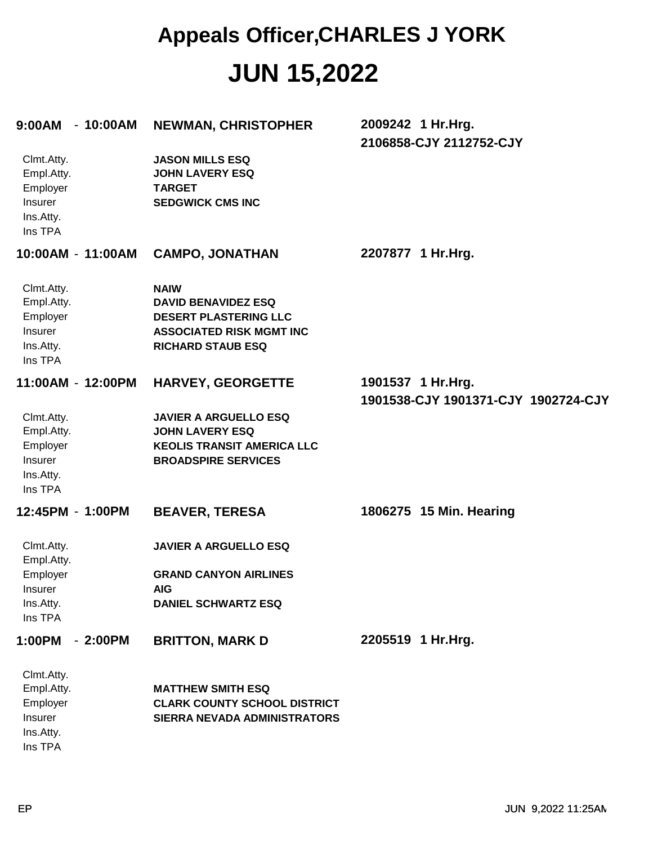| 9:00AM                                                                  | $-10:00AM$ | <b>NEWMAN, CHRISTOPHER</b>                                                                                                               | 2009242 1 Hr.Hrg.<br>2106858-CJY 2112752-CJY             |
|-------------------------------------------------------------------------|------------|------------------------------------------------------------------------------------------------------------------------------------------|----------------------------------------------------------|
| Clmt.Atty.<br>Empl.Atty.<br>Employer<br>Insurer<br>Ins.Atty.<br>Ins TPA |            | <b>JASON MILLS ESQ</b><br><b>JOHN LAVERY ESQ</b><br><b>TARGET</b><br><b>SEDGWICK CMS INC</b>                                             |                                                          |
| 10:00AM - 11:00AM                                                       |            | <b>CAMPO, JONATHAN</b>                                                                                                                   | 2207877 1 Hr.Hrg.                                        |
| Clmt.Atty.<br>Empl.Atty.<br>Employer<br>Insurer<br>Ins.Atty.<br>Ins TPA |            | <b>NAIW</b><br><b>DAVID BENAVIDEZ ESQ</b><br><b>DESERT PLASTERING LLC</b><br><b>ASSOCIATED RISK MGMT INC</b><br><b>RICHARD STAUB ESQ</b> |                                                          |
| 11:00AM - 12:00PM                                                       |            | <b>HARVEY, GEORGETTE</b>                                                                                                                 | 1901537 1 Hr.Hrg.<br>1901538-CJY 1901371-CJY 1902724-CJY |
| Clmt.Atty.<br>Empl.Atty.<br>Employer<br>Insurer<br>Ins.Atty.<br>Ins TPA |            | <b>JAVIER A ARGUELLO ESQ</b><br><b>JOHN LAVERY ESQ</b><br><b>KEOLIS TRANSIT AMERICA LLC</b><br><b>BROADSPIRE SERVICES</b>                |                                                          |
| 12:45PM - 1:00PM                                                        |            | <b>BEAVER, TERESA</b>                                                                                                                    | 1806275 15 Min. Hearing                                  |
| Clmt.Atty.<br>Empl.Atty.<br>Employer<br>Insurer<br>Ins.Atty.<br>Ins TPA |            | <b>JAVIER A ARGUELLO ESQ</b><br><b>GRAND CANYON AIRLINES</b><br><b>AIG</b><br><b>DANIEL SCHWARTZ ESQ</b>                                 |                                                          |
| 1:00PM                                                                  | $-2:00PM$  | <b>BRITTON, MARK D</b>                                                                                                                   | 2205519 1 Hr.Hrg.                                        |
| Clmt.Atty.<br>Empl.Atty.<br>Employer<br>Insurer<br>Ins.Atty.<br>Ins TPA |            | <b>MATTHEW SMITH ESQ</b><br><b>CLARK COUNTY SCHOOL DISTRICT</b><br>SIERRA NEVADA ADMINISTRATORS                                          |                                                          |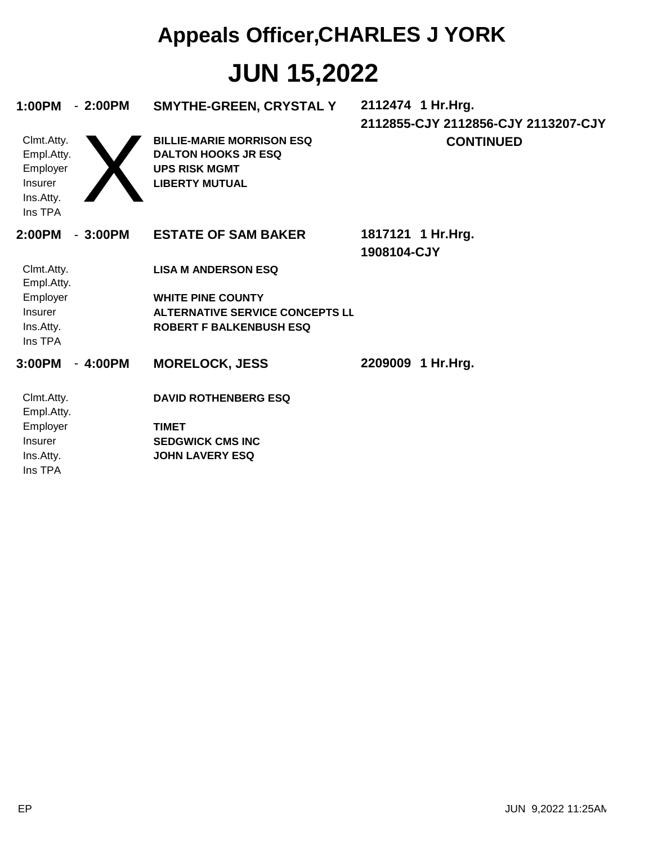| 1:00PM<br>Clmt.Atty.<br>Empl.Atty.<br>Employer<br>Insurer<br>Ins.Atty. | $-2:00PM$ | SMYTHE-GREEN, CRYSTAL Y<br><b>BILLIE-MARIE MORRISON ESQ</b><br><b>DALTON HOOKS JR ESQ</b><br><b>UPS RISK MGMT</b><br><b>LIBERTY MUTUAL</b> | 2112474 1 Hr.Hrg.<br>2112855-CJY 2112856-CJY 2113207-CJY<br><b>CONTINUED</b> |
|------------------------------------------------------------------------|-----------|--------------------------------------------------------------------------------------------------------------------------------------------|------------------------------------------------------------------------------|
| Ins TPA                                                                |           |                                                                                                                                            |                                                                              |
| 2:00PM                                                                 | $-3:00PM$ | <b>ESTATE OF SAM BAKER</b>                                                                                                                 | 1817121 1 Hr.Hrg.<br>1908104-CJY                                             |
| Clmt.Atty.<br>Empl.Atty.                                               |           | <b>LISA M ANDERSON ESQ</b>                                                                                                                 |                                                                              |
| Employer                                                               |           | <b>WHITE PINE COUNTY</b>                                                                                                                   |                                                                              |
| Insurer<br>Ins.Atty.<br>Ins TPA                                        |           | <b>ALTERNATIVE SERVICE CONCEPTS LL</b><br><b>ROBERT F BALKENBUSH ESQ</b>                                                                   |                                                                              |
| 3:00PM                                                                 | $-4:00PM$ | <b>MORELOCK, JESS</b>                                                                                                                      | 2209009 1 Hr.Hrg.                                                            |
| Clmt.Atty.<br>Empl.Atty.                                               |           | <b>DAVID ROTHENBERG ESQ</b>                                                                                                                |                                                                              |
| Employer                                                               |           | <b>TIMET</b>                                                                                                                               |                                                                              |
| <b>Insurer</b><br>Ins.Atty.                                            |           | <b>SEDGWICK CMS INC</b><br><b>JOHN LAVERY ESQ</b>                                                                                          |                                                                              |
| Ins TPA                                                                |           |                                                                                                                                            |                                                                              |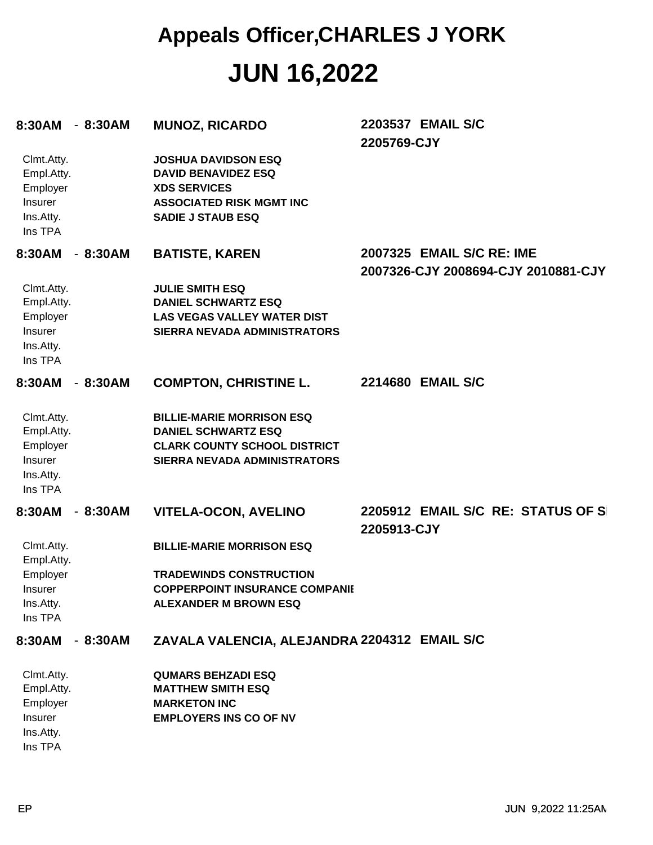| 8:30AM                                                                  | $-8:30AM$ | <b>MUNOZ, RICARDO</b>                                                                                                                          | 2203537 EMAIL S/C<br>2205769-CJY                                 |
|-------------------------------------------------------------------------|-----------|------------------------------------------------------------------------------------------------------------------------------------------------|------------------------------------------------------------------|
| Clmt.Atty.<br>Empl.Atty.<br>Employer<br>Insurer<br>Ins.Atty.<br>Ins TPA |           | <b>JOSHUA DAVIDSON ESQ</b><br><b>DAVID BENAVIDEZ ESQ</b><br><b>XDS SERVICES</b><br><b>ASSOCIATED RISK MGMT INC</b><br><b>SADIE J STAUB ESQ</b> |                                                                  |
| 8:30AM                                                                  | $-8:30AM$ | <b>BATISTE, KAREN</b>                                                                                                                          | 2007325 EMAIL S/C RE: IME<br>2007326-CJY 2008694-CJY 2010881-CJY |
| Clmt.Atty.<br>Empl.Atty.<br>Employer<br>Insurer<br>Ins.Atty.<br>Ins TPA |           | <b>JULIE SMITH ESQ</b><br><b>DANIEL SCHWARTZ ESQ</b><br><b>LAS VEGAS VALLEY WATER DIST</b><br>SIERRA NEVADA ADMINISTRATORS                     |                                                                  |
| 8:30AM                                                                  | $-8:30AM$ | <b>COMPTON, CHRISTINE L.</b>                                                                                                                   | 2214680 EMAIL S/C                                                |
| Clmt.Atty.<br>Empl.Atty.<br>Employer<br>Insurer<br>Ins.Atty.<br>Ins TPA |           | <b>BILLIE-MARIE MORRISON ESQ</b><br><b>DANIEL SCHWARTZ ESQ</b><br><b>CLARK COUNTY SCHOOL DISTRICT</b><br><b>SIERRA NEVADA ADMINISTRATORS</b>   |                                                                  |
| 8:30AM                                                                  | $-8:30AM$ | <b>VITELA-OCON, AVELINO</b>                                                                                                                    | 2205912 EMAIL S/C RE: STATUS OF SI<br>2205913-CJY                |
| Clmt.Atty.<br>Empl.Atty.<br>Employer<br>Insurer<br>Ins.Atty.<br>Ins TPA |           | <b>BILLIE-MARIE MORRISON ESQ</b><br><b>TRADEWINDS CONSTRUCTION</b><br><b>COPPERPOINT INSURANCE COMPANIE</b><br><b>ALEXANDER M BROWN ESQ</b>    |                                                                  |
| 8:30AM                                                                  | $-8:30AM$ | ZAVALA VALENCIA, ALEJANDRA 2204312 EMAIL S/C                                                                                                   |                                                                  |
| Clmt.Atty.<br>Empl.Atty.<br>Employer<br>Insurer<br>Ins.Atty.<br>Ins TPA |           | <b>QUMARS BEHZADI ESQ</b><br><b>MATTHEW SMITH ESQ</b><br><b>MARKETON INC</b><br><b>EMPLOYERS INS CO OF NV</b>                                  |                                                                  |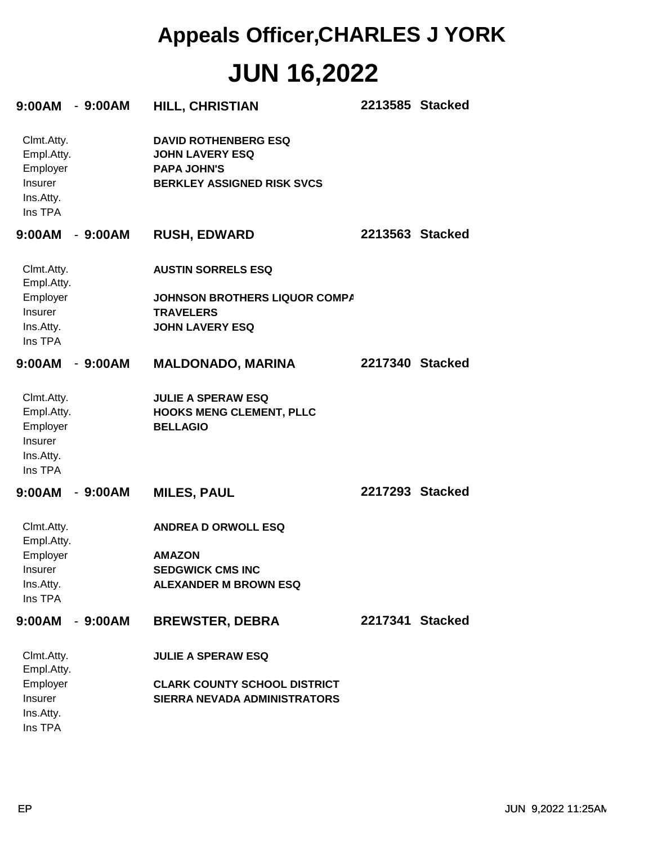| $9:00AM - 9:00AM$                                                       |           | <b>HILL, CHRISTIAN</b>                                                                                           | 2213585 Stacked |  |
|-------------------------------------------------------------------------|-----------|------------------------------------------------------------------------------------------------------------------|-----------------|--|
| Clmt.Atty.<br>Empl.Atty.<br>Employer<br>Insurer<br>Ins.Atty.<br>Ins TPA |           | <b>DAVID ROTHENBERG ESQ</b><br><b>JOHN LAVERY ESQ</b><br><b>PAPA JOHN'S</b><br><b>BERKLEY ASSIGNED RISK SVCS</b> |                 |  |
| 9:00AM - 9:00AM                                                         |           | <b>RUSH, EDWARD</b>                                                                                              | 2213563 Stacked |  |
| Clmt.Atty.<br>Empl.Atty.                                                |           | <b>AUSTIN SORRELS ESQ</b>                                                                                        |                 |  |
| Employer<br>Insurer<br>Ins.Atty.<br>Ins TPA                             |           | JOHNSON BROTHERS LIQUOR COMPA<br><b>TRAVELERS</b><br><b>JOHN LAVERY ESQ</b>                                      |                 |  |
| $9:00AM - 9:00AM$                                                       |           | <b>MALDONADO, MARINA</b>                                                                                         | 2217340 Stacked |  |
| Clmt.Atty.<br>Empl.Atty.<br>Employer<br>Insurer<br>Ins.Atty.<br>Ins TPA |           | <b>JULIE A SPERAW ESQ</b><br><b>HOOKS MENG CLEMENT, PLLC</b><br><b>BELLAGIO</b>                                  |                 |  |
| $9:00AM - 9:00AM$                                                       |           | <b>MILES, PAUL</b>                                                                                               | 2217293 Stacked |  |
| Clmt.Atty.<br>Empl.Atty.<br>Employer<br>Insurer<br>Ins.Atty.<br>Ins TPA |           | <b>ANDREA D ORWOLL ESQ</b><br><b>AMAZON</b><br><b>SEDGWICK CMS INC</b><br><b>ALEXANDER M BROWN ESQ</b>           |                 |  |
| 9:00AM                                                                  | $-9:00AM$ | <b>BREWSTER, DEBRA</b>                                                                                           | 2217341 Stacked |  |
| Clmt.Atty.<br>Empl.Atty.                                                |           | <b>JULIE A SPERAW ESQ</b>                                                                                        |                 |  |
| Employer<br>Insurer<br>Ins.Atty.<br>Ins TPA                             |           | <b>CLARK COUNTY SCHOOL DISTRICT</b><br><b>SIERRA NEVADA ADMINISTRATORS</b>                                       |                 |  |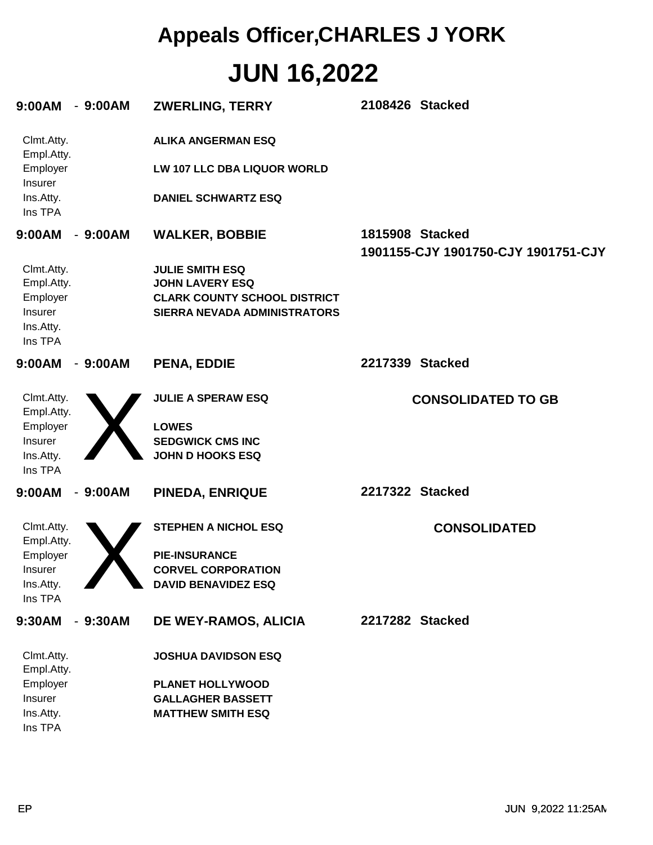| 9:00AM - 9:00AM                                                         |           | <b>ZWERLING, TERRY</b>                                                                                                  | 2108426 Stacked                                        |
|-------------------------------------------------------------------------|-----------|-------------------------------------------------------------------------------------------------------------------------|--------------------------------------------------------|
| Clmt.Atty.<br>Empl.Atty.<br>Employer<br>Insurer<br>Ins.Atty.<br>Ins TPA |           | <b>ALIKA ANGERMAN ESQ</b><br>LW 107 LLC DBA LIQUOR WORLD<br><b>DANIEL SCHWARTZ ESQ</b>                                  |                                                        |
| 9:00AM                                                                  | $-9:00AM$ | <b>WALKER, BOBBIE</b>                                                                                                   | 1815908 Stacked<br>1901155-CJY 1901750-CJY 1901751-CJY |
| Clmt.Atty.<br>Empl.Atty.<br>Employer<br>Insurer<br>Ins.Atty.<br>Ins TPA |           | <b>JULIE SMITH ESQ</b><br><b>JOHN LAVERY ESQ</b><br><b>CLARK COUNTY SCHOOL DISTRICT</b><br>SIERRA NEVADA ADMINISTRATORS |                                                        |
| 9:00AM                                                                  | $-9:00AM$ | <b>PENA, EDDIE</b>                                                                                                      | 2217339 Stacked                                        |
| Clmt.Atty.<br>Empl.Atty.<br>Employer<br>Insurer<br>Ins.Atty.<br>Ins TPA |           | <b>JULIE A SPERAW ESQ</b><br><b>LOWES</b><br><b>SEDGWICK CMS INC</b><br><b>JOHN D HOOKS ESQ</b>                         | <b>CONSOLIDATED TO GB</b>                              |
| 9:00AM                                                                  | $-9:00AM$ | <b>PINEDA, ENRIQUE</b>                                                                                                  | 2217322 Stacked                                        |
| Clmt.Atty.<br>Empl.Atty.<br>Employer<br>Insurer<br>Ins.Atty.<br>Ins TPA |           | <b>STEPHEN A NICHOL ESQ</b><br><b>PIE-INSURANCE</b><br><b>CORVEL CORPORATION</b><br><b>DAVID BENAVIDEZ ESQ</b>          | <b>CONSOLIDATED</b>                                    |
| 9:30AM                                                                  | $-9:30AM$ | DE WEY-RAMOS, ALICIA                                                                                                    | 2217282 Stacked                                        |
| Clmt.Atty.<br>Empl.Atty.<br>Employer<br>Insurer<br>Ins.Atty.<br>Ins TPA |           | <b>JOSHUA DAVIDSON ESQ</b><br><b>PLANET HOLLYWOOD</b><br><b>GALLAGHER BASSETT</b><br><b>MATTHEW SMITH ESQ</b>           |                                                        |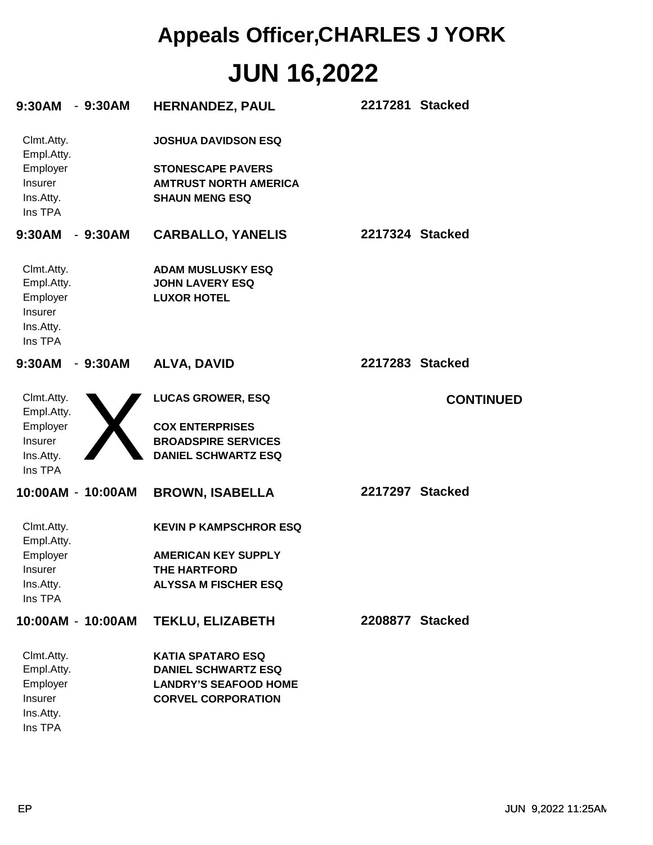| 9:30AM - 9:30AM                                                         |           | <b>HERNANDEZ, PAUL</b>                                                            |                 | 2217281 Stacked  |
|-------------------------------------------------------------------------|-----------|-----------------------------------------------------------------------------------|-----------------|------------------|
| Clmt.Atty.<br>Empl.Atty.                                                |           | <b>JOSHUA DAVIDSON ESQ</b>                                                        |                 |                  |
| Employer<br>Insurer<br>Ins.Atty.<br>Ins TPA                             |           | <b>STONESCAPE PAVERS</b><br><b>AMTRUST NORTH AMERICA</b><br><b>SHAUN MENG ESQ</b> |                 |                  |
| 9:30AM                                                                  | $-9:30AM$ | <b>CARBALLO, YANELIS</b>                                                          | 2217324 Stacked |                  |
| Clmt.Atty.<br>Empl.Atty.<br>Employer<br>Insurer<br>Ins.Atty.<br>Ins TPA |           | <b>ADAM MUSLUSKY ESQ</b><br><b>JOHN LAVERY ESQ</b><br><b>LUXOR HOTEL</b>          |                 |                  |
| 9:30AM                                                                  | $-9:30AM$ | <b>ALVA, DAVID</b>                                                                | 2217283 Stacked |                  |
| Clmt.Atty.<br>Empl.Atty.<br>Employer                                    |           | <b>LUCAS GROWER, ESQ</b><br><b>COX ENTERPRISES</b>                                |                 | <b>CONTINUED</b> |
| Insurer<br>Ins.Atty.<br>Ins TPA                                         |           | <b>BROADSPIRE SERVICES</b><br><b>DANIEL SCHWARTZ ESQ</b>                          |                 |                  |
| 10:00AM - 10:00AM                                                       |           | <b>BROWN, ISABELLA</b>                                                            | 2217297 Stacked |                  |
| Clmt.Atty.<br>Empl.Atty.                                                |           | <b>KEVIN P KAMPSCHROR ESQ</b>                                                     |                 |                  |
| Employer                                                                |           | <b>AMERICAN KEY SUPPLY</b>                                                        |                 |                  |
| <b>Insurer</b>                                                          |           | THE HARTFORD                                                                      |                 |                  |
| Ins.Atty.<br>Ins TPA                                                    |           | <b>ALYSSA M FISCHER ESQ</b>                                                       |                 |                  |
| 10:00AM - 10:00AM                                                       |           | <b>TEKLU, ELIZABETH</b>                                                           | 2208877 Stacked |                  |
| Clmt.Atty.                                                              |           | <b>KATIA SPATARO ESQ</b>                                                          |                 |                  |
| Empl.Atty.                                                              |           | <b>DANIEL SCHWARTZ ESQ</b>                                                        |                 |                  |
| Employer                                                                |           | <b>LANDRY'S SEAFOOD HOME</b>                                                      |                 |                  |
| Insurer<br>Ins.Atty.                                                    |           | <b>CORVEL CORPORATION</b>                                                         |                 |                  |

Ins TPA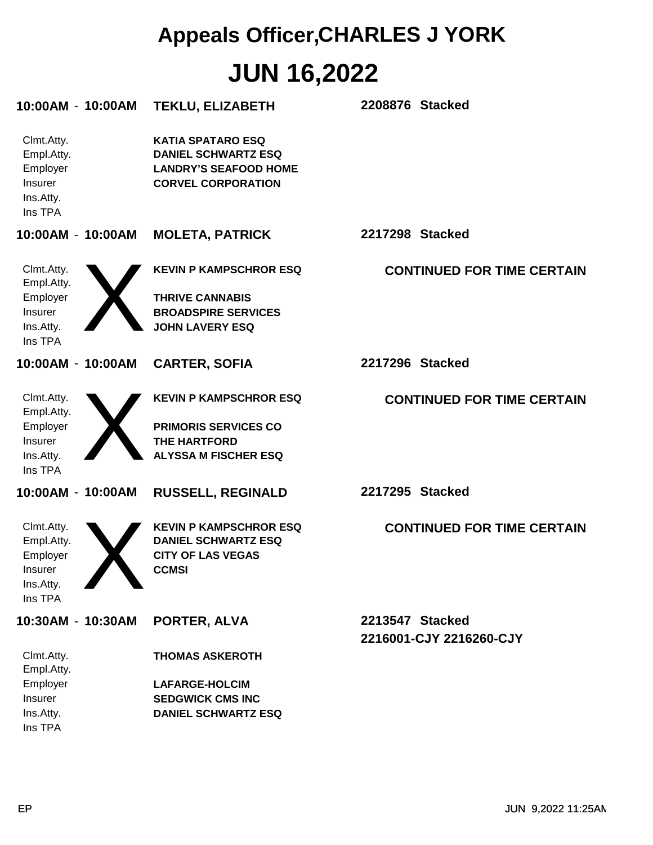| 10:00AM - 10:00AM                                                       | <b>TEKLU, ELIZABETH</b>                                                                                             | 2208876 Stacked                            |
|-------------------------------------------------------------------------|---------------------------------------------------------------------------------------------------------------------|--------------------------------------------|
| Clmt.Atty.<br>Empl.Atty.<br>Employer<br>Insurer<br>Ins.Atty.<br>Ins TPA | <b>KATIA SPATARO ESQ</b><br><b>DANIEL SCHWARTZ ESQ</b><br><b>LANDRY'S SEAFOOD HOME</b><br><b>CORVEL CORPORATION</b> |                                            |
| 10:00AM - 10:00AM                                                       | <b>MOLETA, PATRICK</b>                                                                                              | 2217298 Stacked                            |
| Clmt.Atty.<br>Empl.Atty.                                                | <b>KEVIN P KAMPSCHROR ESQ</b>                                                                                       | <b>CONTINUED FOR TIME CERTAIN</b>          |
| Employer<br>Insurer<br>Ins.Atty.<br>Ins TPA                             | <b>THRIVE CANNABIS</b><br><b>BROADSPIRE SERVICES</b><br><b>JOHN LAVERY ESQ</b>                                      |                                            |
| 10:00AM - 10:00AM                                                       | <b>CARTER, SOFIA</b>                                                                                                | 2217296 Stacked                            |
| Clmt.Atty.<br>Empl.Atty.<br>Employer<br>Insurer<br>Ins.Atty.<br>Ins TPA | <b>KEVIN P KAMPSCHROR ESQ</b><br><b>PRIMORIS SERVICES CO</b><br><b>THE HARTFORD</b><br><b>ALYSSA M FISCHER ESQ</b>  | <b>CONTINUED FOR TIME CERTAIN</b>          |
| 10:00AM - 10:00AM                                                       | <b>RUSSELL, REGINALD</b>                                                                                            | 2217295 Stacked                            |
| Clmt.Atty.<br>Empl.Atty.<br>Employer<br>Insurer<br>Ins.Atty.<br>Ins TPA | <b>KEVIN P KAMPSCHROR ESQ</b><br><b>DANIEL SCHWARTZ ESQ</b><br><b>CITY OF LAS VEGAS</b><br><b>CCMSI</b>             | <b>CONTINUED FOR TIME CERTAIN</b>          |
| 10:30AM - 10:30AM                                                       | PORTER, ALVA                                                                                                        | 2213547 Stacked<br>2216001-CJY 2216260-CJY |
| Clmt.Atty.<br>Empl.Atty.                                                | <b>THOMAS ASKEROTH</b>                                                                                              |                                            |
| Employer<br>Insurer                                                     | <b>LAFARGE-HOLCIM</b><br><b>SEDGWICK CMS INC</b>                                                                    |                                            |
| Ins.Atty.<br>Ins TPA                                                    | <b>DANIEL SCHWARTZ ESQ</b>                                                                                          |                                            |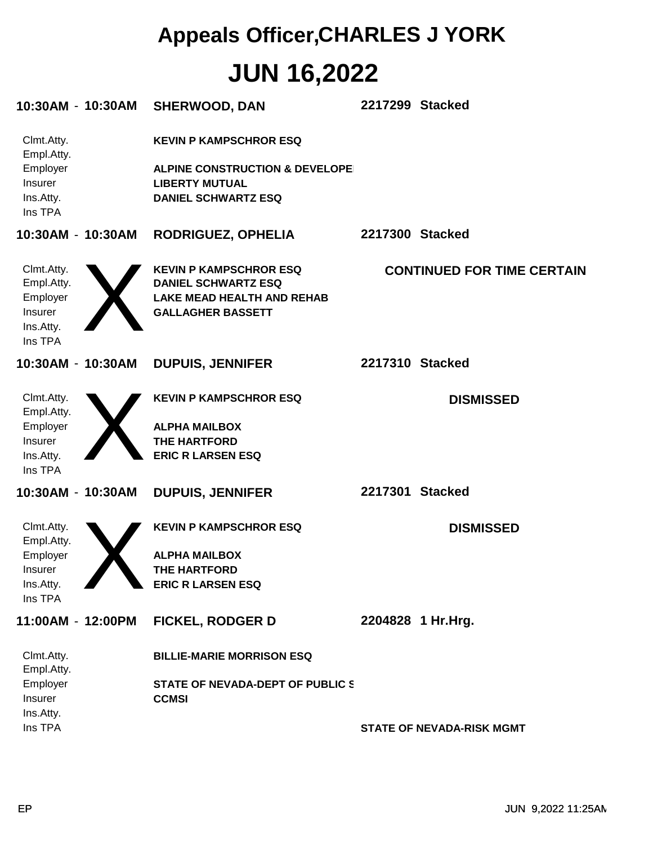| 10:30AM - 10:30AM                                                       | <b>SHERWOOD, DAN</b>                                                                                                              | 2217299 Stacked                   |
|-------------------------------------------------------------------------|-----------------------------------------------------------------------------------------------------------------------------------|-----------------------------------|
| Clmt.Atty.<br>Empl.Atty.<br>Employer<br>Insurer<br>Ins.Atty.<br>Ins TPA | <b>KEVIN P KAMPSCHROR ESQ</b><br><b>ALPINE CONSTRUCTION &amp; DEVELOPE</b><br><b>LIBERTY MUTUAL</b><br><b>DANIEL SCHWARTZ ESQ</b> |                                   |
| 10:30AM - 10:30AM                                                       | RODRIGUEZ, OPHELIA                                                                                                                | 2217300 Stacked                   |
| Clmt.Atty.<br>Empl.Atty.<br>Employer<br>Insurer<br>Ins.Atty.<br>Ins TPA | <b>KEVIN P KAMPSCHROR ESQ</b><br><b>DANIEL SCHWARTZ ESQ</b><br><b>LAKE MEAD HEALTH AND REHAB</b><br><b>GALLAGHER BASSETT</b>      | <b>CONTINUED FOR TIME CERTAIN</b> |
| 10:30AM - 10:30AM                                                       | <b>DUPUIS, JENNIFER</b>                                                                                                           | 2217310 Stacked                   |
| Clmt.Atty.<br>Empl.Atty.<br>Employer<br>Insurer<br>Ins.Atty.<br>Ins TPA | <b>KEVIN P KAMPSCHROR ESQ</b><br><b>ALPHA MAILBOX</b><br>THE HARTFORD<br><b>ERIC R LARSEN ESQ</b>                                 | <b>DISMISSED</b>                  |
| 10:30AM - 10:30AM                                                       | <b>DUPUIS, JENNIFER</b>                                                                                                           | 2217301 Stacked                   |
| Clmt.Atty.<br>Empl.Atty.<br>Employer<br>Insurer<br>Ins.Atty.<br>Ins TPA | <b>KEVIN P KAMPSCHROR ESQ</b><br><b>ALPHA MAILBOX</b><br>THE HARTFORD<br><b>ERIC R LARSEN ESQ</b>                                 | <b>DISMISSED</b>                  |
| 11:00AM - 12:00PM                                                       | <b>FICKEL, RODGER D</b>                                                                                                           | 2204828 1 Hr.Hrg.                 |
| Clmt.Atty.<br>Empl.Atty.                                                | <b>BILLIE-MARIE MORRISON ESQ</b>                                                                                                  |                                   |
| Employer<br>Insurer<br>Ins.Atty.<br>Ins TPA                             | STATE OF NEVADA-DEPT OF PUBLIC S<br><b>CCMSI</b>                                                                                  | <b>STATE OF NEVADA-RISK MGMT</b>  |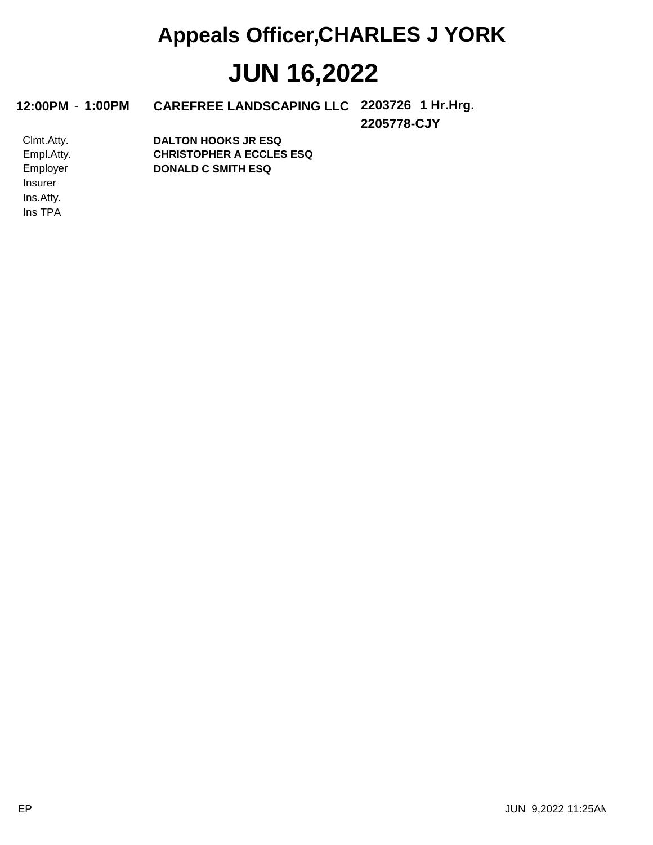#### 12:00PM - 1:00PM CAREFREE LANDSCAPING LLC 2203726 1 Hr.Hrg.

**2205778-CJY**

Ins TPA Ins.Atty. Insurer Employer Empl.Atty. Clmt.Atty. **DONALD C SMITH ESQ CHRISTOPHER A ECCLES ESQ DALTON HOOKS JR ESQ**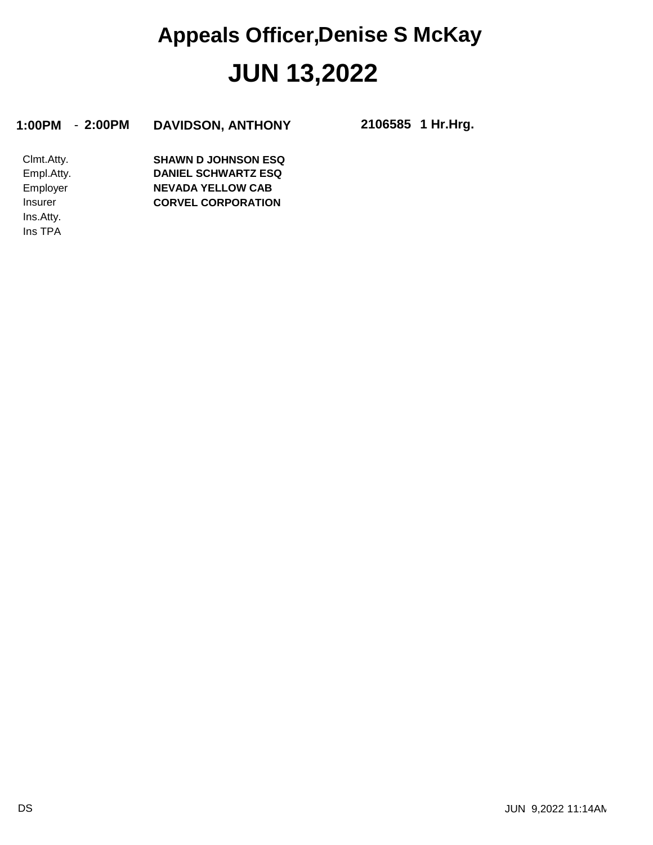#### **1:00PM** - **2:00PM DAVIDSON, ANTHONY 2106585**

**1 Hr.Hrg.**

Ins TPA Ins.Atty. Insurer Employer Empl.Atty. Clmt.Atty. **CORVEL CORPORATION NEVADA YELLOW CAB DANIEL SCHWARTZ ESQ SHAWN D JOHNSON ESQ**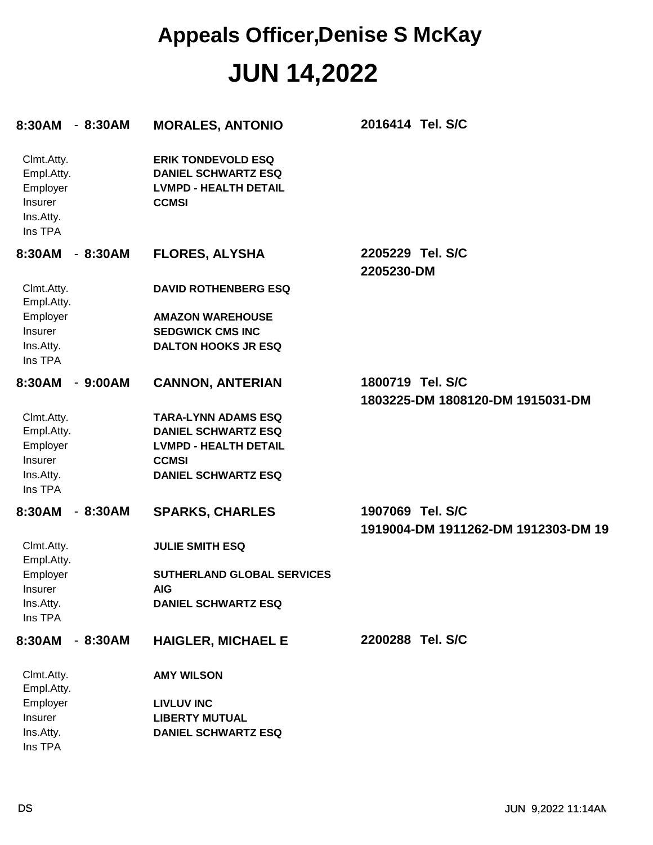| 8:30AM                                                                  | $-8:30AM$                | <b>MORALES, ANTONIO</b>                                                                                 | 2016414 Tel. S/C                                        |
|-------------------------------------------------------------------------|--------------------------|---------------------------------------------------------------------------------------------------------|---------------------------------------------------------|
| Clmt.Atty.<br>Empl.Atty.<br>Employer<br>Insurer<br>Ins.Atty.<br>Ins TPA |                          | <b>ERIK TONDEVOLD ESQ</b><br><b>DANIEL SCHWARTZ ESQ</b><br><b>LVMPD - HEALTH DETAIL</b><br><b>CCMSI</b> |                                                         |
| 8:30AM                                                                  | - 8:30AM                 | <b>FLORES, ALYSHA</b>                                                                                   | 2205229 Tel. S/C<br>2205230-DM                          |
| Clmt.Atty.<br>Empl.Atty.                                                |                          | <b>DAVID ROTHENBERG ESQ</b>                                                                             |                                                         |
| Employer                                                                |                          | <b>AMAZON WAREHOUSE</b>                                                                                 |                                                         |
| Insurer                                                                 |                          | <b>SEDGWICK CMS INC</b>                                                                                 |                                                         |
| Ins.Atty.<br>Ins TPA                                                    |                          | <b>DALTON HOOKS JR ESQ</b>                                                                              |                                                         |
| 8:30AM                                                                  | $-9:00AM$                | <b>CANNON, ANTERIAN</b>                                                                                 | 1800719 Tel. S/C                                        |
|                                                                         |                          |                                                                                                         | 1803225-DM 1808120-DM 1915031-DM                        |
| Clmt.Atty.<br>Empl.Atty.                                                |                          | <b>TARA-LYNN ADAMS ESQ</b><br><b>DANIEL SCHWARTZ ESQ</b>                                                |                                                         |
| Employer                                                                |                          | <b>LVMPD - HEALTH DETAIL</b>                                                                            |                                                         |
| Insurer                                                                 |                          | <b>CCMSI</b>                                                                                            |                                                         |
| Ins.Atty.<br>Ins TPA                                                    |                          | <b>DANIEL SCHWARTZ ESQ</b>                                                                              |                                                         |
| 8:30AM                                                                  | $-8:30AM$                | <b>SPARKS, CHARLES</b>                                                                                  | 1907069 Tel. S/C<br>1919004-DM 1911262-DM 1912303-DM 19 |
| Clmt.Atty.<br>Empl.Atty.                                                |                          | <b>JULIE SMITH ESQ</b>                                                                                  |                                                         |
| Employer                                                                |                          | SUTHERLAND GLOBAL SERVICES                                                                              |                                                         |
| Insurer                                                                 |                          | <b>AIG</b>                                                                                              |                                                         |
| Ins.Atty.<br>Ins TPA                                                    |                          | <b>DANIEL SCHWARTZ ESQ</b>                                                                              |                                                         |
| 8:30AM                                                                  | 8:30AM<br>$\blacksquare$ | <b>HAIGLER, MICHAEL E</b>                                                                               | 2200288 Tel. S/C                                        |
| Clmt.Atty.<br>Empl.Atty.                                                |                          | <b>AMY WILSON</b>                                                                                       |                                                         |
| Employer                                                                |                          | <b>LIVLUV INC</b>                                                                                       |                                                         |
| Insurer<br>Ins.Atty.                                                    |                          | <b>LIBERTY MUTUAL</b><br><b>DANIEL SCHWARTZ ESQ</b>                                                     |                                                         |
| Ins TPA                                                                 |                          |                                                                                                         |                                                         |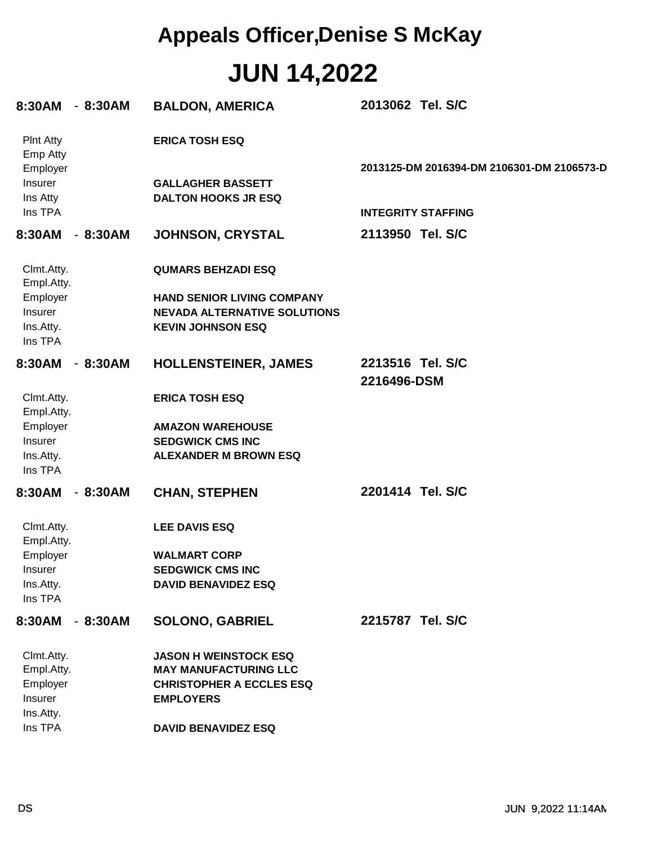| 8:30AM                                      | $-8:30AM$ | <b>BALDON, AMERICA</b>                                                                               | 2013062 Tel. S/C                           |
|---------------------------------------------|-----------|------------------------------------------------------------------------------------------------------|--------------------------------------------|
| <b>Pint Atty</b><br>Emp Atty                |           | <b>ERICA TOSH ESQ</b>                                                                                |                                            |
| Employer<br>Insurer<br>Ins Atty             |           | <b>GALLAGHER BASSETT</b><br><b>DALTON HOOKS JR ESQ</b>                                               | 2013125-DM 2016394-DM 2106301-DM 2106573-D |
| Ins TPA                                     |           |                                                                                                      | <b>INTEGRITY STAFFING</b>                  |
| 8:30AM                                      | $-8:30AM$ | <b>JOHNSON, CRYSTAL</b>                                                                              | 2113950 Tel. S/C                           |
| Clmt.Atty.<br>Empl.Atty.                    |           | <b>QUMARS BEHZADI ESQ</b>                                                                            |                                            |
| Employer<br>Insurer<br>Ins.Atty.<br>Ins TPA |           | <b>HAND SENIOR LIVING COMPANY</b><br><b>NEVADA ALTERNATIVE SOLUTIONS</b><br><b>KEVIN JOHNSON ESQ</b> |                                            |
| 8:30AM                                      | $-8:30AM$ | <b>HOLLENSTEINER, JAMES</b>                                                                          | 2213516 Tel. S/C<br>2216496-DSM            |
| Clmt.Atty.<br>Empl.Atty.                    |           | <b>ERICA TOSH ESQ</b>                                                                                |                                            |
| Employer                                    |           | <b>AMAZON WAREHOUSE</b>                                                                              |                                            |
| Insurer                                     |           | <b>SEDGWICK CMS INC</b>                                                                              |                                            |
| Ins.Atty.<br>Ins TPA                        |           | <b>ALEXANDER M BROWN ESQ</b>                                                                         |                                            |
| 8:30AM                                      | $-8:30AM$ | <b>CHAN, STEPHEN</b>                                                                                 | 2201414 Tel. S/C                           |
| Clmt.Atty.<br>Empl.Atty.                    |           | <b>LEE DAVIS ESQ</b>                                                                                 |                                            |
| Employer                                    |           | <b>WALMART CORP</b>                                                                                  |                                            |
| Insurer                                     |           | <b>SEDGWICK CMS INC</b>                                                                              |                                            |
| Ins.Atty.<br>Ins TPA                        |           | <b>DAVID BENAVIDEZ ESQ</b>                                                                           |                                            |
| 8:30AM                                      | $-8:30AM$ | <b>SOLONO, GABRIEL</b>                                                                               | 2215787 Tel. S/C                           |
| Clmt.Atty.                                  |           | <b>JASON H WEINSTOCK ESQ</b>                                                                         |                                            |
| Empl.Atty.                                  |           | <b>MAY MANUFACTURING LLC</b>                                                                         |                                            |
| Employer<br>Insurer                         |           | <b>CHRISTOPHER A ECCLES ESQ</b><br><b>EMPLOYERS</b>                                                  |                                            |
| Ins.Atty.                                   |           |                                                                                                      |                                            |
| Ins TPA                                     |           | <b>DAVID BENAVIDEZ ESQ</b>                                                                           |                                            |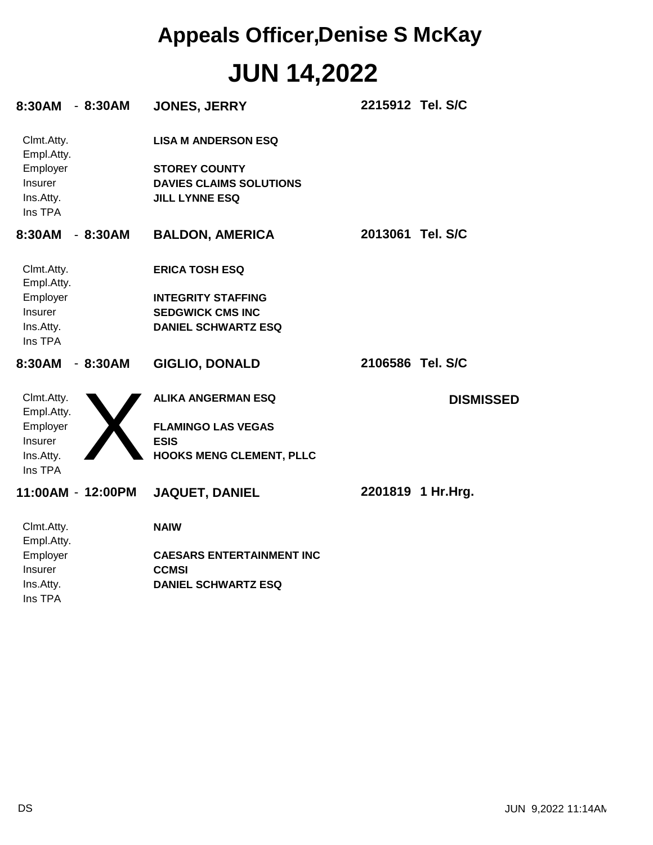| 8:30AM - 8:30AM          |           | <b>JONES, JERRY</b>              | 2215912 Tel. S/C |                   |
|--------------------------|-----------|----------------------------------|------------------|-------------------|
| Clmt.Atty.<br>Empl.Atty. |           | <b>LISA M ANDERSON ESQ</b>       |                  |                   |
| Employer                 |           | <b>STOREY COUNTY</b>             |                  |                   |
| Insurer                  |           | <b>DAVIES CLAIMS SOLUTIONS</b>   |                  |                   |
| Ins.Atty.                |           | <b>JILL LYNNE ESQ</b>            |                  |                   |
| Ins TPA                  |           |                                  |                  |                   |
| 8:30AM                   | $-8:30AM$ | <b>BALDON, AMERICA</b>           | 2013061 Tel. S/C |                   |
| Clmt.Atty.<br>Empl.Atty. |           | <b>ERICA TOSH ESQ</b>            |                  |                   |
| Employer                 |           | <b>INTEGRITY STAFFING</b>        |                  |                   |
| <b>Insurer</b>           |           | <b>SEDGWICK CMS INC</b>          |                  |                   |
| Ins.Atty.<br>Ins TPA     |           | <b>DANIEL SCHWARTZ ESQ</b>       |                  |                   |
| 8:30AM                   | $-8:30AM$ | <b>GIGLIO, DONALD</b>            | 2106586 Tel. S/C |                   |
| Clmt.Atty.<br>Empl.Atty. |           | <b>ALIKA ANGERMAN ESQ</b>        |                  | <b>DISMISSED</b>  |
| Employer                 |           | <b>FLAMINGO LAS VEGAS</b>        |                  |                   |
| Insurer                  |           | <b>ESIS</b>                      |                  |                   |
| Ins.Atty.<br>Ins TPA     |           | <b>HOOKS MENG CLEMENT, PLLC</b>  |                  |                   |
| 11:00AM - 12:00PM        |           | <b>JAQUET, DANIEL</b>            |                  | 2201819 1 Hr.Hrg. |
| Clmt.Atty.<br>Empl.Atty. |           | <b>NAIW</b>                      |                  |                   |
| Employer                 |           | <b>CAESARS ENTERTAINMENT INC</b> |                  |                   |
| <b>Insurer</b>           |           | <b>CCMSI</b>                     |                  |                   |
| Ins.Atty.                |           | <b>DANIEL SCHWARTZ ESQ</b>       |                  |                   |
| Ins TPA                  |           |                                  |                  |                   |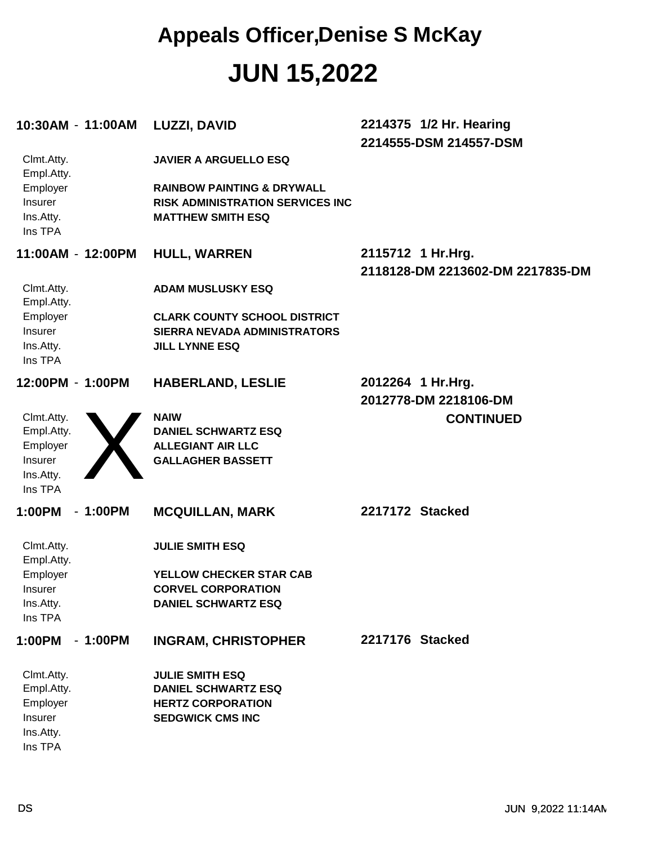| 10:30AM - 11:00AM                                                       | <b>LUZZI, DAVID</b>                                                                                          | 2214375 1/2 Hr. Hearing<br>2214555-DSM 214557-DSM     |
|-------------------------------------------------------------------------|--------------------------------------------------------------------------------------------------------------|-------------------------------------------------------|
| Clmt.Atty.<br>Empl.Atty.                                                | <b>JAVIER A ARGUELLO ESQ</b>                                                                                 |                                                       |
| Employer<br>Insurer<br>Ins.Atty.<br>Ins TPA                             | <b>RAINBOW PAINTING &amp; DRYWALL</b><br><b>RISK ADMINISTRATION SERVICES INC</b><br><b>MATTHEW SMITH ESQ</b> |                                                       |
| 11:00AM - 12:00PM                                                       | <b>HULL, WARREN</b>                                                                                          | 2115712 1 Hr.Hrg.<br>2118128-DM 2213602-DM 2217835-DM |
| Clmt.Atty.<br>Empl.Atty.                                                | <b>ADAM MUSLUSKY ESQ</b>                                                                                     |                                                       |
| Employer<br>Insurer<br>Ins.Atty.<br>Ins TPA                             | <b>CLARK COUNTY SCHOOL DISTRICT</b><br><b>SIERRA NEVADA ADMINISTRATORS</b><br><b>JILL LYNNE ESQ</b>          |                                                       |
| 12:00PM - 1:00PM                                                        | <b>HABERLAND, LESLIE</b>                                                                                     | 2012264 1 Hr.Hrg.<br>2012778-DM 2218106-DM            |
| Clmt.Atty.<br>Empl.Atty.<br>Employer<br>Insurer<br>Ins.Atty.<br>Ins TPA | <b>NAIW</b><br><b>DANIEL SCHWARTZ ESQ</b><br><b>ALLEGIANT AIR LLC</b><br><b>GALLAGHER BASSETT</b>            | <b>CONTINUED</b>                                      |
| $-1:00PM$<br>1:00PM                                                     | <b>MCQUILLAN, MARK</b>                                                                                       | 2217172 Stacked                                       |
| Clmt.Atty.<br>Empl.Atty.                                                | <b>JULIE SMITH ESQ</b>                                                                                       |                                                       |
| Employer<br><b>Insurer</b>                                              | YELLOW CHECKER STAR CAB<br><b>CORVEL CORPORATION</b>                                                         |                                                       |
| Ins.Atty.<br>Ins TPA                                                    | <b>DANIEL SCHWARTZ ESQ</b>                                                                                   |                                                       |
| 1:00PM<br>$-1:00PM$                                                     | <b>INGRAM, CHRISTOPHER</b>                                                                                   | 2217176 Stacked                                       |
| Clmt.Atty.<br>Empl.Atty.                                                | <b>JULIE SMITH ESQ</b><br><b>DANIEL SCHWARTZ ESQ</b>                                                         |                                                       |
| Employer<br>Insurer<br>Ins.Atty.<br>Ins TPA                             | <b>HERTZ CORPORATION</b><br><b>SEDGWICK CMS INC</b>                                                          |                                                       |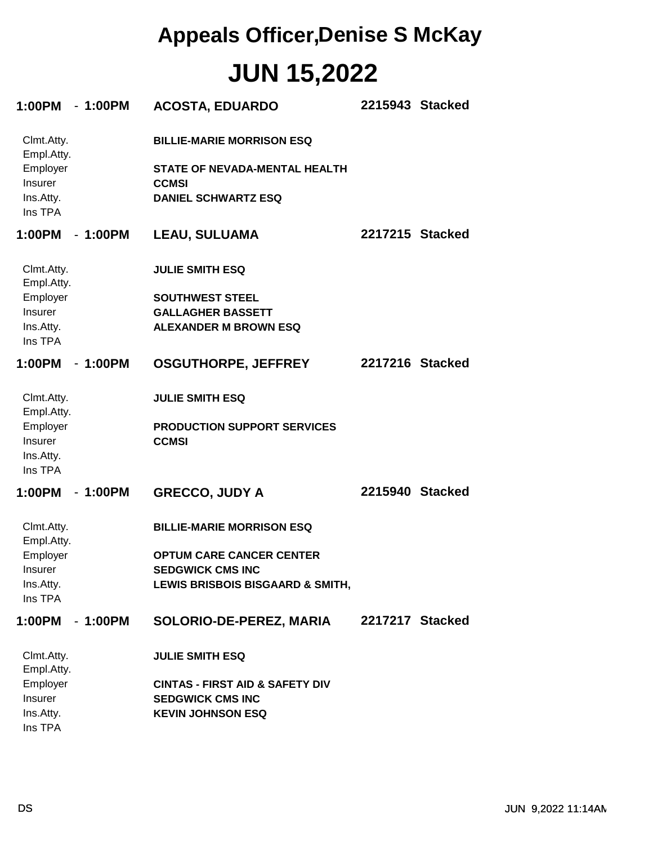| 1:00PM - 1:00PM                                                         |           | <b>ACOSTA, EDUARDO</b>                                                                                          |                 | 2215943 Stacked |
|-------------------------------------------------------------------------|-----------|-----------------------------------------------------------------------------------------------------------------|-----------------|-----------------|
| Clmt.Atty.<br>Empl.Atty.<br>Employer<br>Insurer<br>Ins.Atty.<br>Ins TPA |           | <b>BILLIE-MARIE MORRISON ESQ</b><br>STATE OF NEVADA-MENTAL HEALTH<br><b>CCMSI</b><br><b>DANIEL SCHWARTZ ESQ</b> |                 |                 |
| 1:00PM - 1:00PM                                                         |           | <b>LEAU, SULUAMA</b>                                                                                            |                 | 2217215 Stacked |
| Clmt.Atty.<br>Empl.Atty.                                                |           | <b>JULIE SMITH ESQ</b>                                                                                          |                 |                 |
| Employer                                                                |           | <b>SOUTHWEST STEEL</b>                                                                                          |                 |                 |
| Insurer                                                                 |           | <b>GALLAGHER BASSETT</b>                                                                                        |                 |                 |
| Ins.Atty.<br>Ins TPA                                                    |           | <b>ALEXANDER M BROWN ESQ</b>                                                                                    |                 |                 |
| 1:00PM - 1:00PM                                                         |           | <b>OSGUTHORPE, JEFFREY</b>                                                                                      | 2217216 Stacked |                 |
| Clmt.Atty.<br>Empl.Atty.                                                |           | <b>JULIE SMITH ESQ</b>                                                                                          |                 |                 |
| Employer<br><b>Insurer</b><br>Ins.Atty.                                 |           | <b>PRODUCTION SUPPORT SERVICES</b><br><b>CCMSI</b>                                                              |                 |                 |
| Ins TPA                                                                 |           |                                                                                                                 |                 |                 |
| 1:00PM                                                                  | - 1:00PM  | <b>GRECCO, JUDY A</b>                                                                                           | 2215940 Stacked |                 |
| Clmt.Atty.<br>Empl.Atty.                                                |           | <b>BILLIE-MARIE MORRISON ESQ</b>                                                                                |                 |                 |
| Employer                                                                |           | <b>OPTUM CARE CANCER CENTER</b>                                                                                 |                 |                 |
| Insurer                                                                 |           | <b>SEDGWICK CMS INC</b>                                                                                         |                 |                 |
| Ins.Atty.<br>Ins TPA                                                    |           | LEWIS BRISBOIS BISGAARD & SMITH,                                                                                |                 |                 |
| 1:00PM                                                                  | $-1:00PM$ | SOLORIO-DE-PEREZ, MARIA                                                                                         | 2217217 Stacked |                 |
| Clmt.Atty.<br>Empl.Atty.                                                |           | <b>JULIE SMITH ESQ</b>                                                                                          |                 |                 |
| Employer                                                                |           | <b>CINTAS - FIRST AID &amp; SAFETY DIV</b>                                                                      |                 |                 |
| Insurer                                                                 |           | <b>SEDGWICK CMS INC</b>                                                                                         |                 |                 |
| Ins.Atty.<br>Ins TPA                                                    |           | <b>KEVIN JOHNSON ESQ</b>                                                                                        |                 |                 |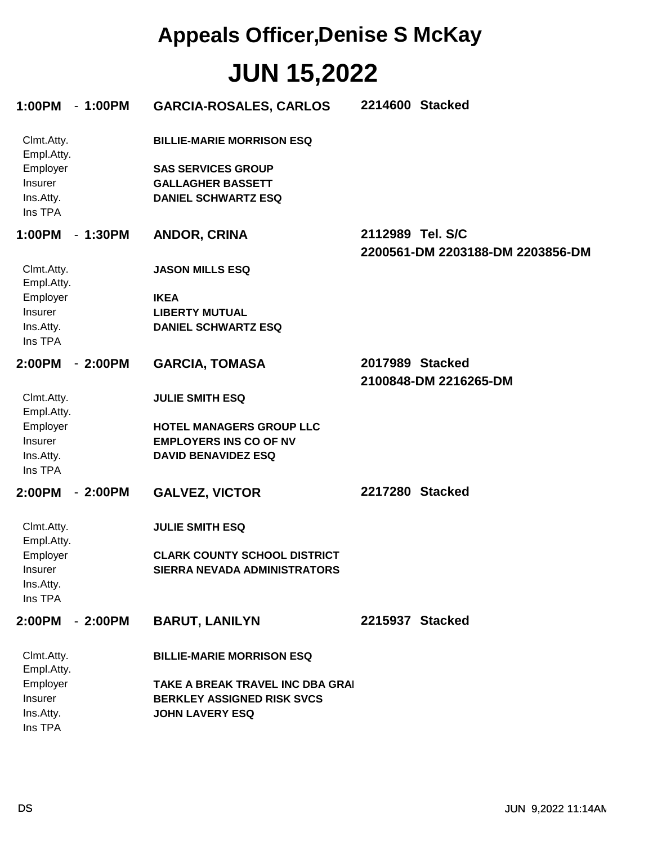| 1:00PM                                                                  | $-1:00PM$ | <b>GARCIA-ROSALES, CARLOS</b>                                                                                           | 2214600 Stacked                                      |
|-------------------------------------------------------------------------|-----------|-------------------------------------------------------------------------------------------------------------------------|------------------------------------------------------|
| Clmt.Atty.<br>Empl.Atty.<br>Employer<br>Insurer<br>Ins.Atty.<br>Ins TPA |           | <b>BILLIE-MARIE MORRISON ESQ</b><br><b>SAS SERVICES GROUP</b><br><b>GALLAGHER BASSETT</b><br><b>DANIEL SCHWARTZ ESQ</b> |                                                      |
| 1:00PM                                                                  | $-1:30PM$ | <b>ANDOR, CRINA</b>                                                                                                     | 2112989 Tel. S/C<br>2200561-DM 2203188-DM 2203856-DM |
| Clmt.Atty.<br>Empl.Atty.                                                |           | <b>JASON MILLS ESQ</b>                                                                                                  |                                                      |
| Employer                                                                |           | <b>IKEA</b>                                                                                                             |                                                      |
| Insurer                                                                 |           | <b>LIBERTY MUTUAL</b>                                                                                                   |                                                      |
| Ins.Atty.                                                               |           | <b>DANIEL SCHWARTZ ESQ</b>                                                                                              |                                                      |
| Ins TPA                                                                 |           |                                                                                                                         |                                                      |
| 2:00PM                                                                  | $-2:00PM$ | <b>GARCIA, TOMASA</b>                                                                                                   | 2017989 Stacked                                      |
|                                                                         |           |                                                                                                                         |                                                      |
|                                                                         |           |                                                                                                                         | 2100848-DM 2216265-DM                                |
| Clmt.Atty.                                                              |           | <b>JULIE SMITH ESQ</b>                                                                                                  |                                                      |
| Empl.Atty.                                                              |           |                                                                                                                         |                                                      |
| Employer                                                                |           | HOTEL MANAGERS GROUP LLC                                                                                                |                                                      |
| Insurer                                                                 |           | <b>EMPLOYERS INS CO OF NV</b>                                                                                           |                                                      |
| Ins.Atty.                                                               |           | <b>DAVID BENAVIDEZ ESQ</b>                                                                                              |                                                      |
| Ins TPA                                                                 |           |                                                                                                                         |                                                      |
| 2:00PM                                                                  | $-2:00PM$ | <b>GALVEZ, VICTOR</b>                                                                                                   | 2217280 Stacked                                      |
| Clmt.Atty.<br>Empl.Atty.                                                |           | <b>JULIE SMITH ESQ</b>                                                                                                  |                                                      |
| Employer                                                                |           | <b>CLARK COUNTY SCHOOL DISTRICT</b>                                                                                     |                                                      |
| Insurer                                                                 |           | SIERRA NEVADA ADMINISTRATORS                                                                                            |                                                      |
| Ins.Atty.                                                               |           |                                                                                                                         |                                                      |
| Ins TPA                                                                 |           |                                                                                                                         |                                                      |
| 2:00PM                                                                  | $-2:00PM$ | <b>BARUT, LANILYN</b>                                                                                                   | 2215937 Stacked                                      |
| Clmt.Atty.<br>Empl.Atty.                                                |           | <b>BILLIE-MARIE MORRISON ESQ</b>                                                                                        |                                                      |
| Employer                                                                |           | TAKE A BREAK TRAVEL INC DBA GRAI                                                                                        |                                                      |
| Insurer                                                                 |           | <b>BERKLEY ASSIGNED RISK SVCS</b>                                                                                       |                                                      |
| Ins.Atty.                                                               |           | <b>JOHN LAVERY ESQ</b>                                                                                                  |                                                      |
| Ins TPA                                                                 |           |                                                                                                                         |                                                      |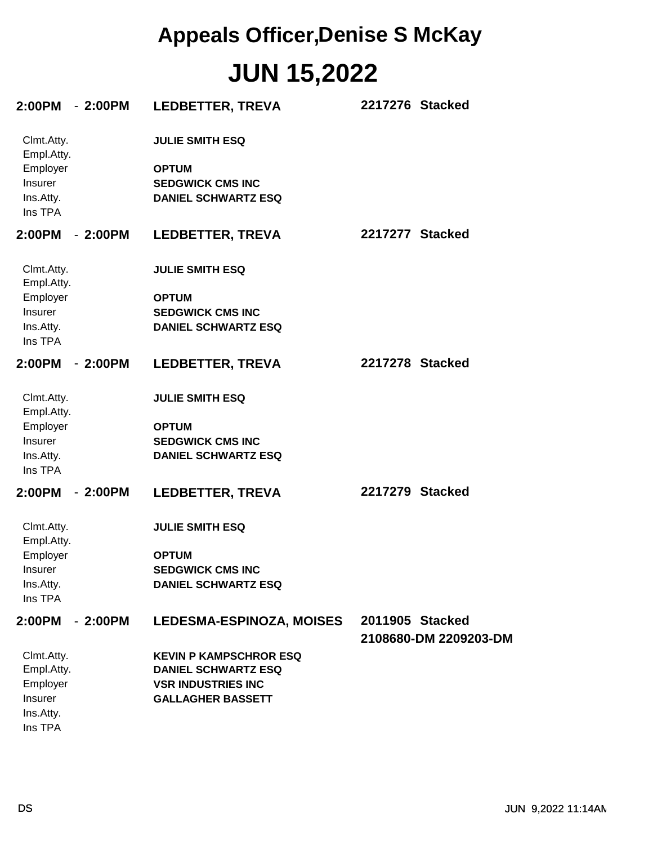| 2:00PM - 2:00PM                                                         |           | <b>LEDBETTER, TREVA</b>                                                                                              | 2217276 Stacked                          |
|-------------------------------------------------------------------------|-----------|----------------------------------------------------------------------------------------------------------------------|------------------------------------------|
| Clmt.Atty.<br>Empl.Atty.<br>Employer<br>Insurer<br>Ins.Atty.<br>Ins TPA |           | <b>JULIE SMITH ESQ</b><br><b>OPTUM</b><br><b>SEDGWICK CMS INC</b><br><b>DANIEL SCHWARTZ ESQ</b>                      |                                          |
| 2:00PM                                                                  | $-2:00PM$ | <b>LEDBETTER, TREVA</b>                                                                                              | 2217277 Stacked                          |
| Clmt.Atty.<br>Empl.Atty.                                                |           | <b>JULIE SMITH ESQ</b>                                                                                               |                                          |
| Employer<br>Insurer<br>Ins.Atty.<br>Ins TPA                             |           | <b>OPTUM</b><br><b>SEDGWICK CMS INC</b><br><b>DANIEL SCHWARTZ ESQ</b>                                                |                                          |
| 2:00PM                                                                  | $-2:00PM$ | <b>LEDBETTER, TREVA</b>                                                                                              | 2217278 Stacked                          |
| Clmt.Atty.<br>Empl.Atty.<br>Employer<br>Insurer<br>Ins.Atty.<br>Ins TPA |           | <b>JULIE SMITH ESQ</b><br><b>OPTUM</b><br><b>SEDGWICK CMS INC</b><br><b>DANIEL SCHWARTZ ESQ</b>                      |                                          |
| 2:00PM                                                                  | $-2:00PM$ | <b>LEDBETTER, TREVA</b>                                                                                              | 2217279 Stacked                          |
| Clmt.Atty.<br>Empl.Atty.<br>Employer<br>Insurer<br>Ins.Atty.<br>Ins TPA |           | <b>JULIE SMITH ESQ</b><br><b>OPTUM</b><br><b>SEDGWICK CMS INC</b><br><b>DANIEL SCHWARTZ ESQ</b>                      |                                          |
| 2:00PM                                                                  | $-2:00PM$ | <b>LEDESMA-ESPINOZA, MOISES</b>                                                                                      | 2011905 Stacked<br>2108680-DM 2209203-DM |
| Clmt.Atty.<br>Empl.Atty.<br>Employer<br>Insurer<br>Ins.Atty.<br>Ins TPA |           | <b>KEVIN P KAMPSCHROR ESQ</b><br><b>DANIEL SCHWARTZ ESQ</b><br><b>VSR INDUSTRIES INC</b><br><b>GALLAGHER BASSETT</b> |                                          |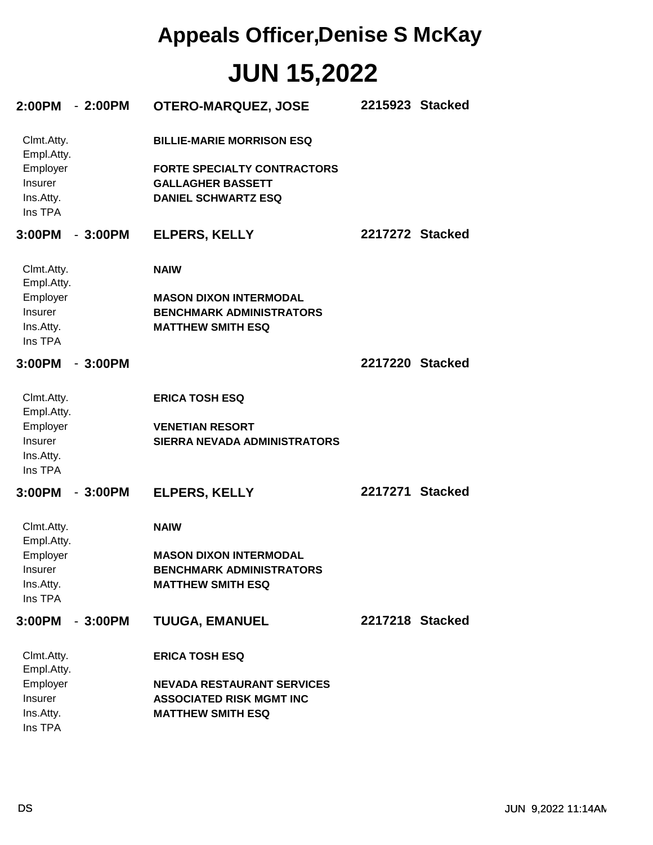| $2:00PM - 2:00PM$                                                       | <b>OTERO-MARQUEZ, JOSE</b>                                                                                                       | 2215923 Stacked |
|-------------------------------------------------------------------------|----------------------------------------------------------------------------------------------------------------------------------|-----------------|
| Clmt.Atty.<br>Empl.Atty.<br>Employer<br>Insurer<br>Ins.Atty.<br>Ins TPA | <b>BILLIE-MARIE MORRISON ESQ</b><br><b>FORTE SPECIALTY CONTRACTORS</b><br><b>GALLAGHER BASSETT</b><br><b>DANIEL SCHWARTZ ESQ</b> |                 |
| 3:00PM<br>- 3:00PM                                                      | <b>ELPERS, KELLY</b>                                                                                                             | 2217272 Stacked |
| Clmt.Atty.<br>Empl.Atty.<br>Employer<br>Insurer<br>Ins.Atty.<br>Ins TPA | <b>NAIW</b><br><b>MASON DIXON INTERMODAL</b><br><b>BENCHMARK ADMINISTRATORS</b><br><b>MATTHEW SMITH ESQ</b>                      |                 |
| 3:00PM<br>$-3:00PM$                                                     |                                                                                                                                  | 2217220 Stacked |
| Clmt.Atty.<br>Empl.Atty.<br>Employer<br>Insurer<br>Ins.Atty.<br>Ins TPA | <b>ERICA TOSH ESQ</b><br><b>VENETIAN RESORT</b><br><b>SIERRA NEVADA ADMINISTRATORS</b>                                           |                 |
| 3:00PM<br>$-3:00PM$                                                     | <b>ELPERS, KELLY</b>                                                                                                             | 2217271 Stacked |
| Clmt.Atty.<br>Empl.Atty.<br>Employer<br>Insurer<br>Ins.Atty.<br>Ins TPA | <b>NAIW</b><br><b>MASON DIXON INTERMODAL</b><br><b>BENCHMARK ADMINISTRATORS</b><br><b>MATTHEW SMITH ESQ</b>                      |                 |
| 3:00PM<br>$-3:00PM$                                                     | <b>TUUGA, EMANUEL</b>                                                                                                            | 2217218 Stacked |
| Clmt.Atty.<br>Empl.Atty.<br>Employer<br>Insurer<br>Ins.Atty.<br>Ins TPA | <b>ERICA TOSH ESQ</b><br><b>NEVADA RESTAURANT SERVICES</b><br><b>ASSOCIATED RISK MGMT INC</b><br><b>MATTHEW SMITH ESQ</b>        |                 |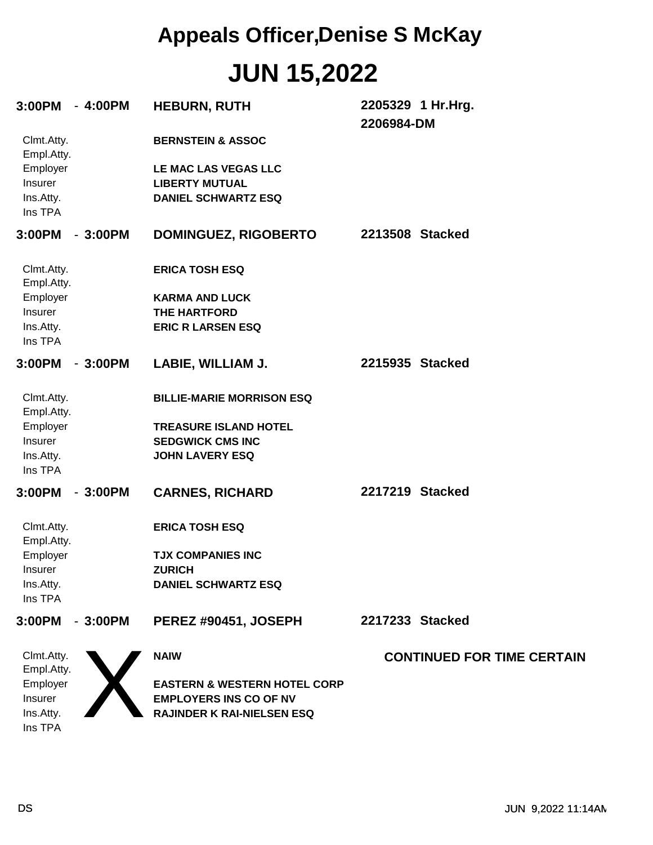| 3:00PM                                      | - 4:00PM  | <b>HEBURN, RUTH</b>                                                         | 2205329 1 Hr.Hrg.<br>2206984-DM   |
|---------------------------------------------|-----------|-----------------------------------------------------------------------------|-----------------------------------|
| Clmt.Atty.<br>Empl.Atty.                    |           | <b>BERNSTEIN &amp; ASSOC</b>                                                |                                   |
| Employer<br>Insurer<br>Ins.Atty.<br>Ins TPA |           | LE MAC LAS VEGAS LLC<br><b>LIBERTY MUTUAL</b><br><b>DANIEL SCHWARTZ ESQ</b> |                                   |
| 3:00PM                                      | $-3:00PM$ | <b>DOMINGUEZ, RIGOBERTO</b>                                                 | 2213508 Stacked                   |
| Clmt.Atty.<br>Empl.Atty.                    |           | <b>ERICA TOSH ESQ</b>                                                       |                                   |
| Employer                                    |           | <b>KARMA AND LUCK</b>                                                       |                                   |
| Insurer                                     |           | <b>THE HARTFORD</b>                                                         |                                   |
| Ins.Atty.<br>Ins TPA                        |           | <b>ERIC R LARSEN ESQ</b>                                                    |                                   |
| 3:00PM                                      | $-3:00PM$ | LABIE, WILLIAM J.                                                           | 2215935 Stacked                   |
| Clmt.Atty.<br>Empl.Atty.                    |           | <b>BILLIE-MARIE MORRISON ESQ</b>                                            |                                   |
| Employer                                    |           | <b>TREASURE ISLAND HOTEL</b>                                                |                                   |
| Insurer                                     |           | <b>SEDGWICK CMS INC</b>                                                     |                                   |
| Ins.Atty.<br>Ins TPA                        |           | <b>JOHN LAVERY ESQ</b>                                                      |                                   |
| 3:00PM                                      | $-3:00PM$ | <b>CARNES, RICHARD</b>                                                      | 2217219 Stacked                   |
| Clmt.Atty.<br>Empl.Atty.                    |           | <b>ERICA TOSH ESQ</b>                                                       |                                   |
| Employer                                    |           | <b>TJX COMPANIES INC</b>                                                    |                                   |
| Insurer<br>Ins.Atty.                        |           | <b>ZURICH</b><br><b>DANIEL SCHWARTZ ESQ</b>                                 |                                   |
| Ins TPA                                     |           |                                                                             |                                   |
| 3:00PM                                      | $-3:00PM$ | PEREZ #90451, JOSEPH                                                        | 2217233 Stacked                   |
| Clmt.Atty.<br>Empl.Atty.                    |           | <b>NAIW</b>                                                                 | <b>CONTINUED FOR TIME CERTAIN</b> |
| Employer                                    |           | <b>EASTERN &amp; WESTERN HOTEL CORP</b>                                     |                                   |
| Insurer                                     |           | <b>EMPLOYERS INS CO OF NV</b>                                               |                                   |
| Ins.Atty.                                   |           | RAJINDER K RAI-NIELSEN ESQ                                                  |                                   |
| Ins TPA                                     |           |                                                                             |                                   |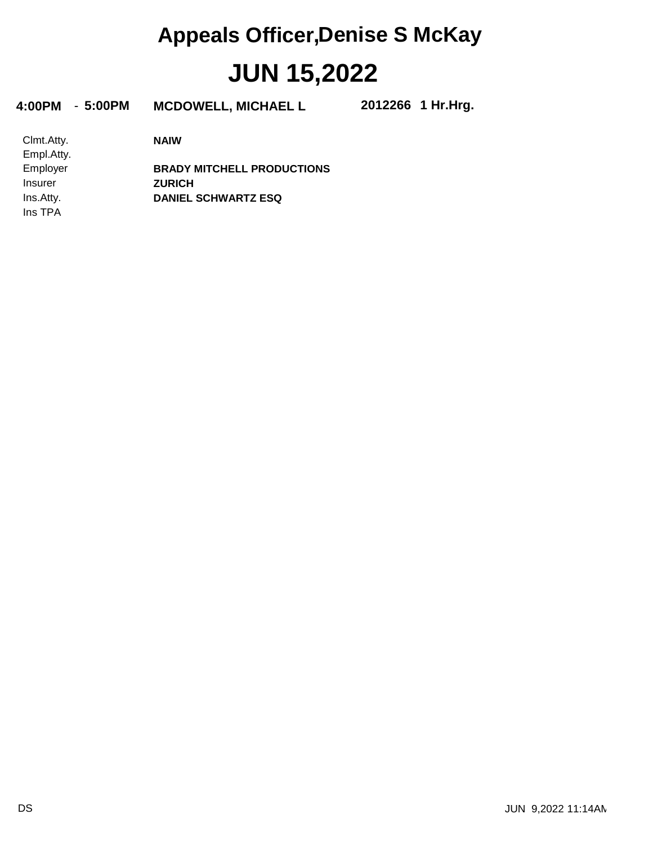**4:00PM** - **5:00PM MCDOWELL, MICHAEL L 2012266**

**1 Hr.Hrg.**

**NAIW**

Ins TPA Ins.Atty. Insurer Employer Empl.Atty. Clmt.Atty.

**DANIEL SCHWARTZ ESQ ZURICH BRADY MITCHELL PRODUCTIONS**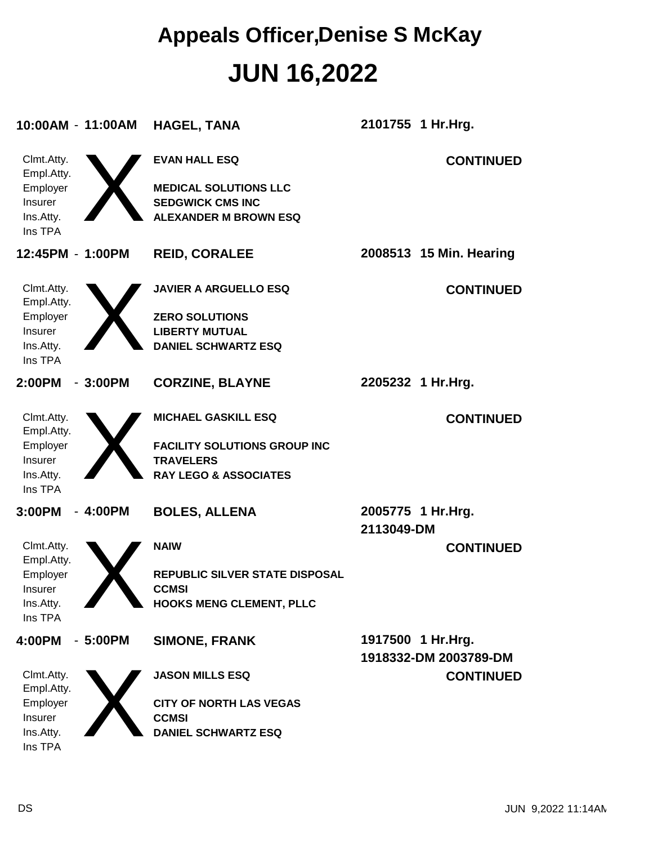| 10:00AM - 11:00AM                                                              |           | <b>HAGEL, TANA</b>                                                                                                        | 2101755 1 Hr.Hrg.                          |
|--------------------------------------------------------------------------------|-----------|---------------------------------------------------------------------------------------------------------------------------|--------------------------------------------|
| Clmt.Atty.<br>Empl.Atty.<br>Employer<br>Insurer<br>Ins.Atty.<br>Ins TPA        |           | <b>EVAN HALL ESQ</b><br><b>MEDICAL SOLUTIONS LLC</b><br><b>SEDGWICK CMS INC</b><br><b>ALEXANDER M BROWN ESQ</b>           | <b>CONTINUED</b>                           |
| 12:45PM - 1:00PM                                                               |           | <b>REID, CORALEE</b>                                                                                                      | 2008513 15 Min. Hearing                    |
| Clmt.Atty.<br>Empl.Atty.<br>Employer<br>Insurer<br>Ins.Atty.<br>Ins TPA        |           | <b>JAVIER A ARGUELLO ESQ</b><br><b>ZERO SOLUTIONS</b><br><b>LIBERTY MUTUAL</b><br><b>DANIEL SCHWARTZ ESQ</b>              | <b>CONTINUED</b>                           |
| 2:00PM                                                                         | $-3:00PM$ | <b>CORZINE, BLAYNE</b>                                                                                                    | 2205232 1 Hr.Hrg.                          |
| Clmt.Atty.<br>Empl.Atty.<br>Employer<br>Insurer<br>Ins.Atty.<br>Ins TPA        |           | <b>MICHAEL GASKILL ESQ</b><br><b>FACILITY SOLUTIONS GROUP INC</b><br><b>TRAVELERS</b><br><b>RAY LEGO &amp; ASSOCIATES</b> | <b>CONTINUED</b>                           |
| 3:00PM                                                                         | $-4:00PM$ | <b>BOLES, ALLENA</b>                                                                                                      | 2005775 1 Hr.Hrg.<br>2113049-DM            |
| Clmt.Atty.<br>Empl.Atty.<br>Employer<br><b>Insurer</b><br>Ins.Atty.<br>Ins TPA |           | <b>NAIW</b><br><b>REPUBLIC SILVER STATE DISPOSAL</b><br><b>CCMSI</b><br><b>HOOKS MENG CLEMENT, PLLC</b>                   | <b>CONTINUED</b>                           |
| 4:00PM                                                                         | $-5:00PM$ | <b>SIMONE, FRANK</b>                                                                                                      | 1917500 1 Hr.Hrg.<br>1918332-DM 2003789-DM |
| Clmt.Atty.<br>Empl.Atty.<br>Employer<br>Insurer<br>Ins.Atty.<br>Ins TPA        |           | <b>JASON MILLS ESQ</b><br><b>CITY OF NORTH LAS VEGAS</b><br><b>CCMSI</b><br><b>DANIEL SCHWARTZ ESQ</b>                    | <b>CONTINUED</b>                           |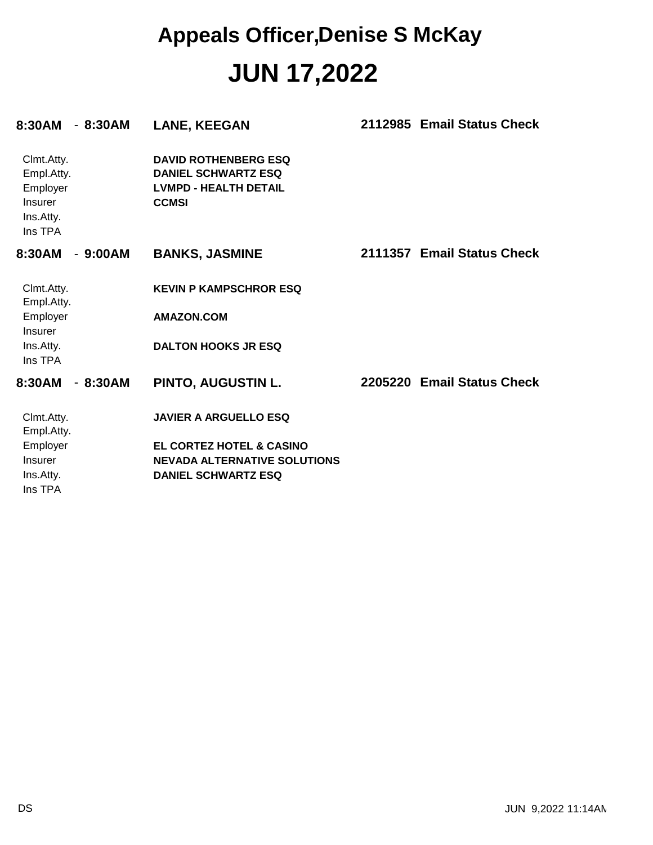| $-8:30AM$<br>8:30AM                                                            | <b>LANE, KEEGAN</b>                                                                                       | 2112985 Email Status Check |
|--------------------------------------------------------------------------------|-----------------------------------------------------------------------------------------------------------|----------------------------|
| Clmt.Atty.<br>Empl.Atty.<br>Employer<br><b>Insurer</b><br>Ins.Atty.<br>Ins TPA | <b>DAVID ROTHENBERG ESQ</b><br><b>DANIEL SCHWARTZ ESQ</b><br><b>LVMPD - HEALTH DETAIL</b><br><b>CCMSI</b> |                            |
| $-9:00AM$<br>8:30AM                                                            | <b>BANKS, JASMINE</b>                                                                                     | 2111357 Email Status Check |
| Clmt.Atty.<br>Empl.Atty.                                                       | <b>KEVIN P KAMPSCHROR ESQ</b>                                                                             |                            |
| Employer<br>Insurer                                                            | <b>AMAZON.COM</b>                                                                                         |                            |
| Ins.Atty.<br>Ins TPA                                                           | <b>DALTON HOOKS JR ESQ</b>                                                                                |                            |
| 8:30AM<br>$-8:30AM$                                                            | <b>PINTO, AUGUSTIN L.</b>                                                                                 | 2205220 Email Status Check |
| Clmt.Atty.<br>Empl.Atty.                                                       | <b>JAVIER A ARGUELLO ESQ</b>                                                                              |                            |
| Employer                                                                       | <b>EL CORTEZ HOTEL &amp; CASINO</b>                                                                       |                            |
| Insurer                                                                        | <b>NEVADA ALTERNATIVE SOLUTIONS</b>                                                                       |                            |
| Ins.Atty.                                                                      | <b>DANIEL SCHWARTZ ESQ</b>                                                                                |                            |
| Ins TPA                                                                        |                                                                                                           |                            |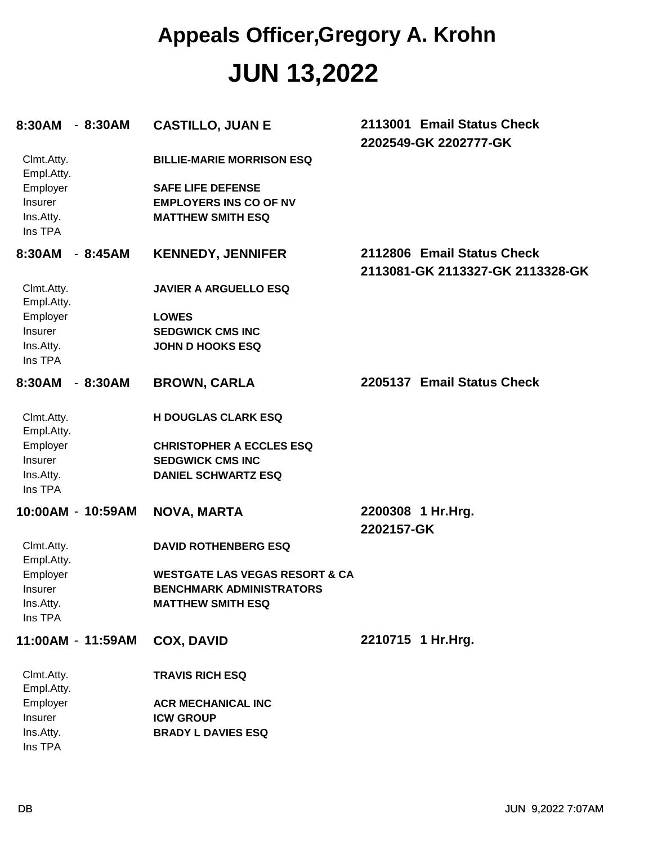#### **JUN 13,2022 Appeals Officer,Gregory A. Krohn**

| 8:30AM                   | $-8:30AM$ | <b>CASTILLO, JUAN E</b>                                   | 2113001 Email Status Check<br>2202549-GK 2202777-GK            |
|--------------------------|-----------|-----------------------------------------------------------|----------------------------------------------------------------|
| Clmt.Atty.<br>Empl.Atty. |           | <b>BILLIE-MARIE MORRISON ESQ</b>                          |                                                                |
| Employer                 |           | <b>SAFE LIFE DEFENSE</b>                                  |                                                                |
| Insurer<br>Ins.Atty.     |           | <b>EMPLOYERS INS CO OF NV</b><br><b>MATTHEW SMITH ESQ</b> |                                                                |
| Ins TPA                  |           |                                                           |                                                                |
| 8:30AM                   | $-8:45AM$ | <b>KENNEDY, JENNIFER</b>                                  | 2112806 Email Status Check<br>2113081-GK 2113327-GK 2113328-GK |
| Clmt.Atty.<br>Empl.Atty. |           | <b>JAVIER A ARGUELLO ESQ</b>                              |                                                                |
| Employer                 |           | <b>LOWES</b>                                              |                                                                |
| Insurer                  |           | <b>SEDGWICK CMS INC</b>                                   |                                                                |
| Ins.Atty.<br>Ins TPA     |           | <b>JOHN D HOOKS ESQ</b>                                   |                                                                |
| 8:30AM                   | $-8:30AM$ | <b>BROWN, CARLA</b>                                       | 2205137 Email Status Check                                     |
| Clmt.Atty.<br>Empl.Atty. |           | <b>H DOUGLAS CLARK ESQ</b>                                |                                                                |
| Employer                 |           | <b>CHRISTOPHER A ECCLES ESQ</b>                           |                                                                |
| Insurer                  |           | <b>SEDGWICK CMS INC</b>                                   |                                                                |
| Ins.Atty.                |           | <b>DANIEL SCHWARTZ ESQ</b>                                |                                                                |
| Ins TPA                  |           |                                                           |                                                                |
| 10:00AM - 10:59AM        |           | <b>NOVA, MARTA</b>                                        | 2200308 1 Hr.Hrg.                                              |
|                          |           |                                                           | 2202157-GK                                                     |
| Clmt.Atty.<br>Empl.Atty. |           | <b>DAVID ROTHENBERG ESQ</b>                               |                                                                |
| Employer                 |           | <b>WESTGATE LAS VEGAS RESORT &amp; CA</b>                 |                                                                |
| <b>Insurer</b>           |           | <b>BENCHMARK ADMINISTRATORS</b>                           |                                                                |
| Ins.Atty.<br>Ins TPA     |           | <b>MATTHEW SMITH ESQ</b>                                  |                                                                |
| 11:00AM - 11:59AM        |           | <b>COX, DAVID</b>                                         | 2210715 1 Hr.Hrg.                                              |
| Clmt.Atty.<br>Empl.Atty. |           | <b>TRAVIS RICH ESQ</b>                                    |                                                                |
| Employer                 |           | <b>ACR MECHANICAL INC</b>                                 |                                                                |
| Insurer                  |           | <b>ICW GROUP</b>                                          |                                                                |
| Ins.Atty.                |           | <b>BRADY L DAVIES ESQ</b>                                 |                                                                |
| Ins TPA                  |           |                                                           |                                                                |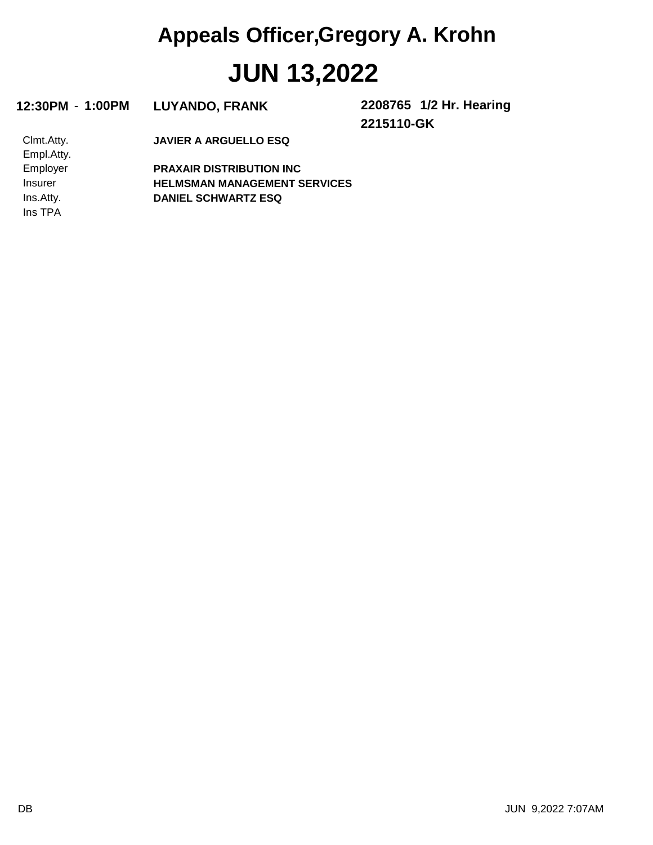# **JUN 13,2022 Appeals Officer,Gregory A. Krohn**

|  | 12:30PM - 1:00PM LUYANDO, FRANK | 2208765 1/2 Hr. Hearing |
|--|---------------------------------|-------------------------|
|--|---------------------------------|-------------------------|

**2215110-GK**

**JAVIER A ARGUELLO ESQ**

Ins TPA Ins.Atty. Insurer Employer Empl.Atty. Clmt.Atty.

**DANIEL SCHWARTZ ESQ HELMSMAN MANAGEMENT SERVICES PRAXAIR DISTRIBUTION INC**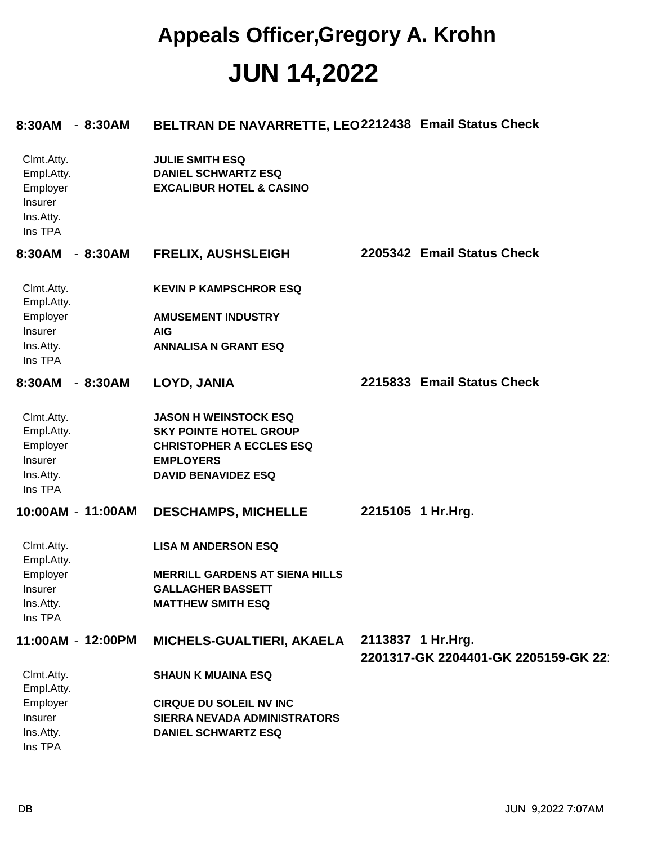#### **JUN 14,2022 Appeals Officer,Gregory A. Krohn**

| 8:30AM<br>$-8:30AM$                                                     | BELTRAN DE NAVARRETTE, LEO2212438 Email Status Check                                        |                                                           |
|-------------------------------------------------------------------------|---------------------------------------------------------------------------------------------|-----------------------------------------------------------|
| Clmt.Atty.<br>Empl.Atty.<br>Employer<br>Insurer<br>Ins.Atty.<br>Ins TPA | <b>JULIE SMITH ESQ</b><br><b>DANIEL SCHWARTZ ESQ</b><br><b>EXCALIBUR HOTEL &amp; CASINO</b> |                                                           |
| $-8:30AM$<br>8:30AM                                                     | <b>FRELIX, AUSHSLEIGH</b>                                                                   | 2205342 Email Status Check                                |
| Clmt.Atty.<br>Empl.Atty.                                                | <b>KEVIN P KAMPSCHROR ESQ</b>                                                               |                                                           |
| Employer                                                                | <b>AMUSEMENT INDUSTRY</b>                                                                   |                                                           |
| Insurer                                                                 | <b>AIG</b>                                                                                  |                                                           |
| Ins.Atty.<br>Ins TPA                                                    | <b>ANNALISA N GRANT ESQ</b>                                                                 |                                                           |
| $-8:30AM$<br>8:30AM                                                     | LOYD, JANIA                                                                                 | 2215833 Email Status Check                                |
| Clmt.Atty.                                                              | <b>JASON H WEINSTOCK ESQ</b>                                                                |                                                           |
| Empl.Atty.                                                              | <b>SKY POINTE HOTEL GROUP</b>                                                               |                                                           |
| Employer                                                                | <b>CHRISTOPHER A ECCLES ESQ</b>                                                             |                                                           |
| Insurer                                                                 | <b>EMPLOYERS</b>                                                                            |                                                           |
| Ins.Atty.<br>Ins TPA                                                    | <b>DAVID BENAVIDEZ ESQ</b>                                                                  |                                                           |
| 10:00AM - 11:00AM                                                       | <b>DESCHAMPS, MICHELLE</b>                                                                  | 2215105 1 Hr.Hrg.                                         |
| Clmt.Atty.<br>Empl.Atty.                                                | <b>LISA M ANDERSON ESQ</b>                                                                  |                                                           |
| Employer                                                                | <b>MERRILL GARDENS AT SIENA HILLS</b>                                                       |                                                           |
| Insurer                                                                 | <b>GALLAGHER BASSETT</b>                                                                    |                                                           |
| Ins.Atty.                                                               | <b>MATTHEW SMITH ESQ</b>                                                                    |                                                           |
| Ins TPA                                                                 |                                                                                             |                                                           |
| 11:00AM - 12:00PM                                                       | MICHELS-GUALTIERI, AKAELA                                                                   | 2113837 1 Hr. Hrg.<br>2201317-GK 2204401-GK 2205159-GK 22 |
| Clmt.Atty.<br>Empl.Atty.                                                | <b>SHAUN K MUAINA ESQ</b>                                                                   |                                                           |
| Employer                                                                | <b>CIRQUE DU SOLEIL NV INC</b>                                                              |                                                           |
| Insurer                                                                 | SIERRA NEVADA ADMINISTRATORS                                                                |                                                           |
| Ins.Atty.                                                               | <b>DANIEL SCHWARTZ ESQ</b>                                                                  |                                                           |
| Ins TPA                                                                 |                                                                                             |                                                           |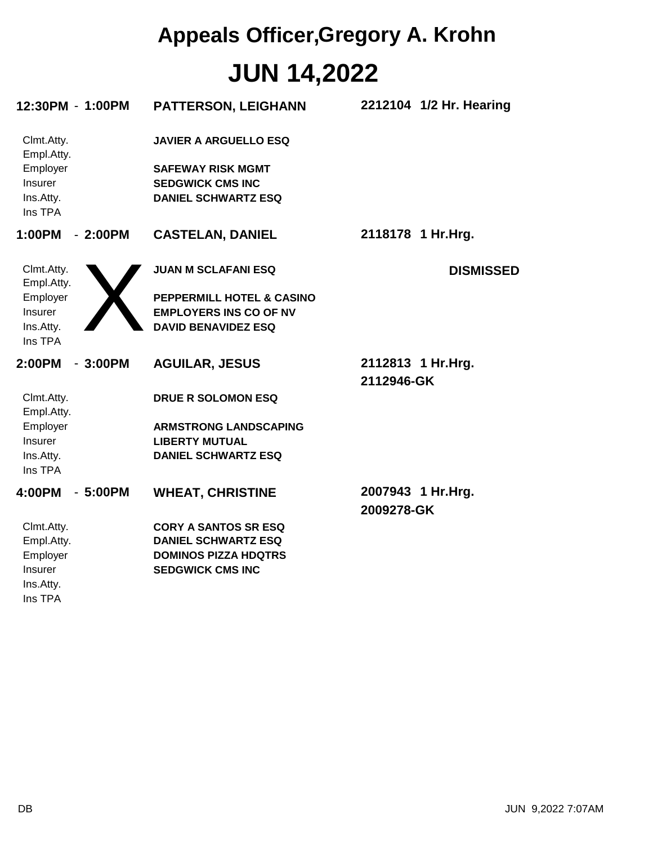### **JUN 14,2022 Appeals Officer,Gregory A. Krohn**

| 12:30PM - 1:00PM                                                        |           | <b>PATTERSON, LEIGHANN</b>                                                                                        | 2212104 1/2 Hr. Hearing         |
|-------------------------------------------------------------------------|-----------|-------------------------------------------------------------------------------------------------------------------|---------------------------------|
| Clmt.Atty.<br>Empl.Atty.<br>Employer<br>Insurer<br>Ins.Atty.<br>Ins TPA |           | <b>JAVIER A ARGUELLO ESQ</b><br><b>SAFEWAY RISK MGMT</b><br><b>SEDGWICK CMS INC</b><br><b>DANIEL SCHWARTZ ESQ</b> |                                 |
| 1:00PM                                                                  | $-2:00PM$ | <b>CASTELAN, DANIEL</b>                                                                                           | 2118178 1 Hr.Hrg.               |
| Clmt.Atty.<br>Empl.Atty.                                                |           | <b>JUAN M SCLAFANI ESQ</b>                                                                                        | <b>DISMISSED</b>                |
| Employer                                                                |           | PEPPERMILL HOTEL & CASINO                                                                                         |                                 |
| Insurer                                                                 |           | <b>EMPLOYERS INS CO OF NV</b>                                                                                     |                                 |
| Ins.Atty.<br>Ins TPA                                                    |           | <b>DAVID BENAVIDEZ ESQ</b>                                                                                        |                                 |
| 2:00PM                                                                  | $-3:00PM$ | <b>AGUILAR, JESUS</b>                                                                                             | 2112813 1 Hr.Hrg.<br>2112946-GK |
| Clmt.Atty.<br>Empl.Atty.                                                |           | <b>DRUE R SOLOMON ESQ</b>                                                                                         |                                 |
| Employer                                                                |           | <b>ARMSTRONG LANDSCAPING</b>                                                                                      |                                 |
|                                                                         |           |                                                                                                                   |                                 |
| Insurer                                                                 |           | <b>LIBERTY MUTUAL</b>                                                                                             |                                 |
| Ins.Atty.<br>Ins TPA                                                    |           | <b>DANIEL SCHWARTZ ESQ</b>                                                                                        |                                 |
| 4:00PM                                                                  | $-5:00PM$ | <b>WHEAT, CHRISTINE</b>                                                                                           | 2007943 1 Hr.Hrg.<br>2009278-GK |
| Clmt.Atty.                                                              |           | <b>CORY A SANTOS SR ESQ</b>                                                                                       |                                 |
| Empl.Atty.                                                              |           | <b>DANIEL SCHWARTZ ESQ</b>                                                                                        |                                 |
| Employer                                                                |           | <b>DOMINOS PIZZA HDQTRS</b>                                                                                       |                                 |
| Insurer                                                                 |           | <b>SEDGWICK CMS INC</b>                                                                                           |                                 |
| Ins.Atty.<br>Ins TPA                                                    |           |                                                                                                                   |                                 |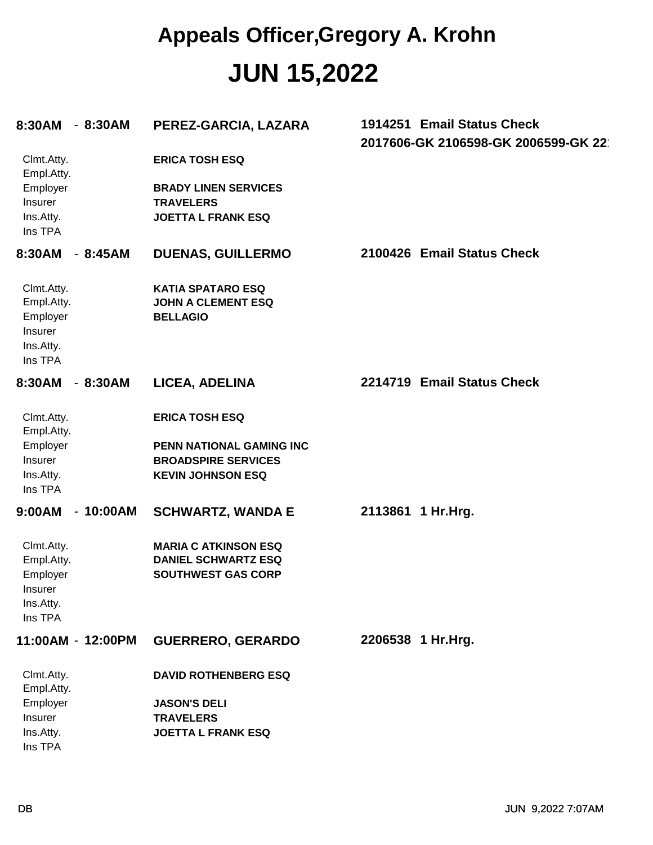#### **JUN 15,2022 Appeals Officer,Gregory A. Krohn**

| 8:30AM                                                                  | $-8:30AM$  | PEREZ-GARCIA, LAZARA                                                                                        | 1914251 Email Status Check<br>2017606-GK 2106598-GK 2006599-GK 22 |
|-------------------------------------------------------------------------|------------|-------------------------------------------------------------------------------------------------------------|-------------------------------------------------------------------|
| Clmt.Atty.<br>Empl.Atty.<br>Employer<br>Insurer<br>Ins.Atty.<br>Ins TPA |            | <b>ERICA TOSH ESQ</b><br><b>BRADY LINEN SERVICES</b><br><b>TRAVELERS</b><br><b>JOETTA L FRANK ESQ</b>       |                                                                   |
| 8:30AM                                                                  | $-8:45AM$  | <b>DUENAS, GUILLERMO</b>                                                                                    | 2100426 Email Status Check                                        |
| Clmt.Atty.<br>Empl.Atty.<br>Employer<br>Insurer<br>Ins.Atty.<br>Ins TPA |            | <b>KATIA SPATARO ESQ</b><br><b>JOHN A CLEMENT ESQ</b><br><b>BELLAGIO</b>                                    |                                                                   |
| 8:30AM                                                                  | $-8:30AM$  | LICEA, ADELINA                                                                                              | 2214719 Email Status Check                                        |
| Clmt.Atty.<br>Empl.Atty.<br>Employer<br>Insurer<br>Ins.Atty.<br>Ins TPA |            | <b>ERICA TOSH ESQ</b><br>PENN NATIONAL GAMING INC<br><b>BROADSPIRE SERVICES</b><br><b>KEVIN JOHNSON ESQ</b> |                                                                   |
| 9:00AM                                                                  | $-10:00AM$ | <b>SCHWARTZ, WANDA E</b>                                                                                    | 2113861 1 Hr.Hrg.                                                 |
| Clmt.Atty.<br>Empl.Atty.<br>Employer<br>Insurer<br>Ins.Atty.<br>Ins TPA |            | <b>MARIA C ATKINSON ESQ</b><br><b>DANIEL SCHWARTZ ESQ</b><br><b>SOUTHWEST GAS CORP</b>                      |                                                                   |
| 11:00AM - 12:00PM                                                       |            | <b>GUERRERO, GERARDO</b>                                                                                    | 2206538 1 Hr.Hrg.                                                 |
| Clmt.Atty.<br>Empl.Atty.<br>Employer<br>Insurer<br>Ins.Atty.            |            | <b>DAVID ROTHENBERG ESQ</b><br><b>JASON'S DELI</b><br><b>TRAVELERS</b><br><b>JOETTA L FRANK ESQ</b>         |                                                                   |
| Ins TPA                                                                 |            |                                                                                                             |                                                                   |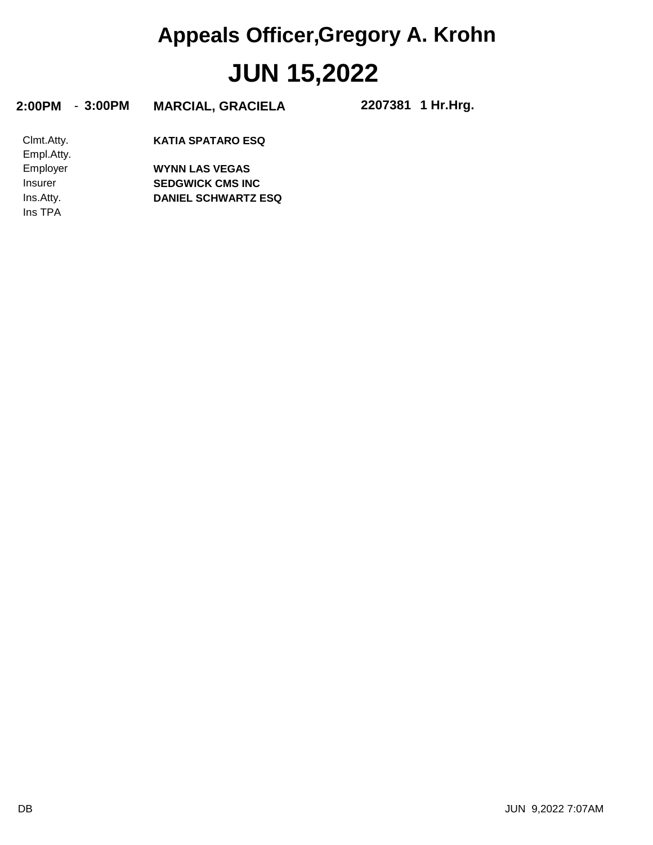# **JUN 15,2022 Appeals Officer,Gregory A. Krohn**

| $-3:00PM$<br>2:00PM      | <b>MARCIAL, GRACIELA</b>   | 2207381 1 Hr.Hrg. |
|--------------------------|----------------------------|-------------------|
| Clmt.Atty.<br>Empl.Atty. | <b>KATIA SPATARO ESQ</b>   |                   |
| Employer                 | <b>WYNN LAS VEGAS</b>      |                   |
| Insurer                  | <b>SEDGWICK CMS INC</b>    |                   |
| Ins.Atty.                | <b>DANIEL SCHWARTZ ESQ</b> |                   |
| Ins TPA                  |                            |                   |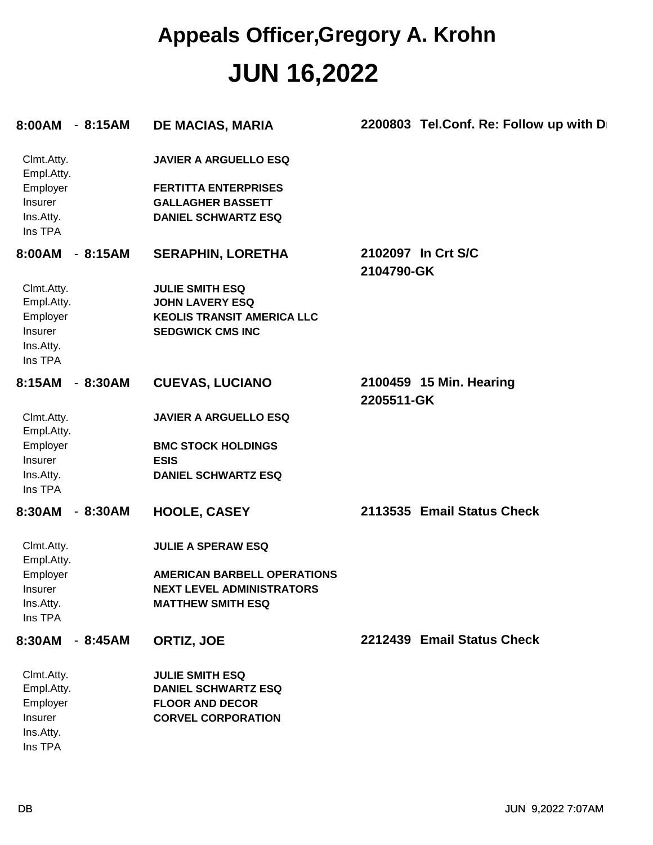#### **JUN 16,2022 Appeals Officer,Gregory A. Krohn**

| 8:00AM                                                                            | $-8:15AM$ | <b>DE MACIAS, MARIA</b>                                                                                                                                | 2200803 Tel.Conf. Re: Follow up with D |
|-----------------------------------------------------------------------------------|-----------|--------------------------------------------------------------------------------------------------------------------------------------------------------|----------------------------------------|
| Clmt.Atty.<br>Empl.Atty.<br>Employer<br>Insurer<br>Ins.Atty.<br>Ins TPA           |           | <b>JAVIER A ARGUELLO ESQ</b><br><b>FERTITTA ENTERPRISES</b><br><b>GALLAGHER BASSETT</b><br><b>DANIEL SCHWARTZ ESQ</b>                                  |                                        |
| 8:00AM<br>Clmt.Atty.<br>Empl.Atty.<br>Employer<br>Insurer<br>Ins.Atty.<br>Ins TPA | $-8:15AM$ | <b>SERAPHIN, LORETHA</b><br><b>JULIE SMITH ESQ</b><br><b>JOHN LAVERY ESQ</b><br><b>KEOLIS TRANSIT AMERICA LLC</b><br><b>SEDGWICK CMS INC</b>           | 2102097 In Crt S/C<br>2104790-GK       |
| 8:15AM<br>Clmt.Atty.<br>Empl.Atty.<br>Employer<br>Insurer<br>Ins.Atty.<br>Ins TPA | $-8:30AM$ | <b>CUEVAS, LUCIANO</b><br><b>JAVIER A ARGUELLO ESQ</b><br><b>BMC STOCK HOLDINGS</b><br><b>ESIS</b><br><b>DANIEL SCHWARTZ ESQ</b>                       | 2100459 15 Min. Hearing<br>2205511-GK  |
| 8:30AM<br>Clmt.Atty.<br>Empl.Atty.<br>Employer<br>Insurer<br>Ins.Atty.<br>Ins TPA | $-8:30AM$ | <b>HOOLE, CASEY</b><br><b>JULIE A SPERAW ESQ</b><br><b>AMERICAN BARBELL OPERATIONS</b><br><b>NEXT LEVEL ADMINISTRATORS</b><br><b>MATTHEW SMITH ESQ</b> | 2113535 Email Status Check             |
| 8:30AM<br>Clmt.Atty.<br>Empl.Atty.<br>Employer<br>Insurer<br>Ins.Atty.<br>Ins TPA | $-8:45AM$ | ORTIZ, JOE<br><b>JULIE SMITH ESQ</b><br><b>DANIEL SCHWARTZ ESQ</b><br><b>FLOOR AND DECOR</b><br><b>CORVEL CORPORATION</b>                              | 2212439 Email Status Check             |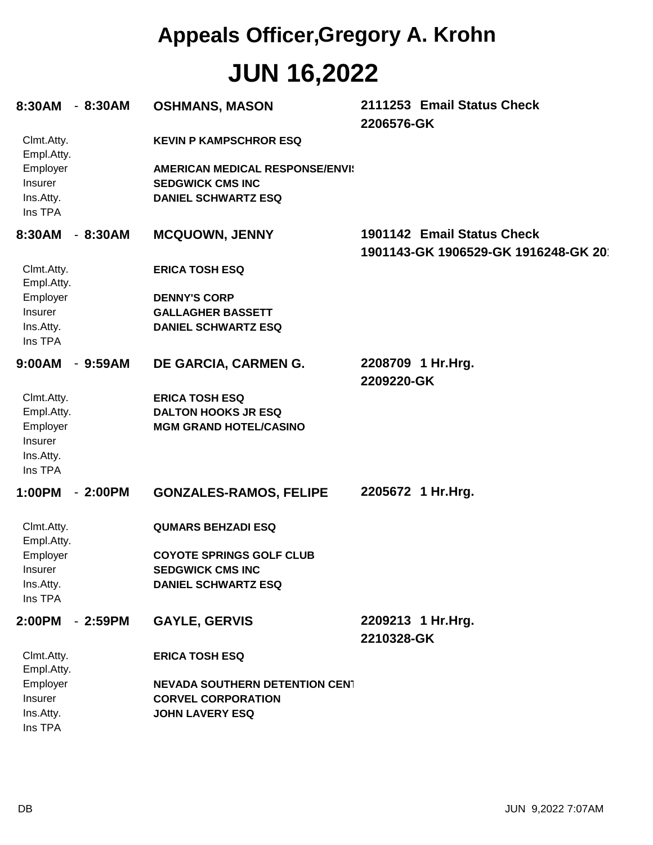# **JUN 16,2022 Appeals Officer,Gregory A. Krohn**

| 8:30AM - 8:30AM                  |           | <b>OSHMANS, MASON</b>                                                                           | 2111253 Email Status Check<br>2206576-GK                          |
|----------------------------------|-----------|-------------------------------------------------------------------------------------------------|-------------------------------------------------------------------|
| Clmt.Atty.<br>Empl.Atty.         |           | <b>KEVIN P KAMPSCHROR ESQ</b>                                                                   |                                                                   |
| Employer<br>Insurer<br>Ins.Atty. |           | <b>AMERICAN MEDICAL RESPONSE/ENVI:</b><br><b>SEDGWICK CMS INC</b><br><b>DANIEL SCHWARTZ ESQ</b> |                                                                   |
| Ins TPA                          |           |                                                                                                 |                                                                   |
| 8:30AM - 8:30AM                  |           | <b>MCQUOWN, JENNY</b>                                                                           | 1901142 Email Status Check<br>1901143-GK 1906529-GK 1916248-GK 20 |
| Clmt.Atty.<br>Empl.Atty.         |           | <b>ERICA TOSH ESQ</b>                                                                           |                                                                   |
| Employer                         |           | <b>DENNY'S CORP</b>                                                                             |                                                                   |
| Insurer                          |           | <b>GALLAGHER BASSETT</b>                                                                        |                                                                   |
| Ins.Atty.<br>Ins TPA             |           | <b>DANIEL SCHWARTZ ESQ</b>                                                                      |                                                                   |
| 9:00AM - 9:59AM                  |           | DE GARCIA, CARMEN G.                                                                            | 2208709 1 Hr.Hrg.                                                 |
|                                  |           |                                                                                                 | 2209220-GK                                                        |
| Clmt.Atty.                       |           | <b>ERICA TOSH ESQ</b>                                                                           |                                                                   |
| Empl.Atty.<br>Employer           |           | <b>DALTON HOOKS JR ESQ</b><br><b>MGM GRAND HOTEL/CASINO</b>                                     |                                                                   |
| Insurer                          |           |                                                                                                 |                                                                   |
| Ins.Atty.                        |           |                                                                                                 |                                                                   |
| Ins TPA                          |           |                                                                                                 |                                                                   |
| 1:00PM                           | $-2:00PM$ | <b>GONZALES-RAMOS, FELIPE</b>                                                                   | 2205672 1 Hr.Hrg.                                                 |
| Clmt.Atty.<br>Empl.Atty.         |           | <b>QUMARS BEHZADI ESQ</b>                                                                       |                                                                   |
| Employer                         |           | <b>COYOTE SPRINGS GOLF CLUB</b>                                                                 |                                                                   |
| <b>Insurer</b>                   |           | <b>SEDGWICK CMS INC</b>                                                                         |                                                                   |
| Ins.Atty.                        |           | <b>DANIEL SCHWARTZ ESQ</b>                                                                      |                                                                   |
| Ins TPA                          |           |                                                                                                 |                                                                   |
| 2:00PM - 2:59PM                  |           | <b>GAYLE, GERVIS</b>                                                                            | 2209213 1 Hr.Hrg.                                                 |
|                                  |           |                                                                                                 | 2210328-GK                                                        |
| Clmt.Atty.<br>Empl.Atty.         |           | <b>ERICA TOSH ESQ</b>                                                                           |                                                                   |
| Employer                         |           | <b>NEVADA SOUTHERN DETENTION CENT</b>                                                           |                                                                   |
| Insurer                          |           | <b>CORVEL CORPORATION</b>                                                                       |                                                                   |
| Ins.Atty.<br>Ins TPA             |           | <b>JOHN LAVERY ESQ</b>                                                                          |                                                                   |
|                                  |           |                                                                                                 |                                                                   |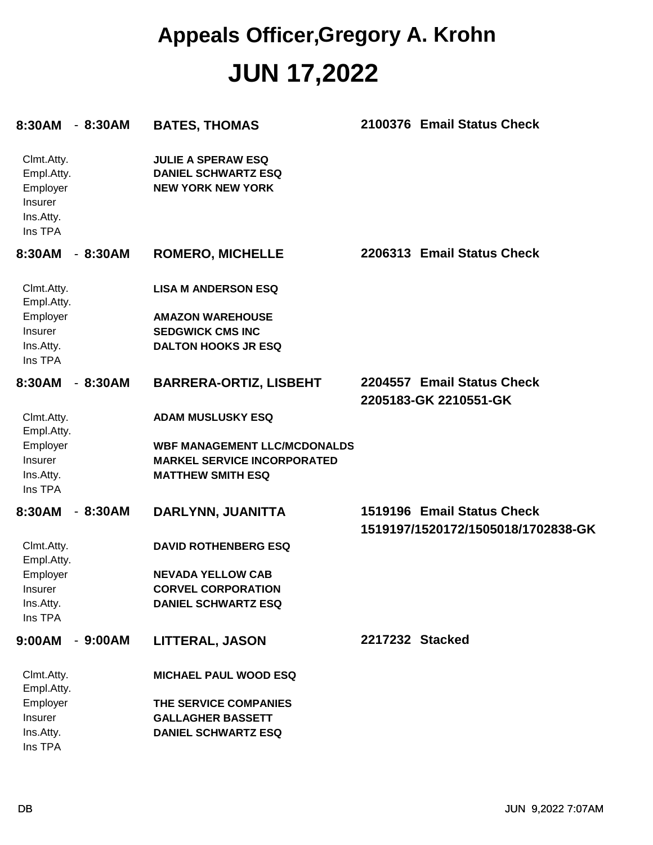#### **JUN 17,2022 Appeals Officer,Gregory A. Krohn**

| 8:30AM                                                                  | $-8:30AM$ | <b>BATES, THOMAS</b>                                                                | 2100376 Email Status Check                                       |
|-------------------------------------------------------------------------|-----------|-------------------------------------------------------------------------------------|------------------------------------------------------------------|
| Clmt.Atty.<br>Empl.Atty.<br>Employer<br>Insurer<br>Ins.Atty.<br>Ins TPA |           | <b>JULIE A SPERAW ESQ</b><br><b>DANIEL SCHWARTZ ESQ</b><br><b>NEW YORK NEW YORK</b> |                                                                  |
| 8:30AM                                                                  | $-8:30AM$ | <b>ROMERO, MICHELLE</b>                                                             | 2206313 Email Status Check                                       |
| Clmt.Atty.<br>Empl.Atty.                                                |           | <b>LISA M ANDERSON ESQ</b>                                                          |                                                                  |
| Employer                                                                |           | <b>AMAZON WAREHOUSE</b>                                                             |                                                                  |
| Insurer                                                                 |           | <b>SEDGWICK CMS INC</b>                                                             |                                                                  |
| Ins.Atty.<br>Ins TPA                                                    |           | <b>DALTON HOOKS JR ESQ</b>                                                          |                                                                  |
| 8:30AM                                                                  | $-8:30AM$ | <b>BARRERA-ORTIZ, LISBEHT</b>                                                       | 2204557 Email Status Check<br>2205183-GK 2210551-GK              |
| Clmt.Atty.<br>Empl.Atty.                                                |           | <b>ADAM MUSLUSKY ESQ</b>                                                            |                                                                  |
| Employer                                                                |           | <b>WBF MANAGEMENT LLC/MCDONALDS</b>                                                 |                                                                  |
| Insurer                                                                 |           | <b>MARKEL SERVICE INCORPORATED</b>                                                  |                                                                  |
| Ins.Atty.<br>Ins TPA                                                    |           | <b>MATTHEW SMITH ESQ</b>                                                            |                                                                  |
| 8:30AM                                                                  | $-8:30AM$ | DARLYNN, JUANITTA                                                                   | 1519196 Email Status Check<br>1519197/1520172/1505018/1702838-GK |
| Clmt.Atty.<br>Empl.Atty.                                                |           | <b>DAVID ROTHENBERG ESQ</b>                                                         |                                                                  |
| Employer                                                                |           | <b>NEVADA YELLOW CAB</b>                                                            |                                                                  |
| Insurer                                                                 |           | <b>CORVEL CORPORATION</b>                                                           |                                                                  |
| Ins.Atty.<br>Ins TPA                                                    |           | <b>DANIEL SCHWARTZ ESQ</b>                                                          |                                                                  |
| 9:00AM                                                                  | $-9:00AM$ | <b>LITTERAL, JASON</b>                                                              | 2217232 Stacked                                                  |
| Clmt.Atty.<br>Empl.Atty.                                                |           | <b>MICHAEL PAUL WOOD ESQ</b>                                                        |                                                                  |
| Employer                                                                |           | THE SERVICE COMPANIES                                                               |                                                                  |
| Insurer                                                                 |           | <b>GALLAGHER BASSETT</b>                                                            |                                                                  |
| Ins.Atty.                                                               |           | <b>DANIEL SCHWARTZ ESQ</b>                                                          |                                                                  |
| Ins TPA                                                                 |           |                                                                                     |                                                                  |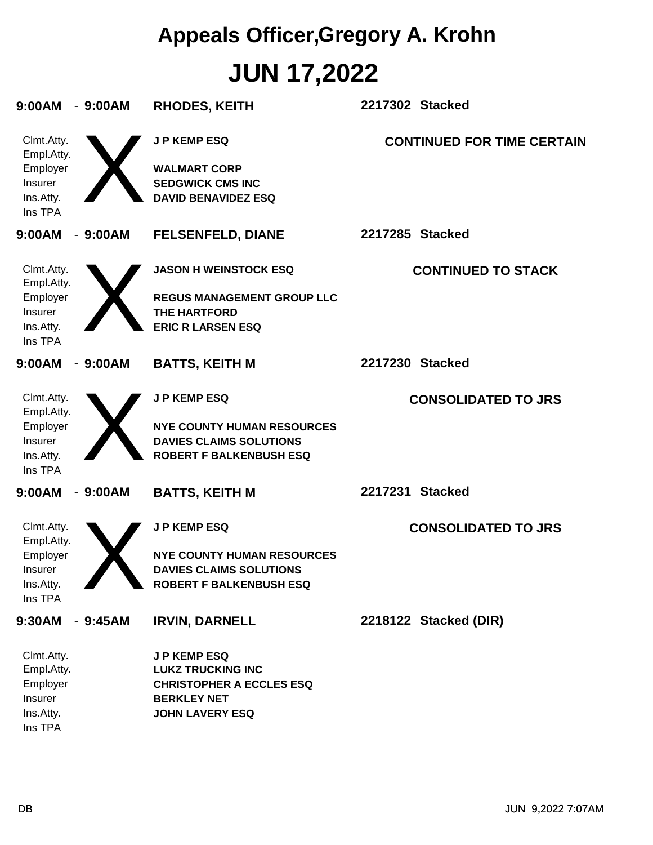# **JUN 17,2022 Appeals Officer,Gregory A. Krohn**

| 9:00AM<br>$-9:00AM$                                                     | <b>RHODES, KEITH</b>                                                                                                              | 2217302 Stacked                   |
|-------------------------------------------------------------------------|-----------------------------------------------------------------------------------------------------------------------------------|-----------------------------------|
| Clmt.Atty.<br>Empl.Atty.<br>Employer<br>Insurer<br>Ins.Atty.<br>Ins TPA | <b>JP KEMP ESQ</b><br><b>WALMART CORP</b><br><b>SEDGWICK CMS INC</b><br><b>DAVID BENAVIDEZ ESQ</b>                                | <b>CONTINUED FOR TIME CERTAIN</b> |
| 9:00AM<br>$-9:00AM$                                                     | <b>FELSENFELD, DIANE</b>                                                                                                          | 2217285 Stacked                   |
| Clmt.Atty.<br>Empl.Atty.<br>Employer<br>Insurer<br>Ins.Atty.<br>Ins TPA | <b>JASON H WEINSTOCK ESQ</b><br><b>REGUS MANAGEMENT GROUP LLC</b><br><b>THE HARTFORD</b><br><b>ERIC R LARSEN ESQ</b>              | <b>CONTINUED TO STACK</b>         |
| 9:00AM<br>$-9:00AM$                                                     | <b>BATTS, KEITH M</b>                                                                                                             | 2217230 Stacked                   |
| Clmt.Atty.<br>Empl.Atty.<br>Employer<br>Insurer<br>Ins.Atty.<br>Ins TPA | <b>JP KEMP ESQ</b><br><b>NYE COUNTY HUMAN RESOURCES</b><br><b>DAVIES CLAIMS SOLUTIONS</b><br><b>ROBERT F BALKENBUSH ESQ</b>       | <b>CONSOLIDATED TO JRS</b>        |
| 9:00AM<br>$-9:00AM$                                                     | <b>BATTS, KEITH M</b>                                                                                                             | 2217231 Stacked                   |
| Clmt.Atty.<br>Empl.Atty.<br>Employer<br>Insurer<br>Ins.Atty.<br>Ins TPA | <b>JP KEMP ESQ</b><br><b>NYE COUNTY HUMAN RESOURCES</b><br><b>DAVIES CLAIMS SOLUTIONS</b><br><b>ROBERT F BALKENBUSH ESQ</b>       | <b>CONSOLIDATED TO JRS</b>        |
| 9:30AM<br>$-9:45AM$                                                     | <b>IRVIN, DARNELL</b>                                                                                                             | 2218122 Stacked (DIR)             |
| Clmt.Atty.<br>Empl.Atty.<br>Employer<br>Insurer<br>Ins.Atty.            | <b>JP KEMP ESQ</b><br><b>LUKZ TRUCKING INC</b><br><b>CHRISTOPHER A ECCLES ESQ</b><br><b>BERKLEY NET</b><br><b>JOHN LAVERY ESQ</b> |                                   |

Ins TPA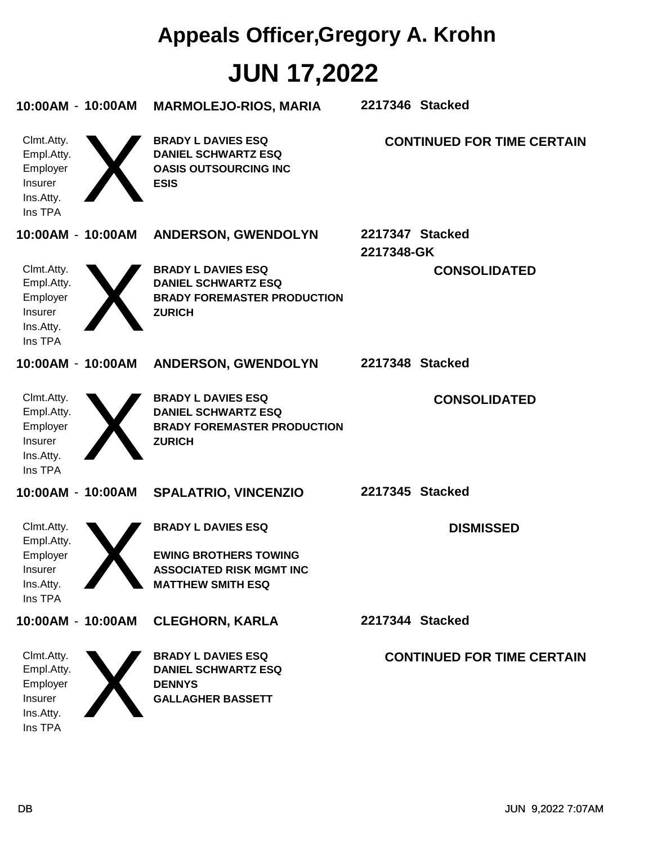# **JUN 17,2022 Appeals Officer,Gregory A. Krohn**

| 10:00AM - 10:00AM                                                              | <b>MARMOLEJO-RIOS, MARIA</b>                                                                                             | 2217346 Stacked               |                                   |
|--------------------------------------------------------------------------------|--------------------------------------------------------------------------------------------------------------------------|-------------------------------|-----------------------------------|
| Clmt.Atty.<br>Empl.Atty.<br>Employer<br>Insurer<br>Ins.Atty.<br>Ins TPA        | <b>BRADY L DAVIES ESQ</b><br><b>DANIEL SCHWARTZ ESQ</b><br><b>OASIS OUTSOURCING INC</b><br><b>ESIS</b>                   |                               | <b>CONTINUED FOR TIME CERTAIN</b> |
| 10:00AM - 10:00AM                                                              | <b>ANDERSON, GWENDOLYN</b>                                                                                               | 2217347 Stacked<br>2217348-GK |                                   |
| Clmt.Atty.<br>Empl.Atty.<br>Employer<br>Insurer<br>Ins.Atty.<br>Ins TPA        | <b>BRADY L DAVIES ESQ</b><br><b>DANIEL SCHWARTZ ESQ</b><br><b>BRADY FOREMASTER PRODUCTION</b><br><b>ZURICH</b>           |                               | <b>CONSOLIDATED</b>               |
| 10:00AM - 10:00AM                                                              | <b>ANDERSON, GWENDOLYN</b>                                                                                               | 2217348 Stacked               |                                   |
| Clmt.Atty.<br>Empl.Atty.<br>Employer<br>Insurer<br>Ins.Atty.<br>Ins TPA        | <b>BRADY L DAVIES ESQ</b><br><b>DANIEL SCHWARTZ ESQ</b><br><b>BRADY FOREMASTER PRODUCTION</b><br><b>ZURICH</b>           |                               | <b>CONSOLIDATED</b>               |
| 10:00AM - 10:00AM                                                              | <b>SPALATRIO, VINCENZIO</b>                                                                                              | 2217345 Stacked               |                                   |
| Clmt.Atty.<br>Empl.Atty.<br>Employer<br><b>Insurer</b><br>Ins.Atty.<br>Ins TPA | <b>BRADY L DAVIES ESQ</b><br><b>EWING BROTHERS TOWING</b><br><b>ASSOCIATED RISK MGMT INC</b><br><b>MATTHEW SMITH ESQ</b> |                               | <b>DISMISSED</b>                  |
| 10:00AM - 10:00AM                                                              | <b>CLEGHORN, KARLA</b>                                                                                                   | 2217344 Stacked               |                                   |
| Clmt.Atty.<br>Empl.Atty.<br>Employer<br>Insurer<br>Ins.Atty.<br>Ins TPA        | <b>BRADY L DAVIES ESQ</b><br><b>DANIEL SCHWARTZ ESQ</b><br><b>DENNYS</b><br><b>GALLAGHER BASSETT</b>                     |                               | <b>CONTINUED FOR TIME CERTAIN</b> |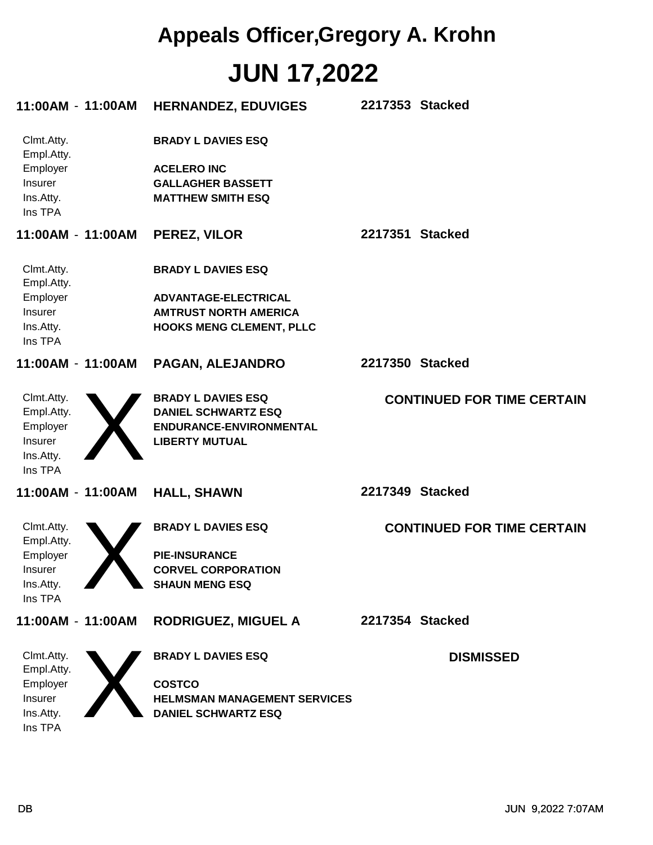## **JUN 17,2022 Appeals Officer,Gregory A. Krohn**

| 11:00AM - 11:00AM                           | <b>HERNANDEZ, EDUVIGES</b>                                                 | 2217353 Stacked |                                   |
|---------------------------------------------|----------------------------------------------------------------------------|-----------------|-----------------------------------|
| Clmt.Atty.<br>Empl.Atty.                    | <b>BRADY L DAVIES ESQ</b>                                                  |                 |                                   |
| Employer<br>Insurer<br>Ins.Atty.<br>Ins TPA | <b>ACELERO INC</b><br><b>GALLAGHER BASSETT</b><br><b>MATTHEW SMITH ESQ</b> |                 |                                   |
| 11:00AM - 11:00AM                           | PEREZ, VILOR                                                               | 2217351 Stacked |                                   |
| Clmt.Atty.<br>Empl.Atty.                    | <b>BRADY L DAVIES ESQ</b>                                                  |                 |                                   |
| Employer                                    | ADVANTAGE-ELECTRICAL                                                       |                 |                                   |
| Insurer                                     | <b>AMTRUST NORTH AMERICA</b>                                               |                 |                                   |
| Ins.Atty.<br>Ins TPA                        | <b>HOOKS MENG CLEMENT, PLLC</b>                                            |                 |                                   |
| 11:00AM - 11:00AM                           | PAGAN, ALEJANDRO                                                           | 2217350 Stacked |                                   |
| Clmt.Atty.                                  | <b>BRADY L DAVIES ESQ</b>                                                  |                 | <b>CONTINUED FOR TIME CERTAIN</b> |
| Empl.Atty.                                  | <b>DANIEL SCHWARTZ ESQ</b>                                                 |                 |                                   |
| Employer                                    | ENDURANCE-ENVIRONMENTAL                                                    |                 |                                   |
| Insurer                                     | <b>LIBERTY MUTUAL</b>                                                      |                 |                                   |
| Ins.Atty.                                   |                                                                            |                 |                                   |
| Ins TPA                                     |                                                                            |                 |                                   |
| 11:00AM - 11:00AM                           | <b>HALL, SHAWN</b>                                                         | 2217349 Stacked |                                   |
| Clmt.Atty.<br>Empl.Atty.                    | <b>BRADY L DAVIES ESQ</b>                                                  |                 | <b>CONTINUED FOR TIME CERTAIN</b> |
| Employer                                    | <b>PIE-INSURANCE</b>                                                       |                 |                                   |
| Insurer                                     | <b>CORVEL CORPORATION</b>                                                  |                 |                                   |
| Ins.Atty.                                   | <b>SHAUN MENG ESQ</b>                                                      |                 |                                   |
| Ins TPA                                     |                                                                            |                 |                                   |
| 11:00AM - 11:00AM                           | <b>RODRIGUEZ, MIGUEL A</b>                                                 | 2217354 Stacked |                                   |
| Clmt.Atty.<br>Empl.Atty.                    | <b>BRADY L DAVIES ESQ</b>                                                  |                 | <b>DISMISSED</b>                  |
| Employer                                    | <b>COSTCO</b>                                                              |                 |                                   |
| Insurer                                     | <b>HELMSMAN MANAGEMENT SERVICES</b>                                        |                 |                                   |
| Ins.Atty.                                   | <b>DANIEL SCHWARTZ ESQ</b>                                                 |                 |                                   |
| Ins TPA                                     |                                                                            |                 |                                   |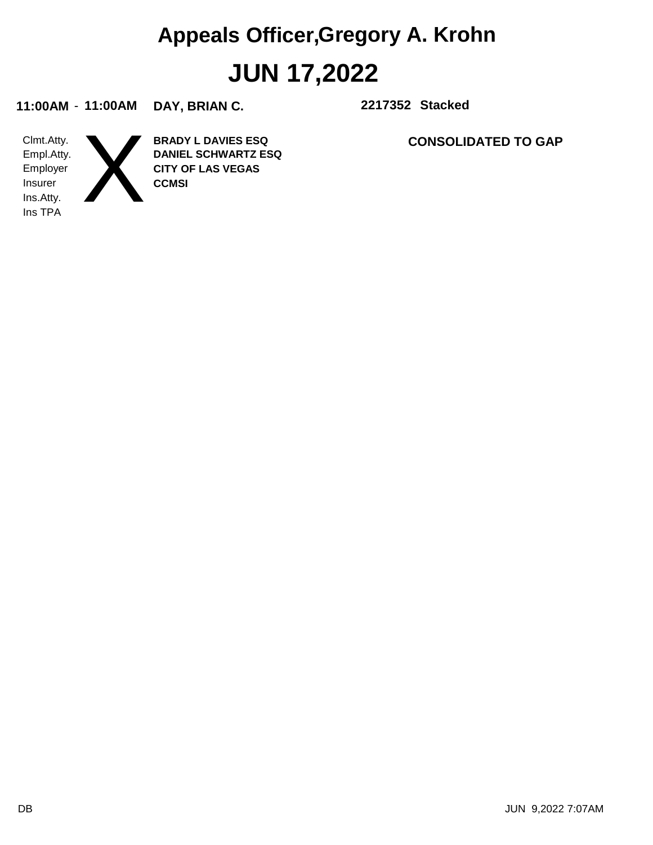# **JUN 17,2022 Appeals Officer,Gregory A. Krohn**

**11:00AM** - **11:00AM DAY, BRIAN C. 2217352**

**2217352 Stacked** 

Ins TPA Ins.Atty. Insurer Employer Empl.Atty. Clmt.Atty.

**CCMSI CITY OF LAS VEGAS DANIEL SCHWARTZ ESQ BRADY L DAVIES ESQ** X

**CONSOLIDATED TO GAP**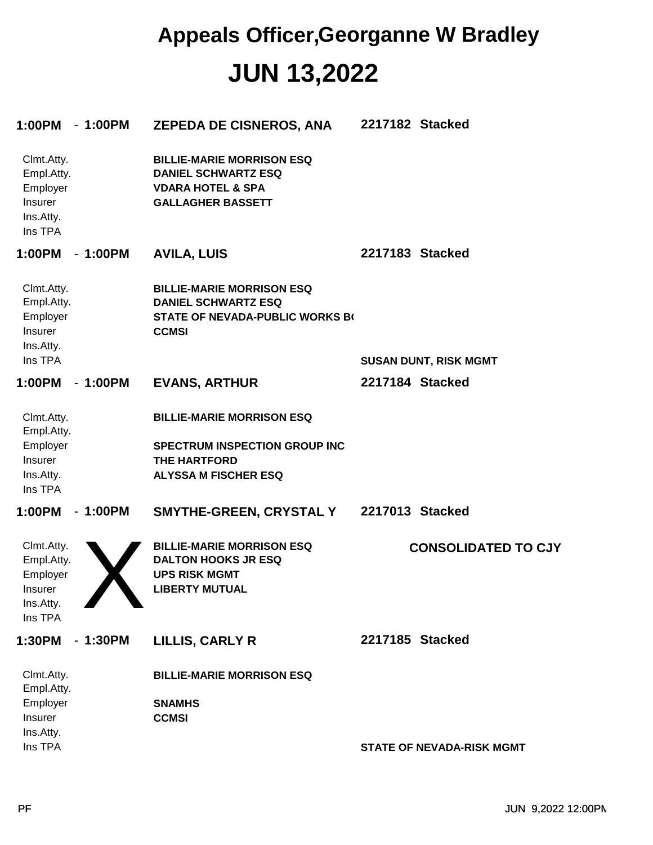#### **JUN 13,2022 Appeals Officer,Georganne W Bradley**

| 1:00PM                                                                  | $-1:00PM$ | <b>ZEPEDA DE CISNEROS, ANA</b>                                                                                                 | 2217182 Stacked |                                  |
|-------------------------------------------------------------------------|-----------|--------------------------------------------------------------------------------------------------------------------------------|-----------------|----------------------------------|
| Clmt.Atty.<br>Empl.Atty.<br>Employer<br>Insurer<br>Ins.Atty.<br>Ins TPA |           | <b>BILLIE-MARIE MORRISON ESQ</b><br><b>DANIEL SCHWARTZ ESQ</b><br><b>VDARA HOTEL &amp; SPA</b><br><b>GALLAGHER BASSETT</b>     |                 |                                  |
| 1:00PM                                                                  | $-1:00PM$ | <b>AVILA, LUIS</b>                                                                                                             | 2217183 Stacked |                                  |
| Clmt.Atty.<br>Empl.Atty.<br>Employer<br>Insurer<br>Ins.Atty.<br>Ins TPA |           | <b>BILLIE-MARIE MORRISON ESQ</b><br><b>DANIEL SCHWARTZ ESQ</b><br><b>STATE OF NEVADA-PUBLIC WORKS BO</b><br><b>CCMSI</b>       |                 |                                  |
|                                                                         |           |                                                                                                                                | 2217184 Stacked | <b>SUSAN DUNT, RISK MGMT</b>     |
| 1:00PM                                                                  | $-1:00PM$ | <b>EVANS, ARTHUR</b>                                                                                                           |                 |                                  |
| Clmt.Atty.<br>Empl.Atty.<br>Employer<br>Insurer<br>Ins.Atty.<br>Ins TPA |           | <b>BILLIE-MARIE MORRISON ESQ</b><br><b>SPECTRUM INSPECTION GROUP INC</b><br><b>THE HARTFORD</b><br><b>ALYSSA M FISCHER ESQ</b> |                 |                                  |
| 1:00PM                                                                  | $-1:00PM$ | <b>SMYTHE-GREEN, CRYSTAL Y</b>                                                                                                 | 2217013 Stacked |                                  |
| Clmt.Atty.<br>Empl.Atty.<br>Employer<br>Insurer<br>Ins.Atty.<br>Ins TPA |           | <b>BILLIE-MARIE MORRISON ESQ</b><br><b>DALTON HOOKS JR ESQ</b><br><b>UPS RISK MGMT</b><br><b>LIBERTY MUTUAL</b>                |                 | <b>CONSOLIDATED TO CJY</b>       |
| 1:30PM                                                                  | $-1:30PM$ | LILLIS, CARLY R                                                                                                                | 2217185 Stacked |                                  |
| Clmt.Atty.<br>Empl.Atty.                                                |           | <b>BILLIE-MARIE MORRISON ESQ</b>                                                                                               |                 |                                  |
| Employer<br>Insurer                                                     |           | <b>SNAMHS</b><br><b>CCMSI</b>                                                                                                  |                 |                                  |
| Ins.Atty.<br>Ins TPA                                                    |           |                                                                                                                                |                 | <b>STATE OF NEVADA-RISK MGMT</b> |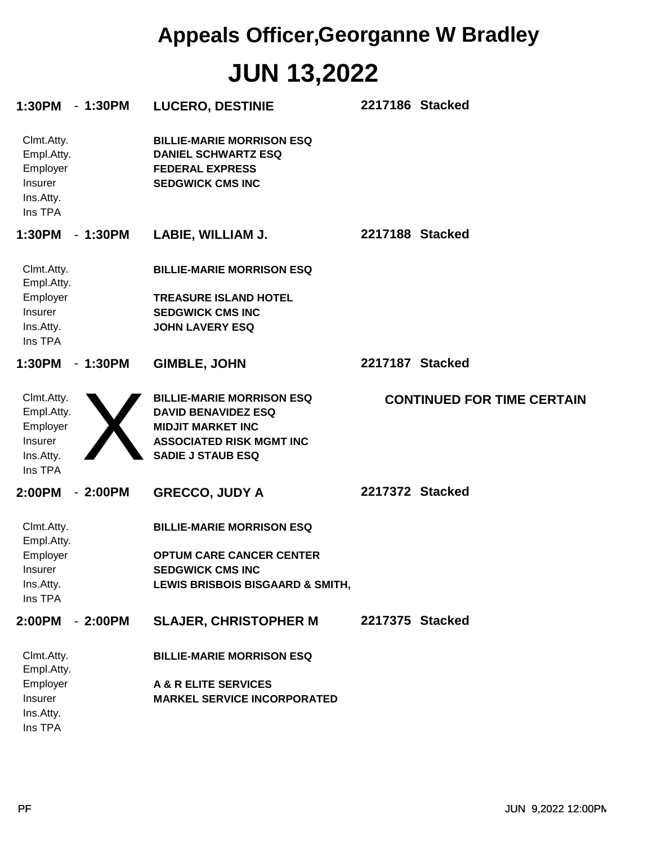# **JUN 13,2022 Appeals Officer,Georganne W Bradley**

| 1:30PM                                                                  | $-1:30PM$ | <b>LUCERO, DESTINIE</b>                                                                                                                                   | 2217186 Stacked |                                   |
|-------------------------------------------------------------------------|-----------|-----------------------------------------------------------------------------------------------------------------------------------------------------------|-----------------|-----------------------------------|
| Clmt.Atty.<br>Empl.Atty.<br>Employer<br>Insurer<br>Ins.Atty.<br>Ins TPA |           | <b>BILLIE-MARIE MORRISON ESQ</b><br><b>DANIEL SCHWARTZ ESQ</b><br><b>FEDERAL EXPRESS</b><br><b>SEDGWICK CMS INC</b>                                       |                 |                                   |
| 1:30PM                                                                  | $-1:30PM$ | LABIE, WILLIAM J.                                                                                                                                         | 2217188 Stacked |                                   |
| Clmt.Atty.<br>Empl.Atty.                                                |           | <b>BILLIE-MARIE MORRISON ESQ</b>                                                                                                                          |                 |                                   |
| Employer<br>Insurer<br>Ins.Atty.<br>Ins TPA                             |           | <b>TREASURE ISLAND HOTEL</b><br><b>SEDGWICK CMS INC</b><br><b>JOHN LAVERY ESQ</b>                                                                         |                 |                                   |
| 1:30PM                                                                  | $-1:30PM$ | <b>GIMBLE, JOHN</b>                                                                                                                                       | 2217187 Stacked |                                   |
| Clmt.Atty.<br>Empl.Atty.<br>Employer<br>Insurer<br>Ins.Atty.<br>Ins TPA |           | <b>BILLIE-MARIE MORRISON ESQ</b><br><b>DAVID BENAVIDEZ ESQ</b><br><b>MIDJIT MARKET INC</b><br><b>ASSOCIATED RISK MGMT INC</b><br><b>SADIE J STAUB ESQ</b> |                 | <b>CONTINUED FOR TIME CERTAIN</b> |
| 2:00PM                                                                  | $-2:00PM$ | <b>GRECCO, JUDY A</b>                                                                                                                                     | 2217372 Stacked |                                   |
| Clmt.Atty.<br>Empl.Atty.<br>Employer<br>Insurer<br>Ins.Atty.<br>Ins TPA |           | <b>BILLIE-MARIE MORRISON ESQ</b><br><b>OPTUM CARE CANCER CENTER</b><br><b>SEDGWICK CMS INC</b><br>LEWIS BRISBOIS BISGAARD & SMITH,                        |                 |                                   |
| 2:00PM                                                                  | $-2:00PM$ | <b>SLAJER, CHRISTOPHER M</b>                                                                                                                              | 2217375 Stacked |                                   |
| Clmt.Atty.<br>Empl.Atty.                                                |           | <b>BILLIE-MARIE MORRISON ESQ</b>                                                                                                                          |                 |                                   |
| Employer<br>Insurer<br>Ins.Atty.<br>Ins TPA                             |           | <b>A &amp; R ELITE SERVICES</b><br><b>MARKEL SERVICE INCORPORATED</b>                                                                                     |                 |                                   |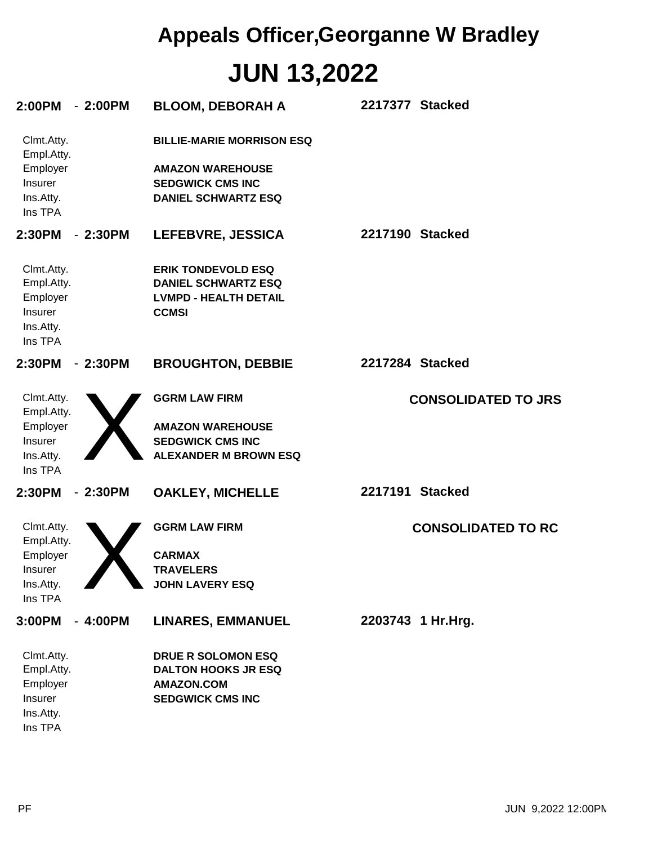# **JUN 13,2022 Appeals Officer,Georganne W Bradley**

| 2:00PM                                                                         | $-2:00PM$ | <b>BLOOM, DEBORAH A</b>                                                                                              | 2217377 Stacked            |
|--------------------------------------------------------------------------------|-----------|----------------------------------------------------------------------------------------------------------------------|----------------------------|
| Clmt.Atty.<br>Empl.Atty.<br>Employer<br><b>Insurer</b><br>Ins.Atty.<br>Ins TPA |           | <b>BILLIE-MARIE MORRISON ESQ</b><br><b>AMAZON WAREHOUSE</b><br><b>SEDGWICK CMS INC</b><br><b>DANIEL SCHWARTZ ESQ</b> |                            |
| 2:30PM                                                                         | $-2:30PM$ | LEFEBVRE, JESSICA                                                                                                    | 2217190 Stacked            |
| Clmt.Atty.<br>Empl.Atty.<br>Employer<br>Insurer<br>Ins.Atty.<br>Ins TPA        |           | <b>ERIK TONDEVOLD ESQ</b><br><b>DANIEL SCHWARTZ ESQ</b><br><b>LVMPD - HEALTH DETAIL</b><br><b>CCMSI</b>              |                            |
| 2:30PM                                                                         | $-2:30PM$ | <b>BROUGHTON, DEBBIE</b>                                                                                             | 2217284 Stacked            |
| Clmt.Atty.<br>Empl.Atty.<br>Employer<br>Insurer<br>Ins.Atty.<br>Ins TPA        |           | <b>GGRM LAW FIRM</b><br><b>AMAZON WAREHOUSE</b><br><b>SEDGWICK CMS INC</b><br><b>ALEXANDER M BROWN ESQ</b>           | <b>CONSOLIDATED TO JRS</b> |
| 2:30PM                                                                         | $-2:30PM$ | <b>OAKLEY, MICHELLE</b>                                                                                              | 2217191 Stacked            |
| Clmt.Atty.<br>Empl.Atty.<br>Employer<br>Insurer<br>Ins.Atty.<br>Ins TPA        |           | <b>GGRM LAW FIRM</b><br><b>CARMAX</b><br><b>TRAVELERS</b><br><b>JOHN LAVERY ESQ</b>                                  | <b>CONSOLIDATED TO RC</b>  |
| 3:00PM                                                                         | $-4:00PM$ | <b>LINARES, EMMANUEL</b>                                                                                             | 2203743 1 Hr.Hrg.          |
| Clmt.Atty.<br>Empl.Atty.<br>Employer<br>Insurer<br>Ins.Atty.<br>Ins TPA        |           | DRUE R SOLOMON ESQ<br><b>DALTON HOOKS JR ESQ</b><br><b>AMAZON.COM</b><br><b>SEDGWICK CMS INC</b>                     |                            |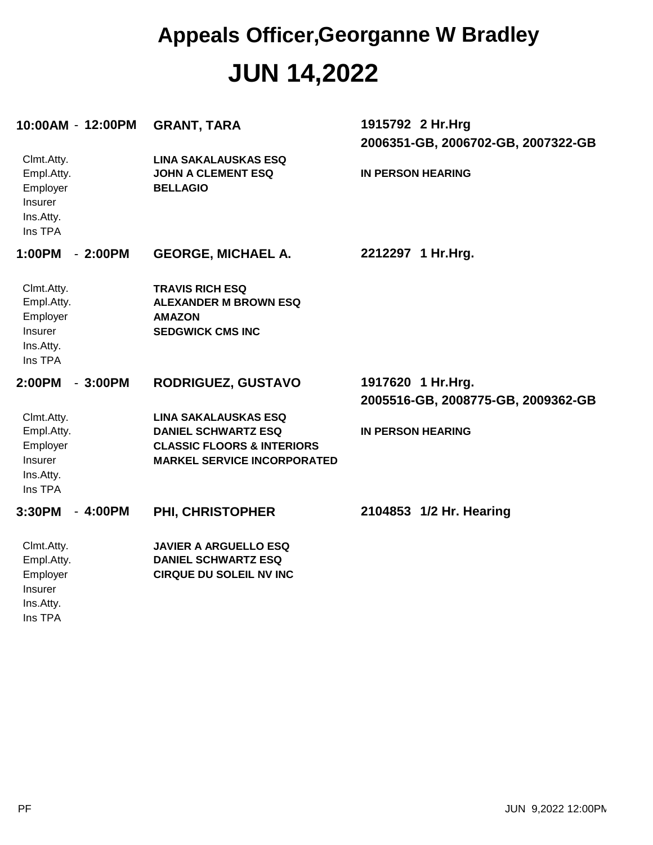#### **JUN 14,2022 Appeals Officer,Georganne W Bradley**

| 10:00AM - 12:00PM                                                       | <b>GRANT, TARA</b>                                                                                                                       | 1915792 2 Hr.Hrg<br>2006351-GB, 2006702-GB, 2007322-GB   |
|-------------------------------------------------------------------------|------------------------------------------------------------------------------------------------------------------------------------------|----------------------------------------------------------|
| Clmt.Atty.<br>Empl.Atty.<br>Employer<br>Insurer<br>Ins.Atty.<br>Ins TPA | <b>LINA SAKALAUSKAS ESQ</b><br><b>JOHN A CLEMENT ESQ</b><br><b>BELLAGIO</b>                                                              | <b>IN PERSON HEARING</b>                                 |
| 1:00PM<br>$-2:00PM$                                                     | <b>GEORGE, MICHAEL A.</b>                                                                                                                | 2212297 1 Hr. Hrg.                                       |
| Clmt.Atty.<br>Empl.Atty.<br>Employer<br>Insurer<br>Ins.Atty.<br>Ins TPA | <b>TRAVIS RICH ESQ</b><br><b>ALEXANDER M BROWN ESQ</b><br><b>AMAZON</b><br><b>SEDGWICK CMS INC</b>                                       |                                                          |
| 2:00PM<br>$-3:00PM$                                                     | <b>RODRIGUEZ, GUSTAVO</b>                                                                                                                | 1917620 1 Hr. Hrg.<br>2005516-GB, 2008775-GB, 2009362-GB |
| Clmt.Atty.<br>Empl.Atty.<br>Employer<br>Insurer<br>Ins.Atty.<br>Ins TPA | <b>LINA SAKALAUSKAS ESQ</b><br><b>DANIEL SCHWARTZ ESQ</b><br><b>CLASSIC FLOORS &amp; INTERIORS</b><br><b>MARKEL SERVICE INCORPORATED</b> | <b>IN PERSON HEARING</b>                                 |
| 3:30PM<br>$-4:00PM$                                                     | PHI, CHRISTOPHER                                                                                                                         | 2104853 1/2 Hr. Hearing                                  |
| Clmt.Atty.<br>Empl.Atty.<br>Employer<br>Insurer<br>Ins.Atty.<br>Ins TPA | <b>JAVIER A ARGUELLO ESQ</b><br><b>DANIEL SCHWARTZ ESQ</b><br><b>CIRQUE DU SOLEIL NV INC</b>                                             |                                                          |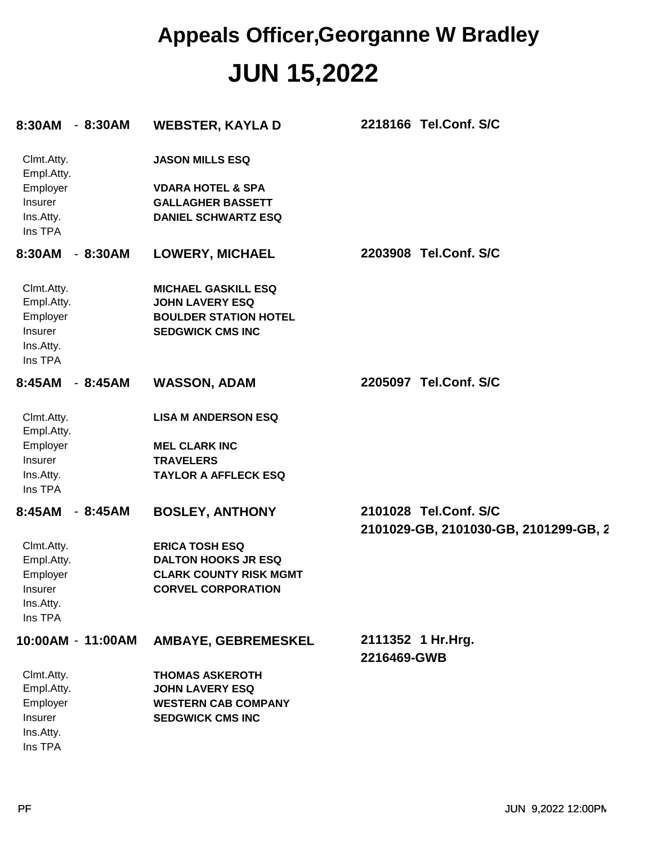### **JUN 15,2022 Appeals Officer,Georganne W Bradley**

| 8:30AM                                                                  | $-8:30AM$ | <b>WEBSTER, KAYLA D</b>                                                                                           | 2218166 Tel.Conf. S/C                                          |
|-------------------------------------------------------------------------|-----------|-------------------------------------------------------------------------------------------------------------------|----------------------------------------------------------------|
| Clmt.Atty.<br>Empl.Atty.<br>Employer                                    |           | <b>JASON MILLS ESQ</b><br><b>VDARA HOTEL &amp; SPA</b>                                                            |                                                                |
| Insurer<br>Ins.Atty.<br>Ins TPA                                         |           | <b>GALLAGHER BASSETT</b><br><b>DANIEL SCHWARTZ ESQ</b>                                                            |                                                                |
| 8:30AM                                                                  | $-8:30AM$ | <b>LOWERY, MICHAEL</b>                                                                                            | 2203908 Tel.Conf. S/C                                          |
| Clmt.Atty.<br>Empl.Atty.<br>Employer<br>Insurer<br>Ins.Atty.<br>Ins TPA |           | <b>MICHAEL GASKILL ESQ</b><br><b>JOHN LAVERY ESQ</b><br><b>BOULDER STATION HOTEL</b><br><b>SEDGWICK CMS INC</b>   |                                                                |
| 8:45AM                                                                  | $-8:45AM$ | <b>WASSON, ADAM</b>                                                                                               | 2205097 Tel.Conf. S/C                                          |
| Clmt.Atty.<br>Empl.Atty.<br>Employer<br>Insurer<br>Ins.Atty.<br>Ins TPA |           | <b>LISA M ANDERSON ESQ</b><br><b>MEL CLARK INC</b><br><b>TRAVELERS</b><br><b>TAYLOR A AFFLECK ESQ</b>             |                                                                |
| 8:45AM                                                                  | $-8:45AM$ | <b>BOSLEY, ANTHONY</b>                                                                                            | 2101028 Tel.Conf. S/C<br>2101029-GB, 2101030-GB, 2101299-GB, 2 |
| Clmt.Atty.<br>Empl.Atty.<br>Employer<br>Insurer<br>Ins.Atty.<br>Ins TPA |           | <b>ERICA TOSH ESQ</b><br><b>DALTON HOOKS JR ESQ</b><br><b>CLARK COUNTY RISK MGMT</b><br><b>CORVEL CORPORATION</b> |                                                                |
| 10:00AM - 11:00AM                                                       |           | AMBAYE, GEBREMESKEL                                                                                               | 2111352 1 Hr.Hrg.<br>2216469-GWB                               |
| Clmt.Atty.<br>Empl.Atty.<br>Employer<br>Insurer<br>Ins.Atty.<br>Ins TPA |           | <b>THOMAS ASKEROTH</b><br><b>JOHN LAVERY ESQ</b><br><b>WESTERN CAB COMPANY</b><br><b>SEDGWICK CMS INC</b>         |                                                                |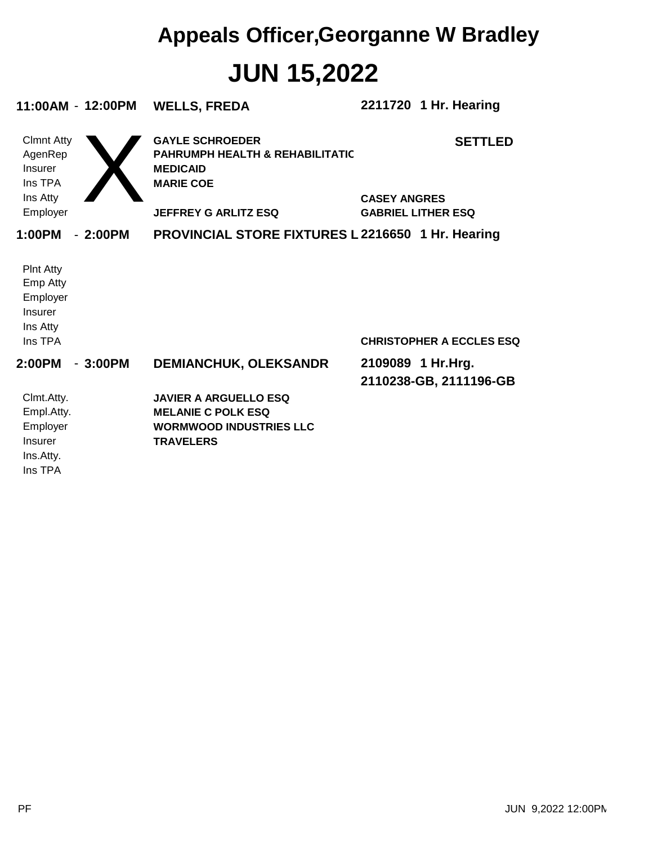## **JUN 15,2022 Appeals Officer,Georganne W Bradley**

| 11:00AM - 12:00PM                                                          |           | <b>WELLS, FREDA</b>                                                                                             | 2211720 1 Hr. Hearing                            |
|----------------------------------------------------------------------------|-----------|-----------------------------------------------------------------------------------------------------------------|--------------------------------------------------|
| <b>Clmnt Atty</b><br>AgenRep<br>Insurer<br>Ins TPA                         |           | <b>GAYLE SCHROEDER</b><br><b>PAHRUMPH HEALTH &amp; REHABILITATIC</b><br><b>MEDICAID</b><br><b>MARIE COE</b>     | <b>SETTLED</b>                                   |
| Ins Atty<br>Employer                                                       |           | <b>JEFFREY G ARLITZ ESQ</b>                                                                                     | <b>CASEY ANGRES</b><br><b>GABRIEL LITHER ESQ</b> |
| 1:00PM                                                                     | $-2:00PM$ | <b>PROVINCIAL STORE FIXTURES L2216650 1 Hr. Hearing</b>                                                         |                                                  |
| <b>Pint Atty</b><br>Emp Atty<br>Employer<br>Insurer<br>Ins Atty<br>Ins TPA |           |                                                                                                                 | <b>CHRISTOPHER A ECCLES ESQ</b>                  |
| 2:00PM                                                                     | $-3:00PM$ | <b>DEMIANCHUK, OLEKSANDR</b>                                                                                    | 2109089 1 Hr.Hrg.<br>2110238-GB, 2111196-GB      |
| Clmt.Atty.<br>Empl.Atty.<br>Employer<br>Insurer<br>Ins.Atty.<br>Ins TPA    |           | <b>JAVIER A ARGUELLO ESQ</b><br><b>MELANIE C POLK ESQ</b><br><b>WORMWOOD INDUSTRIES LLC</b><br><b>TRAVELERS</b> |                                                  |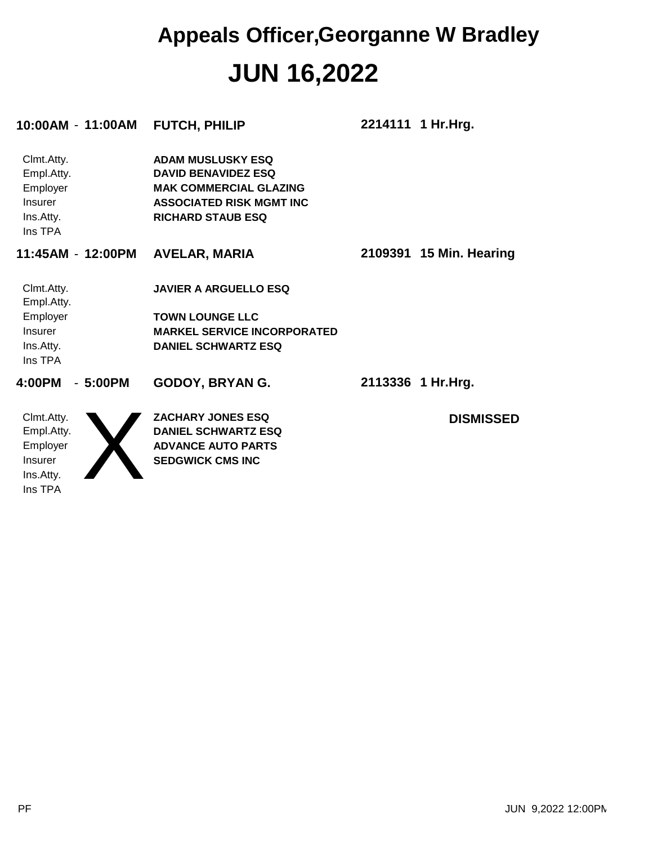#### **JUN 16,2022 Appeals Officer,Georganne W Bradley**

|                                                                                | 10:00AM - 11:00AM | <b>FUTCH, PHILIP</b>                                                                                                                                   | 2214111 1 Hr. Hrg.      |
|--------------------------------------------------------------------------------|-------------------|--------------------------------------------------------------------------------------------------------------------------------------------------------|-------------------------|
| Clmt.Atty.<br>Empl.Atty.<br>Employer<br>Insurer<br>Ins.Atty.<br>Ins TPA        |                   | <b>ADAM MUSLUSKY ESQ</b><br><b>DAVID BENAVIDEZ ESQ</b><br><b>MAK COMMERCIAL GLAZING</b><br><b>ASSOCIATED RISK MGMT INC</b><br><b>RICHARD STAUB ESQ</b> |                         |
| 11:45AM - 12:00PM                                                              |                   | <b>AVELAR, MARIA</b>                                                                                                                                   | 2109391 15 Min. Hearing |
| Clmt.Atty.<br>Empl.Atty.<br>Employer<br><b>Insurer</b><br>Ins.Atty.<br>Ins TPA |                   | <b>JAVIER A ARGUELLO ESQ</b><br><b>TOWN LOUNGE LLC</b><br><b>MARKEL SERVICE INCORPORATED</b><br><b>DANIEL SCHWARTZ ESQ</b>                             |                         |
| 4:00PM                                                                         | $-5:00PM$         | GODOY, BRYAN G.                                                                                                                                        | 2113336 1 Hr.Hrg.       |
| Clmt.Atty.<br>Empl.Atty.<br>Employer<br><b>Insurer</b><br>Ins.Atty.<br>Ins TPA |                   | <b>ZACHARY JONES ESQ</b><br><b>DANIEL SCHWARTZ ESQ</b><br><b>ADVANCE AUTO PARTS</b><br><b>SEDGWICK CMS INC</b>                                         | <b>DISMISSED</b>        |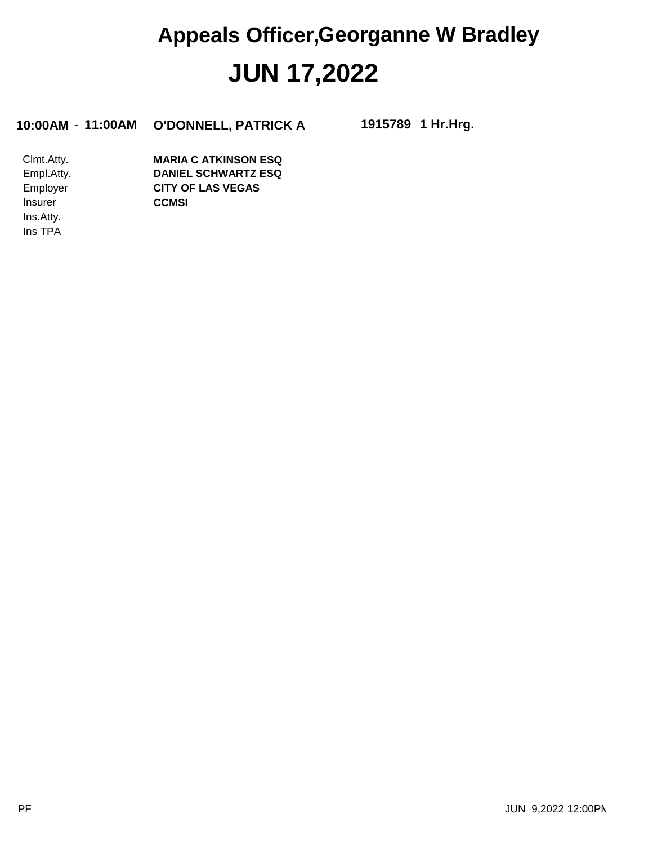### **JUN 17,2022 Appeals Officer,Georganne W Bradley**

**10:00AM** - **11:00AM O'DONNELL, PATRICK A 1915789**

**1 Hr.Hrg.**

Ins TPA Ins.Atty. Insurer Employer Empl.Atty. Clmt.Atty. **CCMSI CITY OF LAS VEGAS DANIEL SCHWARTZ ESQ MARIA C ATKINSON ESQ**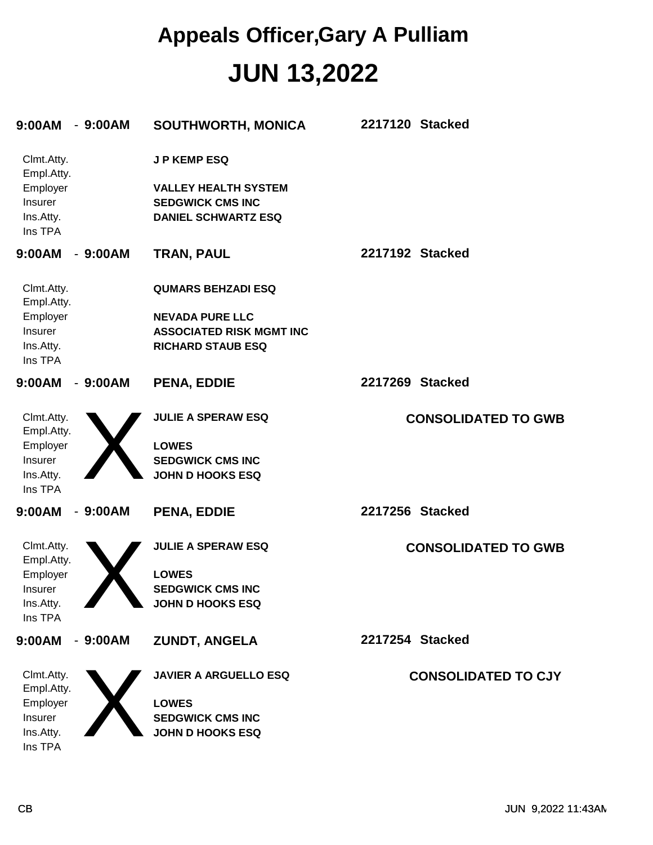| 9:00AM                                             | $-9:00AM$ | SOUTHWORTH, MONICA                                                                   | 2217120 Stacked            |
|----------------------------------------------------|-----------|--------------------------------------------------------------------------------------|----------------------------|
| Clmt.Atty.<br>Empl.Atty.                           |           | <b>JP KEMP ESQ</b>                                                                   |                            |
| Employer<br><b>Insurer</b><br>Ins.Atty.<br>Ins TPA |           | <b>VALLEY HEALTH SYSTEM</b><br><b>SEDGWICK CMS INC</b><br><b>DANIEL SCHWARTZ ESQ</b> |                            |
| 9:00AM                                             | $-9:00AM$ | <b>TRAN, PAUL</b>                                                                    | 2217192 Stacked            |
| Clmt.Atty.<br>Empl.Atty.                           |           | <b>QUMARS BEHZADI ESQ</b>                                                            |                            |
| Employer                                           |           | <b>NEVADA PURE LLC</b>                                                               |                            |
| Insurer                                            |           | <b>ASSOCIATED RISK MGMT INC</b>                                                      |                            |
| Ins.Atty.<br>Ins TPA                               |           | <b>RICHARD STAUB ESQ</b>                                                             |                            |
| 9:00AM                                             | $-9:00AM$ | <b>PENA, EDDIE</b>                                                                   | 2217269 Stacked            |
| Clmt.Atty.<br>Empl.Atty.                           |           | <b>JULIE A SPERAW ESQ</b>                                                            | <b>CONSOLIDATED TO GWB</b> |
| Employer                                           |           | <b>LOWES</b>                                                                         |                            |
| Insurer                                            |           | <b>SEDGWICK CMS INC</b>                                                              |                            |
| Ins.Atty.<br>Ins TPA                               |           | <b>JOHN D HOOKS ESQ</b>                                                              |                            |
| 9:00AM                                             | $-9:00AM$ | <b>PENA, EDDIE</b>                                                                   | 2217256 Stacked            |
| Clmt.Atty.<br>Empl.Atty.                           |           | <b>JULIE A SPERAW ESQ</b>                                                            | <b>CONSOLIDATED TO GWB</b> |
| Employer                                           |           | <b>LOWES</b>                                                                         |                            |
| Insurer                                            |           | <b>SEDGWICK CMS INC</b>                                                              |                            |
| Ins.Atty.                                          |           | <b>JOHN D HOOKS ESQ</b>                                                              |                            |
| Ins TPA                                            |           |                                                                                      |                            |
| 9:00AM                                             | $-9:00AM$ | <b>ZUNDT, ANGELA</b>                                                                 | 2217254 Stacked            |
| Clmt.Atty.<br>Empl.Atty.                           |           | <b>JAVIER A ARGUELLO ESQ</b>                                                         | <b>CONSOLIDATED TO CJY</b> |
| Employer                                           |           | <b>LOWES</b>                                                                         |                            |
| Insurer                                            |           | <b>SEDGWICK CMS INC</b>                                                              |                            |
| Ins.Atty.                                          |           | <b>JOHN D HOOKS ESQ</b>                                                              |                            |
| Ins TPA                                            |           |                                                                                      |                            |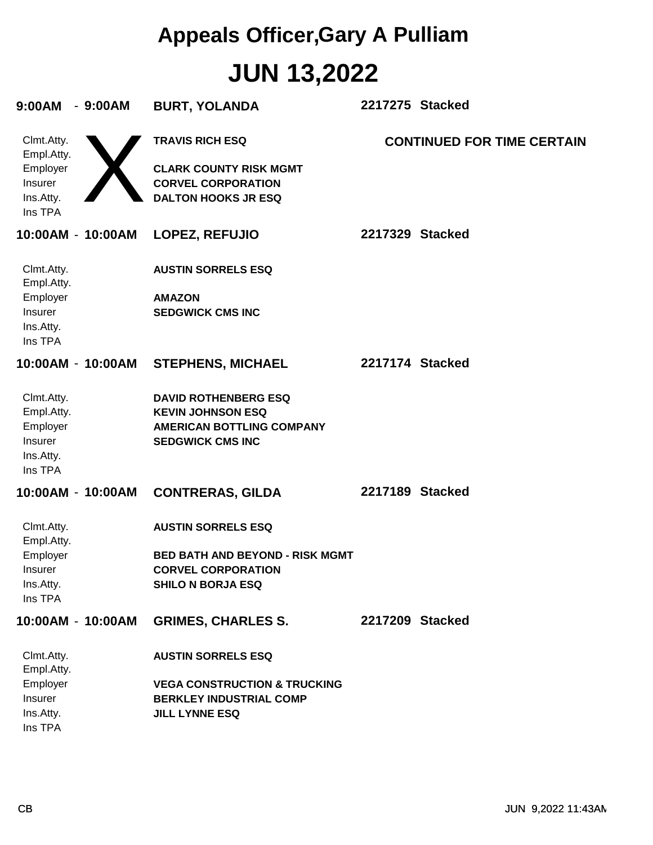| 9:00AM<br>$-9:00AM$                                                     | <b>BURT, YOLANDA</b>                                                                                                            | 2217275 Stacked                   |
|-------------------------------------------------------------------------|---------------------------------------------------------------------------------------------------------------------------------|-----------------------------------|
| Clmt.Atty.<br>Empl.Atty.<br>Employer<br>Insurer<br>Ins.Atty.<br>Ins TPA | <b>TRAVIS RICH ESQ</b><br><b>CLARK COUNTY RISK MGMT</b><br><b>CORVEL CORPORATION</b><br><b>DALTON HOOKS JR ESQ</b>              | <b>CONTINUED FOR TIME CERTAIN</b> |
| 10:00AM - 10:00AM                                                       | <b>LOPEZ, REFUJIO</b>                                                                                                           | 2217329 Stacked                   |
| Clmt.Atty.<br>Empl.Atty.<br>Employer<br>Insurer<br>Ins.Atty.<br>Ins TPA | <b>AUSTIN SORRELS ESQ</b><br><b>AMAZON</b><br><b>SEDGWICK CMS INC</b>                                                           |                                   |
| 10:00AM - 10:00AM                                                       | <b>STEPHENS, MICHAEL</b>                                                                                                        | 2217174 Stacked                   |
| Clmt.Atty.<br>Empl.Atty.<br>Employer<br>Insurer<br>Ins.Atty.<br>Ins TPA | <b>DAVID ROTHENBERG ESQ</b><br><b>KEVIN JOHNSON ESQ</b><br><b>AMERICAN BOTTLING COMPANY</b><br><b>SEDGWICK CMS INC</b>          |                                   |
| 10:00AM - 10:00AM                                                       | <b>CONTRERAS, GILDA</b>                                                                                                         | 2217189 Stacked                   |
| Clmt.Atty.<br>Empl.Atty.<br>Employer<br>Insurer<br>Ins.Atty.<br>Ins TPA | <b>AUSTIN SORRELS ESQ</b><br><b>BED BATH AND BEYOND - RISK MGMT</b><br><b>CORVEL CORPORATION</b><br><b>SHILO N BORJA ESQ</b>    |                                   |
| 10:00AM - 10:00AM                                                       | <b>GRIMES, CHARLES S.</b>                                                                                                       | 2217209 Stacked                   |
| Clmt.Atty.<br>Empl.Atty.<br>Employer<br>Insurer<br>Ins.Atty.<br>Ins TPA | <b>AUSTIN SORRELS ESQ</b><br><b>VEGA CONSTRUCTION &amp; TRUCKING</b><br><b>BERKLEY INDUSTRIAL COMP</b><br><b>JILL LYNNE ESQ</b> |                                   |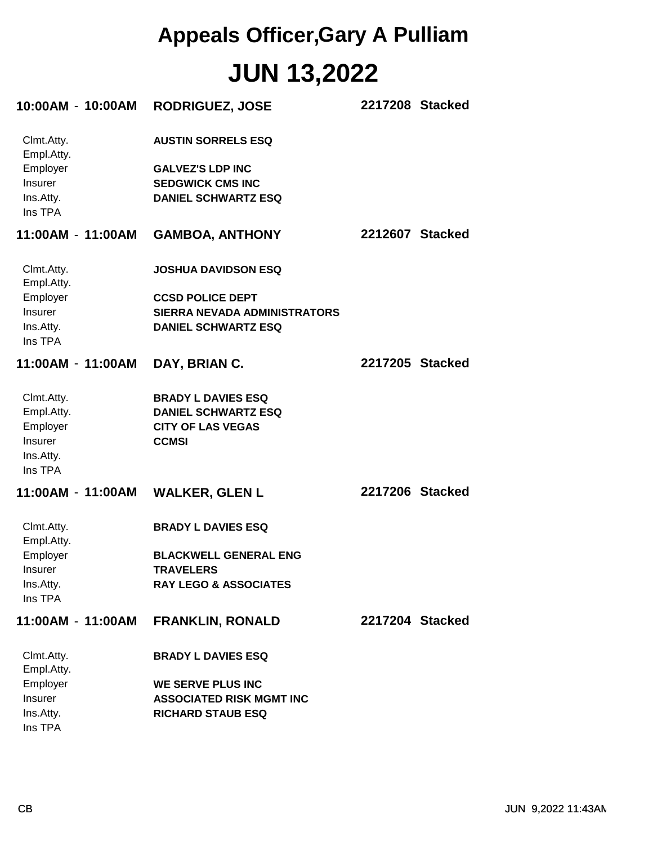| 10:00AM - 10:00AM        | <b>RODRIGUEZ, JOSE</b>                                      | 2217208 Stacked |  |
|--------------------------|-------------------------------------------------------------|-----------------|--|
| Clmt.Atty.<br>Empl.Atty. | <b>AUSTIN SORRELS ESQ</b>                                   |                 |  |
| Employer                 | <b>GALVEZ'S LDP INC</b>                                     |                 |  |
| Insurer                  | <b>SEDGWICK CMS INC</b>                                     |                 |  |
| Ins.Atty.<br>Ins TPA     | <b>DANIEL SCHWARTZ ESQ</b>                                  |                 |  |
| 11:00AM - 11:00AM        | <b>GAMBOA, ANTHONY</b>                                      | 2212607 Stacked |  |
| Clmt.Atty.<br>Empl.Atty. | <b>JOSHUA DAVIDSON ESQ</b>                                  |                 |  |
| Employer                 | <b>CCSD POLICE DEPT</b>                                     |                 |  |
| <b>Insurer</b>           | <b>SIERRA NEVADA ADMINISTRATORS</b>                         |                 |  |
| Ins.Atty.<br>Ins TPA     | <b>DANIEL SCHWARTZ ESQ</b>                                  |                 |  |
| 11:00AM - 11:00AM        | DAY, BRIAN C.                                               | 2217205 Stacked |  |
| Clmt.Atty.               | <b>BRADY L DAVIES ESQ</b>                                   |                 |  |
| Empl.Atty.               | <b>DANIEL SCHWARTZ ESQ</b>                                  |                 |  |
| Employer                 | <b>CITY OF LAS VEGAS</b>                                    |                 |  |
| Insurer                  | <b>CCMSI</b>                                                |                 |  |
| Ins.Atty.<br>Ins TPA     |                                                             |                 |  |
|                          |                                                             | 2217206 Stacked |  |
| Clmt.Atty.<br>Empl.Atty. | <b>BRADY L DAVIES ESQ</b>                                   |                 |  |
| Employer                 | <b>BLACKWELL GENERAL ENG</b>                                |                 |  |
| Insurer                  | <b>TRAVELERS</b>                                            |                 |  |
| Ins.Atty.<br>Ins TPA     | <b>RAY LEGO &amp; ASSOCIATES</b>                            |                 |  |
| 11:00AM - 11:00AM        | <b>FRANKLIN, RONALD</b>                                     | 2217204 Stacked |  |
| Clmt.Atty.               | <b>BRADY L DAVIES ESQ</b>                                   |                 |  |
| Empl.Atty.               |                                                             |                 |  |
| Employer<br>Insurer      | <b>WE SERVE PLUS INC</b><br><b>ASSOCIATED RISK MGMT INC</b> |                 |  |
| Ins.Atty.                | <b>RICHARD STAUB ESQ</b>                                    |                 |  |
|                          |                                                             |                 |  |

Ins TPA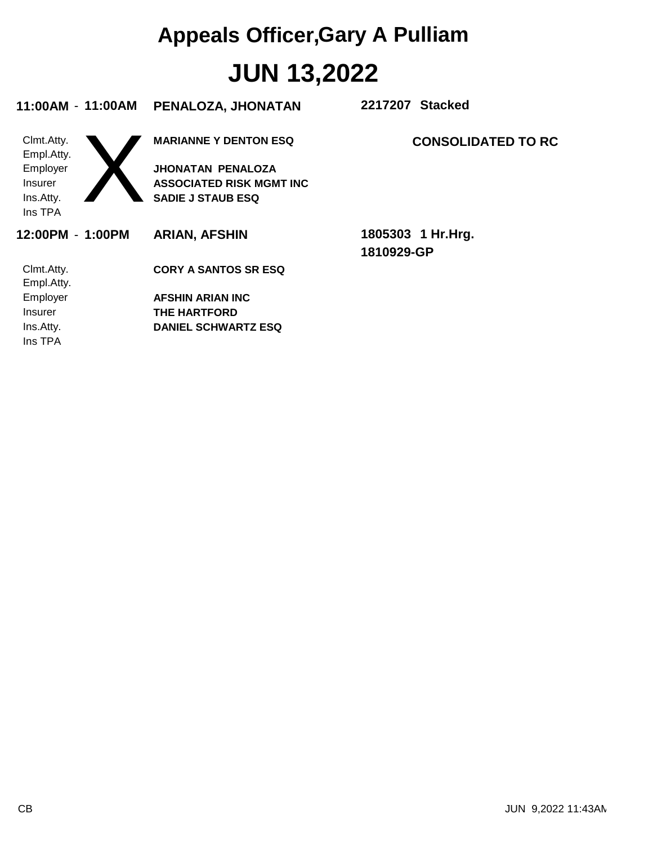| 11:00AM - 11:00AM        | PENALOZA, JHONATAN              | 2217207 Stacked           |
|--------------------------|---------------------------------|---------------------------|
| Clmt.Atty.<br>Empl.Atty. | <b>MARIANNE Y DENTON ESQ</b>    | <b>CONSOLIDATED TO RC</b> |
| Employer                 | <b>JHONATAN PENALOZA</b>        |                           |
| <b>Insurer</b>           | <b>ASSOCIATED RISK MGMT INC</b> |                           |
| Ins.Atty.                | <b>SADIE J STAUB ESQ</b>        |                           |
| Ins TPA                  |                                 |                           |
| 12:00PM - 1:00PM         | <b>ARIAN, AFSHIN</b>            | 1805303 1 Hr.Hrg.         |
|                          |                                 | 1810929-GP                |
| Clmt.Atty.               | <b>CORY A SANTOS SR ESQ</b>     |                           |
| Empl.Atty.               |                                 |                           |
| Employer                 | <b>AFSHIN ARIAN INC</b>         |                           |
| <b>Insurer</b>           | THE HARTFORD                    |                           |
| Ins.Atty.                | <b>DANIEL SCHWARTZ ESQ</b>      |                           |
| Ins TPA                  |                                 |                           |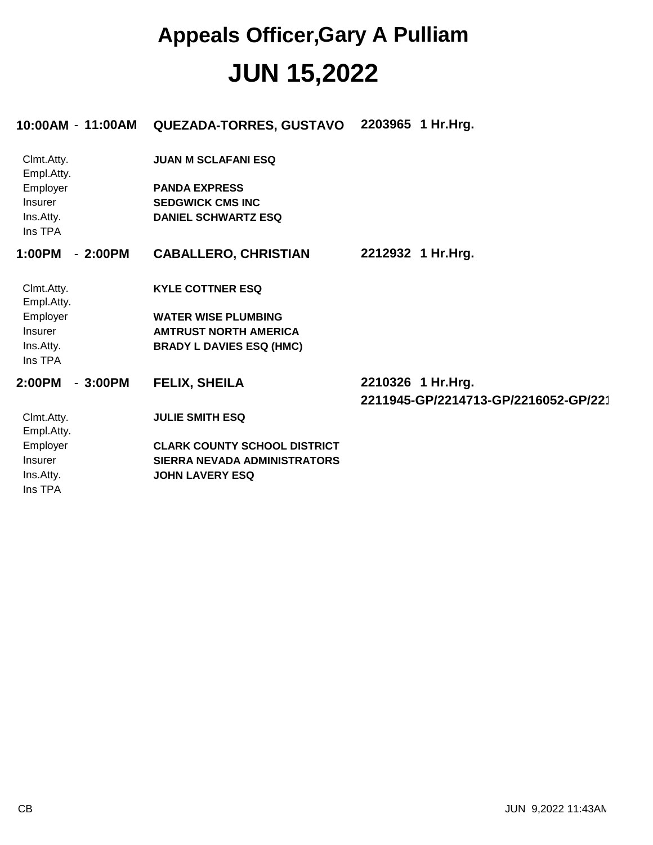|                          | 10:00AM - 11:00AM | <b>QUEZADA-TORRES, GUSTAVO</b>      | 2203965 1 Hr.Hrg.                    |
|--------------------------|-------------------|-------------------------------------|--------------------------------------|
| Clmt.Atty.<br>Empl.Atty. |                   | <b>JUAN M SCLAFANI ESQ</b>          |                                      |
| Employer                 |                   | <b>PANDA EXPRESS</b>                |                                      |
| Insurer                  |                   | <b>SEDGWICK CMS INC</b>             |                                      |
| Ins.Atty.<br>Ins TPA     |                   | <b>DANIEL SCHWARTZ ESQ</b>          |                                      |
| 1:00PM                   | $-2:00PM$         | <b>CABALLERO, CHRISTIAN</b>         | 2212932 1 Hr.Hrg.                    |
| Clmt.Atty.<br>Empl.Atty. |                   | <b>KYLE COTTNER ESQ</b>             |                                      |
| Employer                 |                   | <b>WATER WISE PLUMBING</b>          |                                      |
| <b>Insurer</b>           |                   | <b>AMTRUST NORTH AMERICA</b>        |                                      |
| Ins.Atty.<br>Ins TPA     |                   | <b>BRADY L DAVIES ESQ (HMC)</b>     |                                      |
| 2:00PM                   | $-3:00PM$         | <b>FELIX, SHEILA</b>                | 2210326 1 Hr.Hrg.                    |
|                          |                   |                                     | 2211945-GP/2214713-GP/2216052-GP/221 |
| Clmt.Atty.<br>Empl.Atty. |                   | <b>JULIE SMITH ESQ</b>              |                                      |
| Employer                 |                   | <b>CLARK COUNTY SCHOOL DISTRICT</b> |                                      |
| <b>Insurer</b>           |                   | SIERRA NEVADA ADMINISTRATORS        |                                      |
| Ins.Atty.                |                   | <b>JOHN LAVERY ESQ</b>              |                                      |
| Ins TPA                  |                   |                                     |                                      |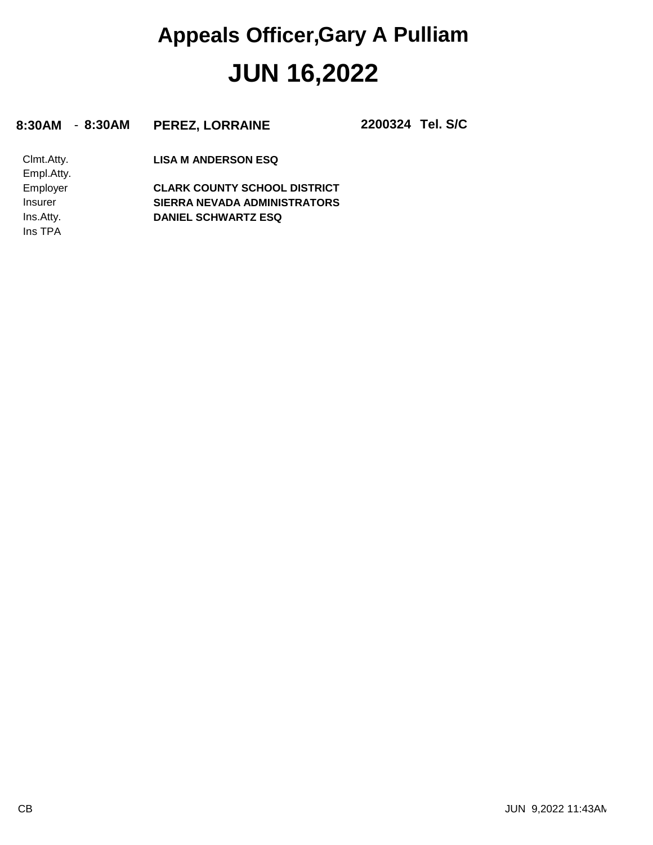**8:30AM** - **8:30AM PEREZ, LORRAINE 2200324**

**Tel. S/C**

Ins TPA Ins.Atty. Insurer Employer Empl.Atty. Clmt.Atty. **DANIEL SCHWARTZ ESQ SIERRA NEVADA ADMINISTRATORS CLARK COUNTY SCHOOL DISTRICT LISA M ANDERSON ESQ**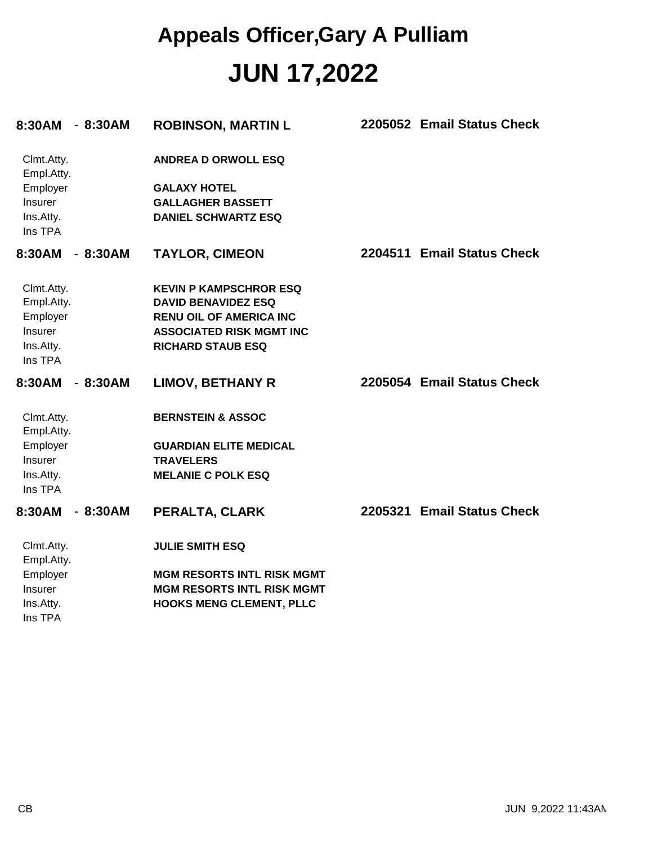| 8:30AM                   | $-8:30AM$ | <b>ROBINSON, MARTIN L</b>         | 2205052 Email Status Check |
|--------------------------|-----------|-----------------------------------|----------------------------|
| Clmt.Atty.<br>Empl.Atty. |           | <b>ANDREA D ORWOLL ESQ</b>        |                            |
| Employer                 |           | <b>GALAXY HOTEL</b>               |                            |
| Insurer                  |           | <b>GALLAGHER BASSETT</b>          |                            |
| Ins.Atty.<br>Ins TPA     |           | <b>DANIEL SCHWARTZ ESQ</b>        |                            |
| 8:30AM                   | $-8:30AM$ | <b>TAYLOR, CIMEON</b>             | 2204511 Email Status Check |
| Clmt.Atty.               |           | <b>KEVIN P KAMPSCHROR ESQ</b>     |                            |
| Empl.Atty.               |           | <b>DAVID BENAVIDEZ ESQ</b>        |                            |
| Employer                 |           | <b>RENU OIL OF AMERICA INC</b>    |                            |
| Insurer                  |           | <b>ASSOCIATED RISK MGMT INC</b>   |                            |
| Ins.Atty.<br>Ins TPA     |           | <b>RICHARD STAUB ESQ</b>          |                            |
| 8:30AM                   | $-8:30AM$ | <b>LIMOV, BETHANY R</b>           | 2205054 Email Status Check |
| Clmt.Atty.<br>Empl.Atty. |           | <b>BERNSTEIN &amp; ASSOC</b>      |                            |
| Employer                 |           | <b>GUARDIAN ELITE MEDICAL</b>     |                            |
| Insurer                  |           | <b>TRAVELERS</b>                  |                            |
| Ins.Atty.                |           | <b>MELANIE C POLK ESQ</b>         |                            |
| Ins TPA                  |           |                                   |                            |
| 8:30AM                   | $-8:30AM$ | PERALTA, CLARK                    | 2205321 Email Status Check |
| Clmt.Atty.               |           | <b>JULIE SMITH ESQ</b>            |                            |
| Empl.Atty.               |           |                                   |                            |
| Employer                 |           | <b>MGM RESORTS INTL RISK MGMT</b> |                            |
| Insurer                  |           | <b>MGM RESORTS INTL RISK MGMT</b> |                            |
| Ins.Atty.<br>Ins TPA     |           | <b>HOOKS MENG CLEMENT, PLLC</b>   |                            |
|                          |           |                                   |                            |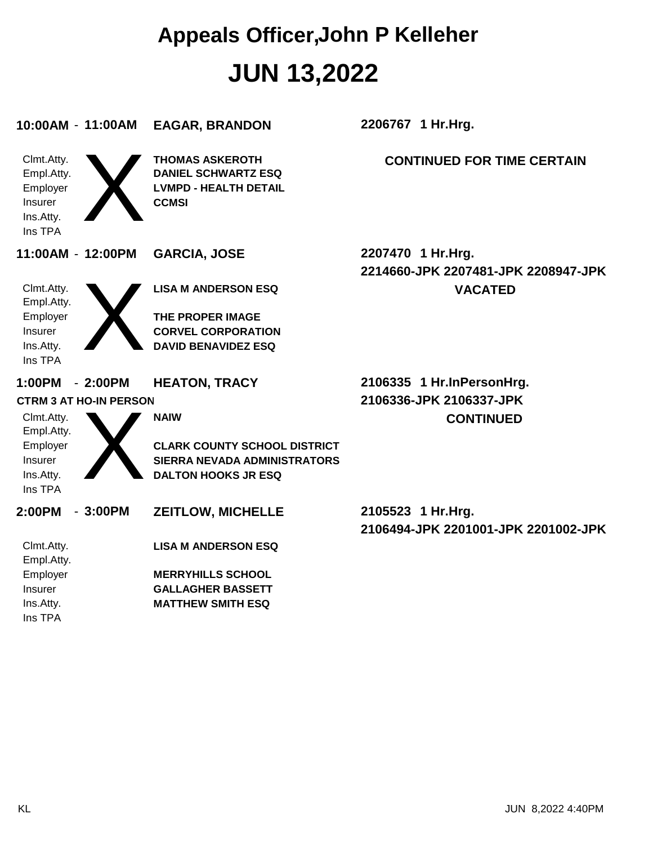| 10:00AM - 11:00AM                                                       | <b>EAGAR, BRANDON</b>                                                                                | 2206767 1 Hr.Hrg.                                         |
|-------------------------------------------------------------------------|------------------------------------------------------------------------------------------------------|-----------------------------------------------------------|
| Clmt.Atty.<br>Empl.Atty.<br>Employer<br>Insurer<br>Ins.Atty.<br>Ins TPA | <b>THOMAS ASKEROTH</b><br><b>DANIEL SCHWARTZ ESQ</b><br><b>LVMPD - HEALTH DETAIL</b><br><b>CCMSI</b> | <b>CONTINUED FOR TIME CERTAIN</b>                         |
| 11:00AM - 12:00PM                                                       | <b>GARCIA, JOSE</b>                                                                                  | 2207470 1 Hr.Hrg.<br>2214660-JPK 2207481-JPK 2208947-JPK  |
| Clmt.Atty.<br>Empl.Atty.                                                | <b>LISA M ANDERSON ESQ</b>                                                                           | <b>VACATED</b>                                            |
| Employer<br>Insurer<br>Ins.Atty.<br>Ins TPA                             | <b>THE PROPER IMAGE</b><br><b>CORVEL CORPORATION</b><br><b>DAVID BENAVIDEZ ESQ</b>                   |                                                           |
|                                                                         |                                                                                                      |                                                           |
| 1:00PM<br>$-2:00PM$                                                     | <b>HEATON, TRACY</b>                                                                                 | 2106335 1 Hr.InPersonHrg.                                 |
| <b>CTRM 3 AT HO-IN PERSON</b>                                           |                                                                                                      | 2106336-JPK 2106337-JPK                                   |
| Clmt.Atty.<br>Empl.Atty.                                                | <b>NAIW</b>                                                                                          | <b>CONTINUED</b>                                          |
| Employer                                                                | <b>CLARK COUNTY SCHOOL DISTRICT</b>                                                                  |                                                           |
| Insurer                                                                 | <b>SIERRA NEVADA ADMINISTRATORS</b>                                                                  |                                                           |
| Ins.Atty.<br>Ins TPA                                                    | <b>DALTON HOOKS JR ESQ</b>                                                                           |                                                           |
| 2:00PM<br>$-3:00PM$                                                     | <b>ZEITLOW, MICHELLE</b>                                                                             | 2105523 1 Hr. Hrg.<br>2106494-JPK 2201001-JPK 2201002-JPK |
| Clmt.Atty.<br>Empl.Atty.                                                | <b>LISA M ANDERSON ESQ</b>                                                                           |                                                           |
| Employer                                                                | <b>MERRYHILLS SCHOOL</b>                                                                             |                                                           |
| Insurer                                                                 | <b>GALLAGHER BASSETT</b>                                                                             |                                                           |
| Ins.Atty.<br>Ins TPA                                                    | <b>MATTHEW SMITH ESQ</b>                                                                             |                                                           |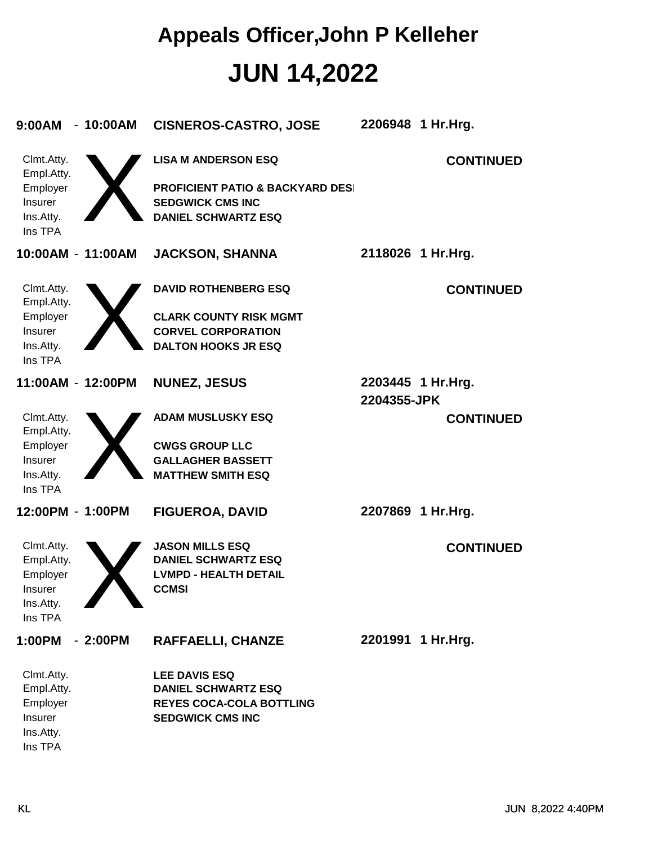| 9:00AM<br>$-10:00AM$                        | <b>CISNEROS-CASTRO, JOSE</b>                                                                         |             | 2206948 1 Hr.Hrg.  |
|---------------------------------------------|------------------------------------------------------------------------------------------------------|-------------|--------------------|
| Clmt.Atty.<br>Empl.Atty.                    | <b>LISA M ANDERSON ESQ</b>                                                                           |             | <b>CONTINUED</b>   |
| Employer<br>Insurer<br>Ins.Atty.<br>Ins TPA | <b>PROFICIENT PATIO &amp; BACKYARD DESI</b><br><b>SEDGWICK CMS INC</b><br><b>DANIEL SCHWARTZ ESQ</b> |             |                    |
| 10:00AM - 11:00AM                           | <b>JACKSON, SHANNA</b>                                                                               |             | 2118026 1 Hr. Hrg. |
| Clmt.Atty.<br>Empl.Atty.                    | <b>DAVID ROTHENBERG ESQ</b>                                                                          |             | <b>CONTINUED</b>   |
| Employer                                    | <b>CLARK COUNTY RISK MGMT</b>                                                                        |             |                    |
| Insurer                                     | <b>CORVEL CORPORATION</b>                                                                            |             |                    |
| Ins.Atty.<br>Ins TPA                        | <b>DALTON HOOKS JR ESQ</b>                                                                           |             |                    |
| 11:00AM - 12:00PM                           | <b>NUNEZ, JESUS</b>                                                                                  | 2204355-JPK | 2203445 1 Hr.Hrg.  |
| Clmt.Atty.<br>Empl.Atty.                    | <b>ADAM MUSLUSKY ESQ</b>                                                                             |             | <b>CONTINUED</b>   |
| Employer                                    | <b>CWGS GROUP LLC</b>                                                                                |             |                    |
| Insurer                                     | <b>GALLAGHER BASSETT</b>                                                                             |             |                    |
| Ins.Atty.<br>Ins TPA                        | <b>MATTHEW SMITH ESQ</b>                                                                             |             |                    |
| 12:00PM - 1:00PM                            | <b>FIGUEROA, DAVID</b>                                                                               |             | 2207869 1 Hr.Hrg.  |
| Clmt.Atty.                                  | <b>JASON MILLS ESQ</b>                                                                               |             | <b>CONTINUED</b>   |
| Empl.Atty.                                  | <b>DANIEL SCHWARTZ ESQ</b>                                                                           |             |                    |
| Employer                                    | <b>LVMPD - HEALTH DETAIL</b>                                                                         |             |                    |
| Insurer                                     | <b>CCMSI</b>                                                                                         |             |                    |
| Ins.Atty.                                   |                                                                                                      |             |                    |
| Ins TPA                                     |                                                                                                      |             |                    |
| 1:00PM<br>$-2:00PM$                         | <b>RAFFAELLI, CHANZE</b>                                                                             |             | 2201991 1 Hr.Hrg.  |
| Clmt.Atty.                                  | <b>LEE DAVIS ESQ</b>                                                                                 |             |                    |
| Empl.Atty.                                  | <b>DANIEL SCHWARTZ ESQ</b>                                                                           |             |                    |
| Employer                                    | <b>REYES COCA-COLA BOTTLING</b>                                                                      |             |                    |
| Insurer                                     | <b>SEDGWICK CMS INC</b>                                                                              |             |                    |
| Ins.Atty.                                   |                                                                                                      |             |                    |
| Ins TPA                                     |                                                                                                      |             |                    |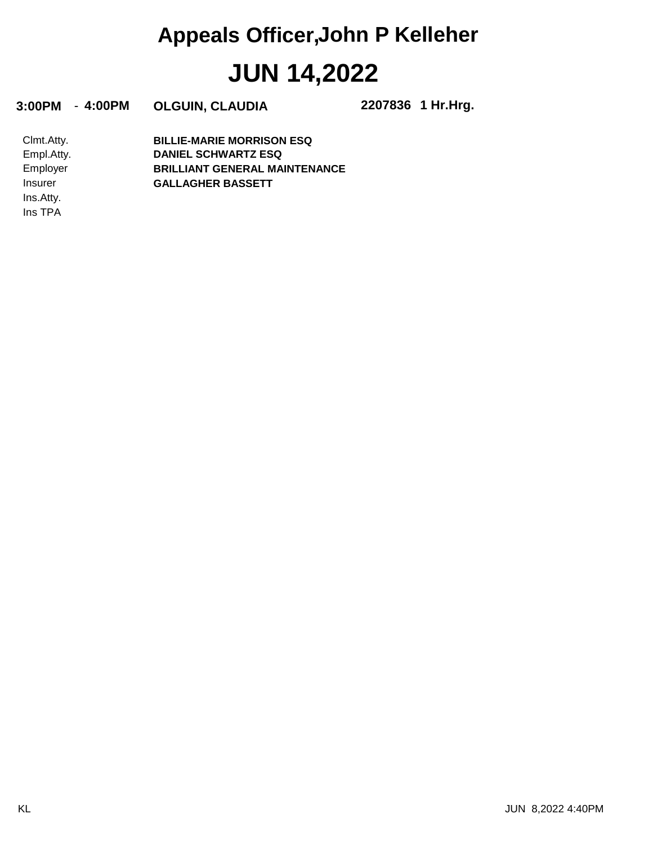**3:00PM** - **4:00PM OLGUIN, CLAUDIA 2207836**

**1 Hr.Hrg.**

Ins TPA Ins.Atty. Insurer Employer Empl.Atty. Clmt.Atty. **GALLAGHER BASSETT BRILLIANT GENERAL MAINTENANCE DANIEL SCHWARTZ ESQ BILLIE-MARIE MORRISON ESQ**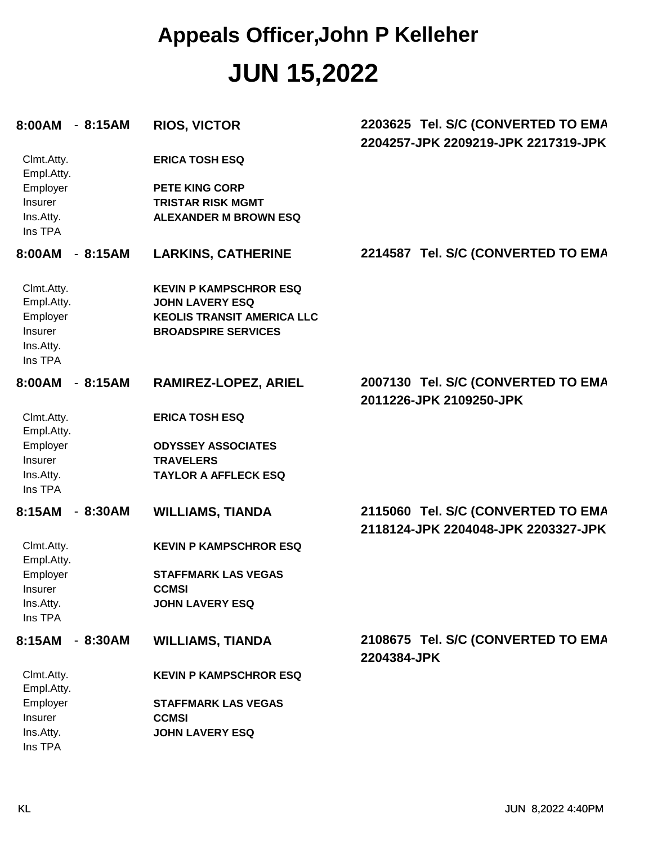| 8:00AM - 8:15AM                                                                | <b>RIOS, VICTOR</b>                                                                                                        | 2203625 Tel. S/C (CONVERTED TO EMA<br>2204257-JPK 2209219-JPK 2217319-JPK |
|--------------------------------------------------------------------------------|----------------------------------------------------------------------------------------------------------------------------|---------------------------------------------------------------------------|
| Clmt.Atty.<br>Empl.Atty.                                                       | <b>ERICA TOSH ESQ</b>                                                                                                      |                                                                           |
| Employer<br>Insurer<br>Ins.Atty.<br>Ins TPA                                    | <b>PETE KING CORP</b><br><b>TRISTAR RISK MGMT</b><br><b>ALEXANDER M BROWN ESQ</b>                                          |                                                                           |
| 8:00AM - 8:15AM                                                                | <b>LARKINS, CATHERINE</b>                                                                                                  | 2214587 Tel. S/C (CONVERTED TO EMA                                        |
| Clmt.Atty.<br>Empl.Atty.<br>Employer<br>Insurer<br>Ins.Atty.<br>Ins TPA        | <b>KEVIN P KAMPSCHROR ESQ</b><br><b>JOHN LAVERY ESQ</b><br><b>KEOLIS TRANSIT AMERICA LLC</b><br><b>BROADSPIRE SERVICES</b> |                                                                           |
| 8:00AM<br>$-8:15AM$                                                            | RAMIREZ-LOPEZ, ARIEL                                                                                                       | 2007130 Tel. S/C (CONVERTED TO EMA<br>2011226-JPK 2109250-JPK             |
| Clmt.Atty.<br>Empl.Atty.<br>Employer<br>Insurer<br>Ins.Atty.<br>Ins TPA        | <b>ERICA TOSH ESQ</b><br><b>ODYSSEY ASSOCIATES</b><br><b>TRAVELERS</b><br><b>TAYLOR A AFFLECK ESQ</b>                      |                                                                           |
| 8:15AM<br>$-8:30AM$                                                            | <b>WILLIAMS, TIANDA</b>                                                                                                    | 2115060 Tel. S/C (CONVERTED TO EMA<br>2118124-JPK 2204048-JPK 2203327-JPK |
| Clmt.Atty.<br>Empl.Atty.<br>Employer<br><b>Insurer</b><br>Ins.Atty.<br>Ins TPA | <b>KEVIN P KAMPSCHROR ESQ</b><br><b>STAFFMARK LAS VEGAS</b><br><b>CCMSI</b><br><b>JOHN LAVERY ESQ</b>                      |                                                                           |
| 8:15AM<br>$-8:30AM$                                                            | <b>WILLIAMS, TIANDA</b>                                                                                                    | 2108675 Tel. S/C (CONVERTED TO EMA<br>2204384-JPK                         |
| Clmt.Atty.<br>Empl.Atty.                                                       | <b>KEVIN P KAMPSCHROR ESQ</b>                                                                                              |                                                                           |
| Employer<br>Insurer<br>Ins.Atty.                                               | <b>STAFFMARK LAS VEGAS</b><br><b>CCMSI</b><br><b>JOHN LAVERY ESQ</b>                                                       |                                                                           |
|                                                                                |                                                                                                                            |                                                                           |

Ins TPA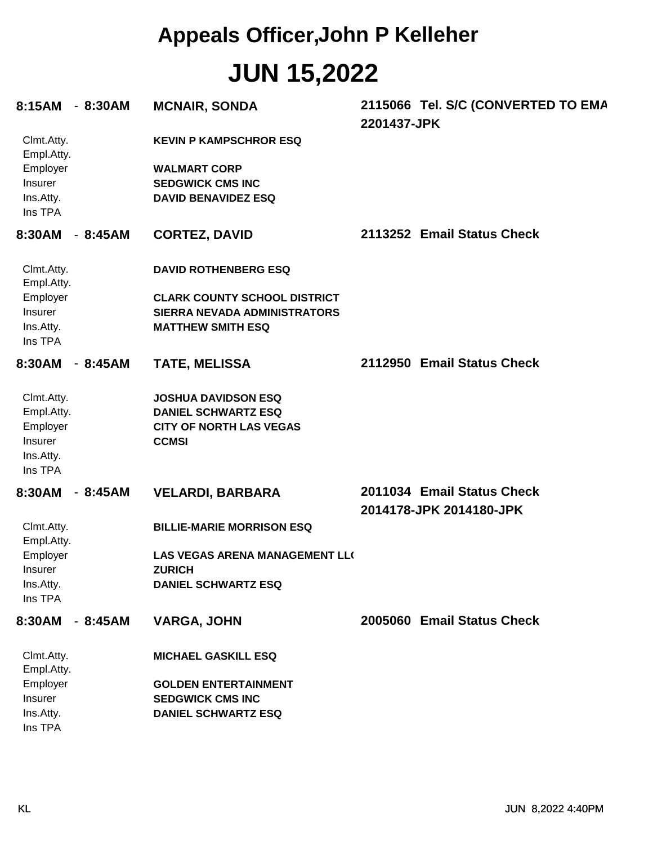| 8:15AM                                                                  | - 8:30AM  | <b>MCNAIR, SONDA</b>                                                                                       | 2201437-JPK | 2115066 Tel. S/C (CONVERTED TO EMA                    |
|-------------------------------------------------------------------------|-----------|------------------------------------------------------------------------------------------------------------|-------------|-------------------------------------------------------|
| Clmt.Atty.<br>Empl.Atty.                                                |           | <b>KEVIN P KAMPSCHROR ESQ</b>                                                                              |             |                                                       |
| Employer<br>Insurer<br>Ins.Atty.<br>Ins TPA                             |           | <b>WALMART CORP</b><br><b>SEDGWICK CMS INC</b><br><b>DAVID BENAVIDEZ ESQ</b>                               |             |                                                       |
| 8:30AM                                                                  | - 8:45AM  | <b>CORTEZ, DAVID</b>                                                                                       |             | 2113252 Email Status Check                            |
| Clmt.Atty.<br>Empl.Atty.                                                |           | <b>DAVID ROTHENBERG ESQ</b>                                                                                |             |                                                       |
| Employer<br>Insurer<br>Ins.Atty.<br>Ins TPA                             |           | <b>CLARK COUNTY SCHOOL DISTRICT</b><br>SIERRA NEVADA ADMINISTRATORS<br><b>MATTHEW SMITH ESQ</b>            |             |                                                       |
| 8:30AM                                                                  | $-8:45AM$ | <b>TATE, MELISSA</b>                                                                                       |             | 2112950 Email Status Check                            |
| Clmt.Atty.<br>Empl.Atty.<br>Employer<br>Insurer<br>Ins.Atty.<br>Ins TPA |           | <b>JOSHUA DAVIDSON ESQ</b><br><b>DANIEL SCHWARTZ ESQ</b><br><b>CITY OF NORTH LAS VEGAS</b><br><b>CCMSI</b> |             |                                                       |
| 8:30AM                                                                  | $-8:45AM$ | <b>VELARDI, BARBARA</b>                                                                                    |             | 2011034 Email Status Check<br>2014178-JPK 2014180-JPK |
| Clmt.Atty.<br>Empl.Atty.                                                |           | <b>BILLIE-MARIE MORRISON ESQ</b>                                                                           |             |                                                       |
| Employer<br>Insurer                                                     |           | <b>LAS VEGAS ARENA MANAGEMENT LL(</b><br><b>ZURICH</b>                                                     |             |                                                       |
| Ins.Atty.<br>Ins TPA                                                    |           | <b>DANIEL SCHWARTZ ESQ</b>                                                                                 |             |                                                       |
| 8:30AM                                                                  | $-8:45AM$ | <b>VARGA, JOHN</b>                                                                                         |             | 2005060 Email Status Check                            |
| Clmt.Atty.<br>Empl.Atty.                                                |           | <b>MICHAEL GASKILL ESQ</b>                                                                                 |             |                                                       |
| Employer                                                                |           | <b>GOLDEN ENTERTAINMENT</b>                                                                                |             |                                                       |
| Insurer<br>Ins.Atty.<br>Ins TPA                                         |           | <b>SEDGWICK CMS INC</b><br><b>DANIEL SCHWARTZ ESQ</b>                                                      |             |                                                       |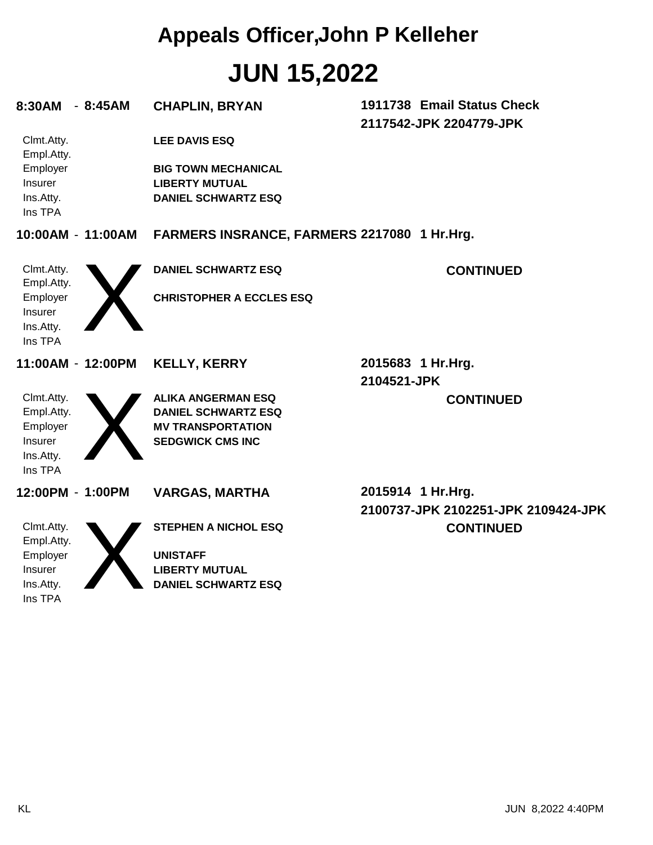| 1911738 Email Status Check<br>$-8:45AM$<br><b>CHAPLIN, BRYAN</b><br>2117542-JPK 2204779-JPK<br>Clmt.Atty.<br><b>LEE DAVIS ESQ</b><br>Empl.Atty.<br>Employer<br><b>BIG TOWN MECHANICAL</b><br><b>Insurer</b><br><b>LIBERTY MUTUAL</b><br>Ins.Atty.<br><b>DANIEL SCHWARTZ ESQ</b><br>Ins TPA<br>10:00AM - 11:00AM<br>FARMERS INSRANCE, FARMERS 2217080 1 Hr.Hrg.<br>Clmt.Atty.<br><b>DANIEL SCHWARTZ ESQ</b><br><b>CONTINUED</b><br>Empl.Atty.<br>Employer<br><b>CHRISTOPHER A ECCLES ESQ</b><br>Insurer<br>Ins.Atty.<br>Ins TPA<br>2015683 1 Hr.Hrg.<br>11:00AM - 12:00PM<br><b>KELLY, KERRY</b><br>2104521-JPK<br>Clmt.Atty.<br><b>ALIKA ANGERMAN ESQ</b><br><b>CONTINUED</b><br>Empl.Atty.<br><b>DANIEL SCHWARTZ ESQ</b><br>Employer<br><b>MV TRANSPORTATION</b><br>Insurer<br><b>SEDGWICK CMS INC</b><br>Ins.Atty.<br>Ins TPA<br>2015914 1 Hr.Hrg.<br>12:00PM - 1:00PM<br><b>VARGAS, MARTHA</b><br>2100737-JPK 2102251-JPK 2109424-JPK<br>Clmt.Atty.<br><b>STEPHEN A NICHOL ESQ</b><br><b>CONTINUED</b><br>Empl.Atty.<br>Employer<br><b>UNISTAFF</b><br>Insurer<br><b>LIBERTY MUTUAL</b><br>Ins.Atty.<br><b>DANIEL SCHWARTZ ESQ</b> |         |  |  |
|---------------------------------------------------------------------------------------------------------------------------------------------------------------------------------------------------------------------------------------------------------------------------------------------------------------------------------------------------------------------------------------------------------------------------------------------------------------------------------------------------------------------------------------------------------------------------------------------------------------------------------------------------------------------------------------------------------------------------------------------------------------------------------------------------------------------------------------------------------------------------------------------------------------------------------------------------------------------------------------------------------------------------------------------------------------------------------------------------------------------------------------|---------|--|--|
|                                                                                                                                                                                                                                                                                                                                                                                                                                                                                                                                                                                                                                                                                                                                                                                                                                                                                                                                                                                                                                                                                                                                       | 8:30AM  |  |  |
|                                                                                                                                                                                                                                                                                                                                                                                                                                                                                                                                                                                                                                                                                                                                                                                                                                                                                                                                                                                                                                                                                                                                       |         |  |  |
|                                                                                                                                                                                                                                                                                                                                                                                                                                                                                                                                                                                                                                                                                                                                                                                                                                                                                                                                                                                                                                                                                                                                       |         |  |  |
|                                                                                                                                                                                                                                                                                                                                                                                                                                                                                                                                                                                                                                                                                                                                                                                                                                                                                                                                                                                                                                                                                                                                       |         |  |  |
|                                                                                                                                                                                                                                                                                                                                                                                                                                                                                                                                                                                                                                                                                                                                                                                                                                                                                                                                                                                                                                                                                                                                       |         |  |  |
|                                                                                                                                                                                                                                                                                                                                                                                                                                                                                                                                                                                                                                                                                                                                                                                                                                                                                                                                                                                                                                                                                                                                       |         |  |  |
|                                                                                                                                                                                                                                                                                                                                                                                                                                                                                                                                                                                                                                                                                                                                                                                                                                                                                                                                                                                                                                                                                                                                       |         |  |  |
|                                                                                                                                                                                                                                                                                                                                                                                                                                                                                                                                                                                                                                                                                                                                                                                                                                                                                                                                                                                                                                                                                                                                       |         |  |  |
|                                                                                                                                                                                                                                                                                                                                                                                                                                                                                                                                                                                                                                                                                                                                                                                                                                                                                                                                                                                                                                                                                                                                       |         |  |  |
|                                                                                                                                                                                                                                                                                                                                                                                                                                                                                                                                                                                                                                                                                                                                                                                                                                                                                                                                                                                                                                                                                                                                       |         |  |  |
|                                                                                                                                                                                                                                                                                                                                                                                                                                                                                                                                                                                                                                                                                                                                                                                                                                                                                                                                                                                                                                                                                                                                       |         |  |  |
|                                                                                                                                                                                                                                                                                                                                                                                                                                                                                                                                                                                                                                                                                                                                                                                                                                                                                                                                                                                                                                                                                                                                       |         |  |  |
|                                                                                                                                                                                                                                                                                                                                                                                                                                                                                                                                                                                                                                                                                                                                                                                                                                                                                                                                                                                                                                                                                                                                       |         |  |  |
|                                                                                                                                                                                                                                                                                                                                                                                                                                                                                                                                                                                                                                                                                                                                                                                                                                                                                                                                                                                                                                                                                                                                       |         |  |  |
|                                                                                                                                                                                                                                                                                                                                                                                                                                                                                                                                                                                                                                                                                                                                                                                                                                                                                                                                                                                                                                                                                                                                       |         |  |  |
|                                                                                                                                                                                                                                                                                                                                                                                                                                                                                                                                                                                                                                                                                                                                                                                                                                                                                                                                                                                                                                                                                                                                       |         |  |  |
|                                                                                                                                                                                                                                                                                                                                                                                                                                                                                                                                                                                                                                                                                                                                                                                                                                                                                                                                                                                                                                                                                                                                       |         |  |  |
|                                                                                                                                                                                                                                                                                                                                                                                                                                                                                                                                                                                                                                                                                                                                                                                                                                                                                                                                                                                                                                                                                                                                       |         |  |  |
|                                                                                                                                                                                                                                                                                                                                                                                                                                                                                                                                                                                                                                                                                                                                                                                                                                                                                                                                                                                                                                                                                                                                       |         |  |  |
|                                                                                                                                                                                                                                                                                                                                                                                                                                                                                                                                                                                                                                                                                                                                                                                                                                                                                                                                                                                                                                                                                                                                       |         |  |  |
|                                                                                                                                                                                                                                                                                                                                                                                                                                                                                                                                                                                                                                                                                                                                                                                                                                                                                                                                                                                                                                                                                                                                       |         |  |  |
|                                                                                                                                                                                                                                                                                                                                                                                                                                                                                                                                                                                                                                                                                                                                                                                                                                                                                                                                                                                                                                                                                                                                       |         |  |  |
|                                                                                                                                                                                                                                                                                                                                                                                                                                                                                                                                                                                                                                                                                                                                                                                                                                                                                                                                                                                                                                                                                                                                       |         |  |  |
|                                                                                                                                                                                                                                                                                                                                                                                                                                                                                                                                                                                                                                                                                                                                                                                                                                                                                                                                                                                                                                                                                                                                       |         |  |  |
|                                                                                                                                                                                                                                                                                                                                                                                                                                                                                                                                                                                                                                                                                                                                                                                                                                                                                                                                                                                                                                                                                                                                       | Ins TPA |  |  |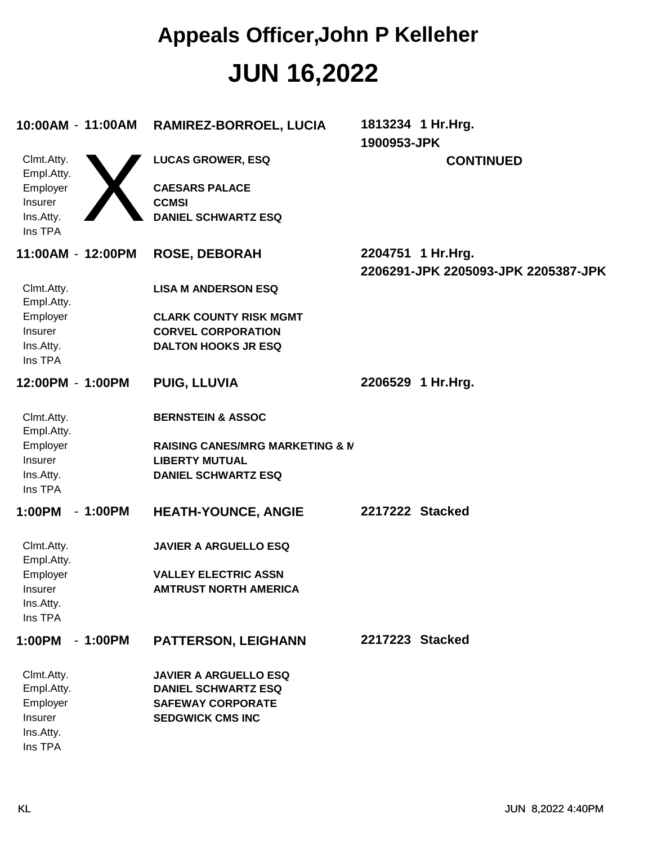| 10:00AM - 11:00AM                    |           | RAMIREZ-BORROEL, LUCIA                            | 1813234 1 Hr. Hrg.<br>1900953-JPK                        |
|--------------------------------------|-----------|---------------------------------------------------|----------------------------------------------------------|
| Clmt.Atty.<br>Empl.Atty.<br>Employer |           | <b>LUCAS GROWER, ESQ</b><br><b>CAESARS PALACE</b> | <b>CONTINUED</b>                                         |
| Insurer                              |           | <b>CCMSI</b>                                      |                                                          |
| Ins.Atty.                            |           | <b>DANIEL SCHWARTZ ESQ</b>                        |                                                          |
| Ins TPA                              |           |                                                   |                                                          |
| 11:00AM - 12:00PM                    |           | <b>ROSE, DEBORAH</b>                              | 2204751 1 Hr.Hrg.<br>2206291-JPK 2205093-JPK 2205387-JPK |
| Clmt.Atty.<br>Empl.Atty.             |           | <b>LISA M ANDERSON ESQ</b>                        |                                                          |
| Employer                             |           | <b>CLARK COUNTY RISK MGMT</b>                     |                                                          |
| Insurer                              |           | <b>CORVEL CORPORATION</b>                         |                                                          |
| Ins.Atty.<br>Ins TPA                 |           | <b>DALTON HOOKS JR ESQ</b>                        |                                                          |
| 12:00PM - 1:00PM                     |           | <b>PUIG, LLUVIA</b>                               | 2206529 1 Hr.Hrg.                                        |
| Clmt.Atty.<br>Empl.Atty.             |           | <b>BERNSTEIN &amp; ASSOC</b>                      |                                                          |
| Employer                             |           | <b>RAISING CANES/MRG MARKETING &amp; M</b>        |                                                          |
| Insurer                              |           | <b>LIBERTY MUTUAL</b>                             |                                                          |
| Ins.Atty.<br>Ins TPA                 |           | <b>DANIEL SCHWARTZ ESQ</b>                        |                                                          |
| 1:00PM                               | $-1:00PM$ | <b>HEATH-YOUNCE, ANGIE</b>                        | 2217222 Stacked                                          |
| Clmt.Atty.<br>Empl.Atty.             |           | <b>JAVIER A ARGUELLO ESQ</b>                      |                                                          |
| Employer                             |           | <b>VALLEY ELECTRIC ASSN</b>                       |                                                          |
| <b>Insurer</b>                       |           | <b>AMTRUST NORTH AMERICA</b>                      |                                                          |
| Ins.Atty.<br>Ins TPA                 |           |                                                   |                                                          |
| 1:00PM                               | $-1:00PM$ | PATTERSON, LEIGHANN                               | 2217223 Stacked                                          |
|                                      |           |                                                   |                                                          |
| Clmt.Atty.                           |           | <b>JAVIER A ARGUELLO ESQ</b>                      |                                                          |
| Empl.Atty.                           |           | <b>DANIEL SCHWARTZ ESQ</b>                        |                                                          |
| Employer                             |           | <b>SAFEWAY CORPORATE</b>                          |                                                          |
| Insurer                              |           | <b>SEDGWICK CMS INC</b>                           |                                                          |
| Ins.Atty.                            |           |                                                   |                                                          |
| Ins TPA                              |           |                                                   |                                                          |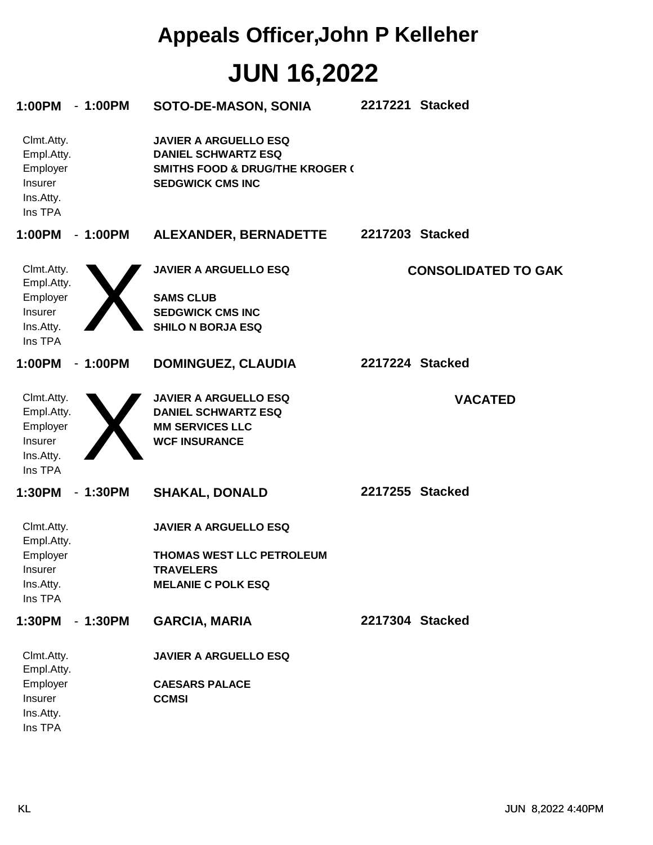| 1:00PM<br>$-1:00PM$                                                            | SOTO-DE-MASON, SONIA                                                                                                                | 2217221 Stacked            |
|--------------------------------------------------------------------------------|-------------------------------------------------------------------------------------------------------------------------------------|----------------------------|
| Clmt.Atty.<br>Empl.Atty.<br>Employer<br>Insurer<br>Ins.Atty.<br>Ins TPA        | <b>JAVIER A ARGUELLO ESQ</b><br><b>DANIEL SCHWARTZ ESQ</b><br><b>SMITHS FOOD &amp; DRUG/THE KROGER (</b><br><b>SEDGWICK CMS INC</b> |                            |
| 1:00PM<br>$-1:00PM$                                                            | ALEXANDER, BERNADETTE                                                                                                               | 2217203 Stacked            |
| Clmt.Atty.<br>Empl.Atty.<br>Employer<br>Insurer<br>Ins.Atty.<br>Ins TPA        | <b>JAVIER A ARGUELLO ESQ</b><br><b>SAMS CLUB</b><br><b>SEDGWICK CMS INC</b><br><b>SHILO N BORJA ESQ</b>                             | <b>CONSOLIDATED TO GAK</b> |
| 1:00PM<br>$-1:00PM$                                                            | <b>DOMINGUEZ, CLAUDIA</b>                                                                                                           | 2217224 Stacked            |
| Clmt.Atty.<br>Empl.Atty.<br>Employer<br>Insurer<br>Ins.Atty.<br>Ins TPA        | <b>JAVIER A ARGUELLO ESQ</b><br><b>DANIEL SCHWARTZ ESQ</b><br><b>MM SERVICES LLC</b><br><b>WCF INSURANCE</b>                        | <b>VACATED</b>             |
| 1:30PM<br>$-1:30PM$                                                            | <b>SHAKAL, DONALD</b>                                                                                                               | 2217255 Stacked            |
| Clmt.Atty.<br>Empl.Atty.<br>Employer<br><b>Insurer</b><br>Ins.Atty.<br>Ins TPA | <b>JAVIER A ARGUELLO ESQ</b><br>THOMAS WEST LLC PETROLEUM<br><b>TRAVELERS</b><br><b>MELANIE C POLK ESQ</b>                          |                            |
| $-1:30PM$<br>1:30PM                                                            | <b>GARCIA, MARIA</b>                                                                                                                | 2217304 Stacked            |
| Clmt.Atty.<br>Empl.Atty.<br>Employer<br>Insurer<br>Ins.Atty.<br>Ins TPA        | <b>JAVIER A ARGUELLO ESQ</b><br><b>CAESARS PALACE</b><br><b>CCMSI</b>                                                               |                            |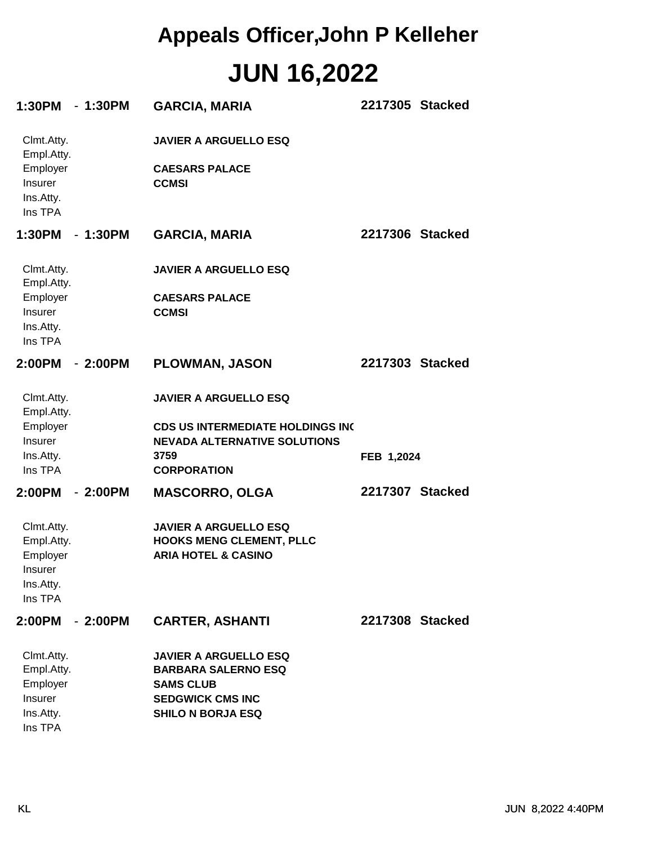| 1:30PM - 1:30PM                                                                |           | <b>GARCIA, MARIA</b>                                                                                                                         | 2217305 Stacked |  |
|--------------------------------------------------------------------------------|-----------|----------------------------------------------------------------------------------------------------------------------------------------------|-----------------|--|
| Clmt.Atty.<br>Empl.Atty.<br>Employer<br><b>Insurer</b><br>Ins.Atty.<br>Ins TPA |           | <b>JAVIER A ARGUELLO ESQ</b><br><b>CAESARS PALACE</b><br><b>CCMSI</b>                                                                        |                 |  |
| 1:30PM - 1:30PM                                                                |           | <b>GARCIA, MARIA</b>                                                                                                                         | 2217306 Stacked |  |
| Clmt.Atty.<br>Empl.Atty.<br>Employer<br><b>Insurer</b><br>Ins.Atty.<br>Ins TPA |           | <b>JAVIER A ARGUELLO ESQ</b><br><b>CAESARS PALACE</b><br><b>CCMSI</b>                                                                        |                 |  |
| 2:00PM - 2:00PM                                                                |           | <b>PLOWMAN, JASON</b>                                                                                                                        | 2217303 Stacked |  |
| Clmt.Atty.<br>Empl.Atty.<br>Employer<br><b>Insurer</b><br>Ins.Atty.<br>Ins TPA |           | <b>JAVIER A ARGUELLO ESQ</b><br><b>CDS US INTERMEDIATE HOLDINGS INC</b><br><b>NEVADA ALTERNATIVE SOLUTIONS</b><br>3759<br><b>CORPORATION</b> | FEB 1,2024      |  |
| 2:00PM                                                                         | $-2:00PM$ | <b>MASCORRO, OLGA</b>                                                                                                                        | 2217307 Stacked |  |
| Clmt.Atty.<br>Empl.Atty.<br>Employer<br>Insurer<br>Ins.Atty.<br>Ins TPA        |           | <b>JAVIER A ARGUELLO ESQ</b><br><b>HOOKS MENG CLEMENT, PLLC</b><br><b>ARIA HOTEL &amp; CASINO</b>                                            |                 |  |
| 2:00PM                                                                         | $-2:00PM$ | <b>CARTER, ASHANTI</b>                                                                                                                       | 2217308 Stacked |  |
| Clmt.Atty.<br>Empl.Atty.<br>Employer<br>Insurer<br>Ins.Atty.<br>Ins TPA        |           | <b>JAVIER A ARGUELLO ESQ</b><br><b>BARBARA SALERNO ESQ</b><br><b>SAMS CLUB</b><br><b>SEDGWICK CMS INC</b><br><b>SHILO N BORJA ESQ</b>        |                 |  |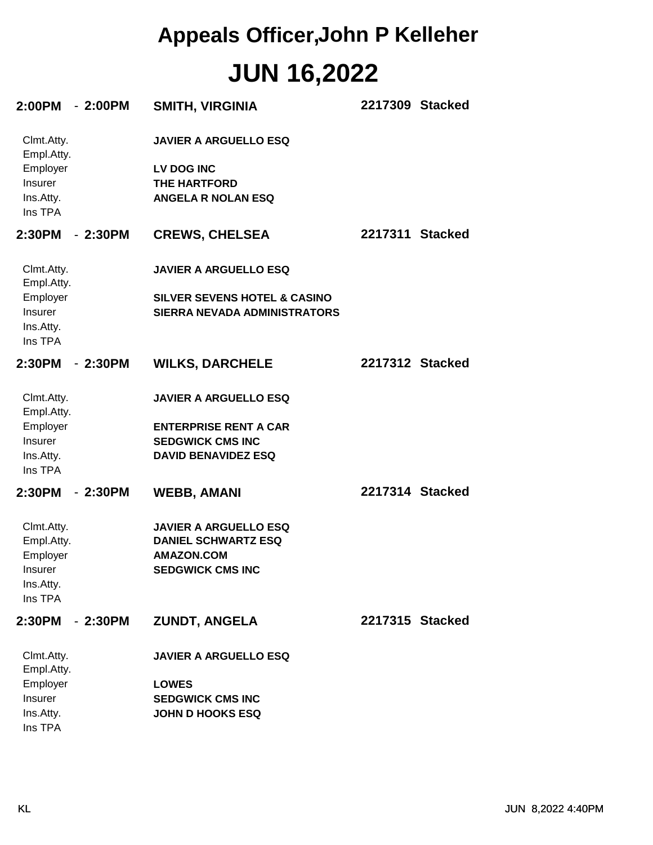| 2:00PM - 2:00PM                                                         |           | <b>SMITH, VIRGINIA</b>                                                                                                | 2217309 Stacked |  |
|-------------------------------------------------------------------------|-----------|-----------------------------------------------------------------------------------------------------------------------|-----------------|--|
| Clmt.Atty.<br>Empl.Atty.<br>Employer<br>Insurer<br>Ins.Atty.<br>Ins TPA |           | <b>JAVIER A ARGUELLO ESQ</b><br><b>LV DOG INC</b><br>THE HARTFORD<br><b>ANGELA R NOLAN ESQ</b>                        |                 |  |
| 2:30PM - 2:30PM                                                         |           | <b>CREWS, CHELSEA</b>                                                                                                 | 2217311 Stacked |  |
| Clmt.Atty.<br>Empl.Atty.                                                |           | <b>JAVIER A ARGUELLO ESQ</b>                                                                                          |                 |  |
| Employer<br>Insurer<br>Ins.Atty.<br>Ins TPA                             |           | <b>SILVER SEVENS HOTEL &amp; CASINO</b><br><b>SIERRA NEVADA ADMINISTRATORS</b>                                        |                 |  |
| 2:30PM - 2:30PM                                                         |           | <b>WILKS, DARCHELE</b>                                                                                                | 2217312 Stacked |  |
| Clmt.Atty.<br>Empl.Atty.<br>Employer<br>Insurer<br>Ins.Atty.<br>Ins TPA |           | <b>JAVIER A ARGUELLO ESQ</b><br><b>ENTERPRISE RENT A CAR</b><br><b>SEDGWICK CMS INC</b><br><b>DAVID BENAVIDEZ ESQ</b> |                 |  |
| 2:30PM                                                                  | - 2:30PM  | <b>WEBB, AMANI</b>                                                                                                    | 2217314 Stacked |  |
| Clmt.Atty.<br>Empl.Atty.<br>Employer<br>Insurer<br>Ins.Atty.<br>Ins TPA |           | <b>JAVIER A ARGUELLO ESQ</b><br><b>DANIEL SCHWARTZ ESQ</b><br><b>AMAZON.COM</b><br><b>SEDGWICK CMS INC</b>            |                 |  |
| 2:30PM                                                                  | $-2:30PM$ | <b>ZUNDT, ANGELA</b>                                                                                                  | 2217315 Stacked |  |
| Clmt.Atty.<br>Empl.Atty.<br>Employer<br>Insurer<br>Ins.Atty.<br>Ins TPA |           | <b>JAVIER A ARGUELLO ESQ</b><br><b>LOWES</b><br><b>SEDGWICK CMS INC</b><br><b>JOHN D HOOKS ESQ</b>                    |                 |  |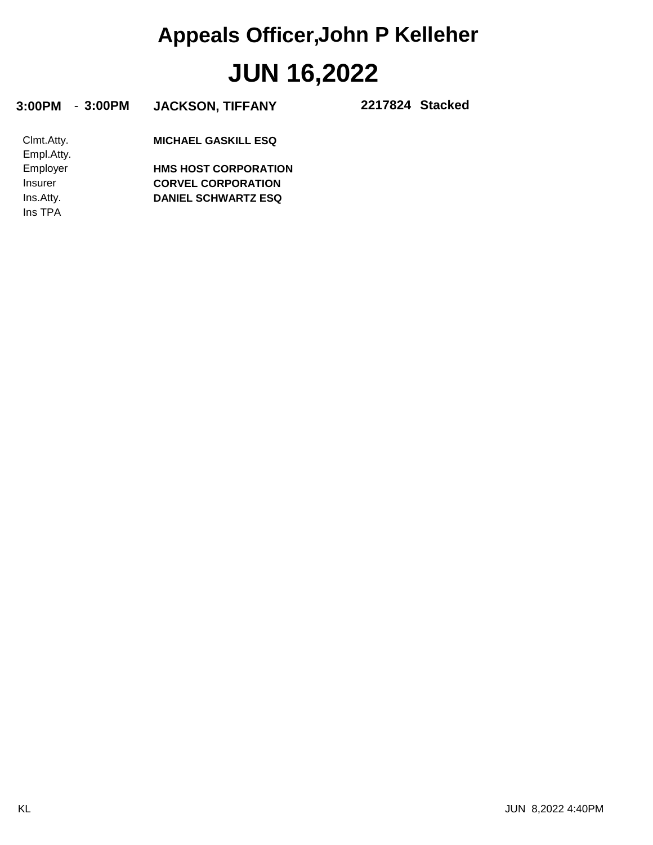| 3:00PM<br>$-3:00PM$      | <b>JACKSON, TIFFANY</b>     | 2217824 Stacked |
|--------------------------|-----------------------------|-----------------|
| Clmt.Atty.<br>Empl.Atty. | <b>MICHAEL GASKILL ESQ</b>  |                 |
| Employer                 | <b>HMS HOST CORPORATION</b> |                 |
| Insurer                  | <b>CORVEL CORPORATION</b>   |                 |
| Ins.Atty.                | <b>DANIEL SCHWARTZ ESQ</b>  |                 |
| Ins TPA                  |                             |                 |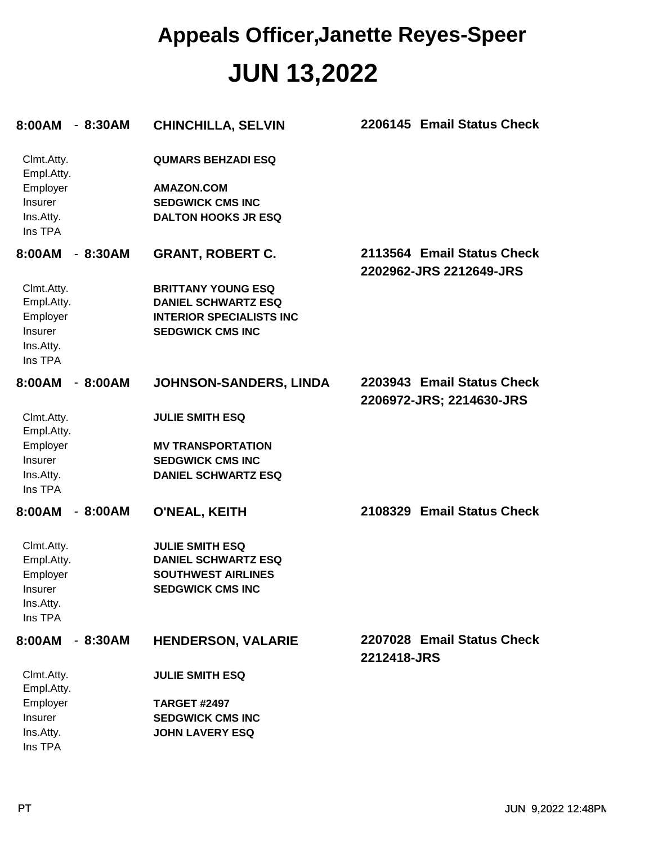| 8:00AM                                                                         | - 8:30AM  | <b>CHINCHILLA, SELVIN</b>                                                                                             | 2206145 Email Status Check                             |
|--------------------------------------------------------------------------------|-----------|-----------------------------------------------------------------------------------------------------------------------|--------------------------------------------------------|
| Clmt.Atty.<br>Empl.Atty.<br>Employer<br>Insurer<br>Ins.Atty.<br>Ins TPA        |           | <b>QUMARS BEHZADI ESQ</b><br><b>AMAZON.COM</b><br><b>SEDGWICK CMS INC</b><br><b>DALTON HOOKS JR ESQ</b>               |                                                        |
| 8:00AM                                                                         | $-8:30AM$ | <b>GRANT, ROBERT C.</b>                                                                                               | 2113564 Email Status Check<br>2202962-JRS 2212649-JRS  |
| Clmt.Atty.<br>Empl.Atty.<br>Employer<br>Insurer<br>Ins.Atty.<br>Ins TPA        |           | <b>BRITTANY YOUNG ESQ</b><br><b>DANIEL SCHWARTZ ESQ</b><br><b>INTERIOR SPECIALISTS INC</b><br><b>SEDGWICK CMS INC</b> |                                                        |
| 8:00AM                                                                         | $-8:00AM$ | JOHNSON-SANDERS, LINDA                                                                                                | 2203943 Email Status Check<br>2206972-JRS; 2214630-JRS |
| Clmt.Atty.<br>Empl.Atty.<br>Employer<br>Insurer<br>Ins.Atty.<br>Ins TPA        |           | <b>JULIE SMITH ESQ</b><br><b>MV TRANSPORTATION</b><br><b>SEDGWICK CMS INC</b><br><b>DANIEL SCHWARTZ ESQ</b>           |                                                        |
| 8:00AM                                                                         | $-8:00AM$ | O'NEAL, KEITH                                                                                                         | 2108329 Email Status Check                             |
| Clmt.Atty.<br>Empl.Atty.<br>Employer<br><b>Insurer</b><br>Ins.Atty.<br>Ins TPA |           | <b>JULIE SMITH ESQ</b><br><b>DANIEL SCHWARTZ ESQ</b><br><b>SOUTHWEST AIRLINES</b><br><b>SEDGWICK CMS INC</b>          |                                                        |
| 8:00AM                                                                         | $-8:30AM$ | <b>HENDERSON, VALARIE</b>                                                                                             | 2207028 Email Status Check<br>2212418-JRS              |
| Clmt.Atty.<br>Empl.Atty.                                                       |           | <b>JULIE SMITH ESQ</b>                                                                                                |                                                        |
| Employer<br>Insurer<br>Ins.Atty.<br>Ins TPA                                    |           | <b>TARGET #2497</b><br><b>SEDGWICK CMS INC</b><br><b>JOHN LAVERY ESQ</b>                                              |                                                        |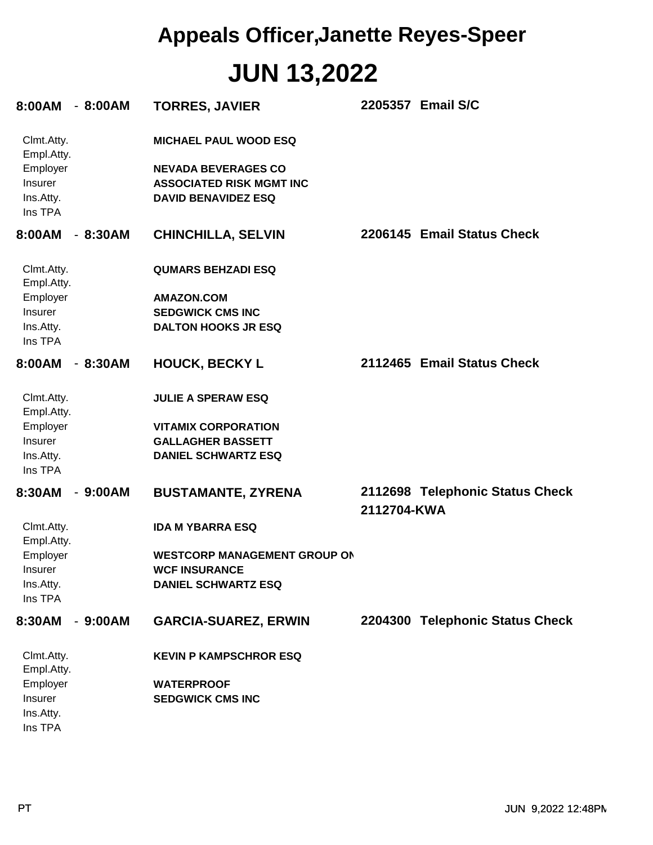| 8:00AM                                      | $-8:00AM$ | <b>TORRES, JAVIER</b>                                                                       |             | 2205357 Email S/C               |
|---------------------------------------------|-----------|---------------------------------------------------------------------------------------------|-------------|---------------------------------|
| Clmt.Atty.<br>Empl.Atty.                    |           | <b>MICHAEL PAUL WOOD ESQ</b>                                                                |             |                                 |
| Employer<br>Insurer<br>Ins.Atty.<br>Ins TPA |           | <b>NEVADA BEVERAGES CO</b><br><b>ASSOCIATED RISK MGMT INC</b><br><b>DAVID BENAVIDEZ ESQ</b> |             |                                 |
| 8:00AM                                      | $-8:30AM$ | <b>CHINCHILLA, SELVIN</b>                                                                   |             | 2206145 Email Status Check      |
| Clmt.Atty.<br>Empl.Atty.                    |           | <b>QUMARS BEHZADI ESQ</b>                                                                   |             |                                 |
| Employer                                    |           | <b>AMAZON.COM</b>                                                                           |             |                                 |
| Insurer                                     |           | <b>SEDGWICK CMS INC</b>                                                                     |             |                                 |
| Ins.Atty.                                   |           | <b>DALTON HOOKS JR ESQ</b>                                                                  |             |                                 |
| Ins TPA                                     |           |                                                                                             |             |                                 |
| 8:00AM                                      | $-8:30AM$ | <b>HOUCK, BECKY L</b>                                                                       |             | 2112465 Email Status Check      |
| Clmt.Atty.<br>Empl.Atty.                    |           | <b>JULIE A SPERAW ESQ</b>                                                                   |             |                                 |
| Employer                                    |           | <b>VITAMIX CORPORATION</b>                                                                  |             |                                 |
| Insurer                                     |           | <b>GALLAGHER BASSETT</b>                                                                    |             |                                 |
| Ins.Atty.                                   |           | <b>DANIEL SCHWARTZ ESQ</b>                                                                  |             |                                 |
| Ins TPA                                     |           |                                                                                             |             |                                 |
| 8:30AM                                      | $-9:00AM$ | <b>BUSTAMANTE, ZYRENA</b>                                                                   | 2112704-KWA | 2112698 Telephonic Status Check |
| Clmt.Atty.<br>Empl.Atty.                    |           | <b>IDA M YBARRA ESQ</b>                                                                     |             |                                 |
| Employer                                    |           | <b>WESTCORP MANAGEMENT GROUP ON</b>                                                         |             |                                 |
| Insurer                                     |           | <b>WCF INSURANCE</b>                                                                        |             |                                 |
| Ins.Atty.                                   |           | <b>DANIEL SCHWARTZ ESQ</b>                                                                  |             |                                 |
| Ins TPA                                     |           |                                                                                             |             |                                 |
| 8:30AM                                      | $-9:00AM$ | <b>GARCIA-SUAREZ, ERWIN</b>                                                                 |             | 2204300 Telephonic Status Check |
| Clmt.Atty.<br>Empl.Atty.                    |           | <b>KEVIN P KAMPSCHROR ESQ</b>                                                               |             |                                 |
| Employer                                    |           | <b>WATERPROOF</b>                                                                           |             |                                 |
| Insurer                                     |           | <b>SEDGWICK CMS INC</b>                                                                     |             |                                 |
| Ins.Atty.                                   |           |                                                                                             |             |                                 |
| Ins TPA                                     |           |                                                                                             |             |                                 |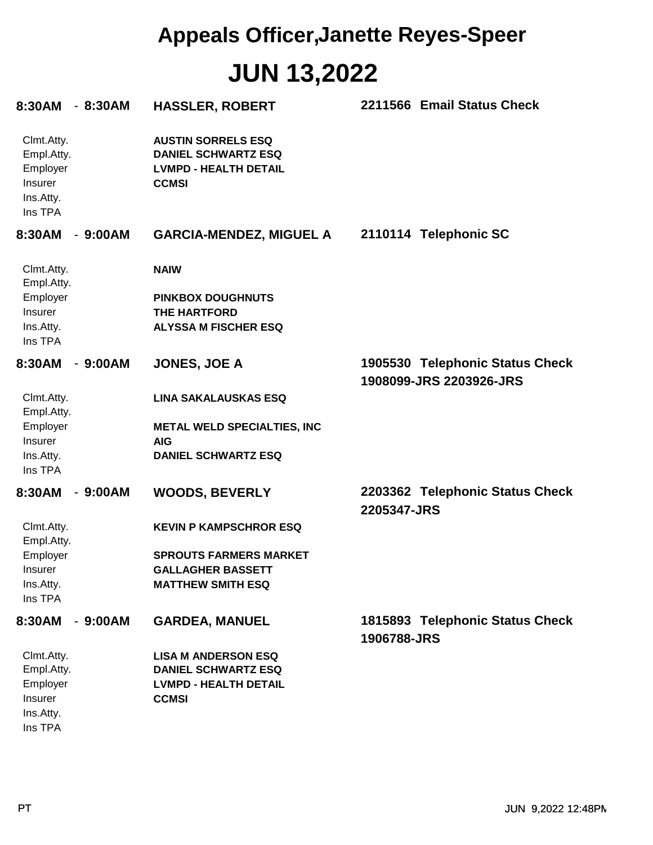| 8:30AM                                                                  | $-8:30AM$ | <b>HASSLER, ROBERT</b>                                                                                  | 2211566 Email Status Check                                 |
|-------------------------------------------------------------------------|-----------|---------------------------------------------------------------------------------------------------------|------------------------------------------------------------|
| Clmt.Atty.<br>Empl.Atty.<br>Employer<br>Insurer<br>Ins.Atty.<br>Ins TPA |           | <b>AUSTIN SORRELS ESQ</b><br><b>DANIEL SCHWARTZ ESQ</b><br><b>LVMPD - HEALTH DETAIL</b><br><b>CCMSI</b> |                                                            |
| 8:30AM                                                                  | $-9:00AM$ | <b>GARCIA-MENDEZ, MIGUEL A</b>                                                                          | 2110114 Telephonic SC                                      |
| Clmt.Atty.<br>Empl.Atty.                                                |           | <b>NAIW</b>                                                                                             |                                                            |
| Employer                                                                |           | <b>PINKBOX DOUGHNUTS</b>                                                                                |                                                            |
| Insurer                                                                 |           | <b>THE HARTFORD</b>                                                                                     |                                                            |
| Ins.Atty.<br>Ins TPA                                                    |           | <b>ALYSSA M FISCHER ESQ</b>                                                                             |                                                            |
| 8:30AM                                                                  | $-9:00AM$ | <b>JONES, JOE A</b>                                                                                     | 1905530 Telephonic Status Check<br>1908099-JRS 2203926-JRS |
| Clmt.Atty.<br>Empl.Atty.                                                |           | <b>LINA SAKALAUSKAS ESQ</b>                                                                             |                                                            |
| Employer                                                                |           | <b>METAL WELD SPECIALTIES, INC</b>                                                                      |                                                            |
| Insurer                                                                 |           | <b>AIG</b>                                                                                              |                                                            |
| Ins.Atty.<br>Ins TPA                                                    |           | <b>DANIEL SCHWARTZ ESQ</b>                                                                              |                                                            |
| 8:30AM                                                                  | $-9:00AM$ | <b>WOODS, BEVERLY</b>                                                                                   | 2203362 Telephonic Status Check<br>2205347-JRS             |
| Clmt.Atty.<br>Empl.Atty.                                                |           | <b>KEVIN P KAMPSCHROR ESQ</b>                                                                           |                                                            |
| Employer                                                                |           | <b>SPROUTS FARMERS MARKET</b>                                                                           |                                                            |
| Insurer                                                                 |           | <b>GALLAGHER BASSETT</b>                                                                                |                                                            |
| Ins.Atty.<br>Ins TPA                                                    |           | <b>MATTHEW SMITH ESQ</b>                                                                                |                                                            |
| 8:30AM                                                                  | $-9:00AM$ | <b>GARDEA, MANUEL</b>                                                                                   | 1815893 Telephonic Status Check<br>1906788-JRS             |
| Clmt.Atty.                                                              |           | <b>LISA M ANDERSON ESQ</b>                                                                              |                                                            |
| Empl.Atty.                                                              |           | <b>DANIEL SCHWARTZ ESQ</b>                                                                              |                                                            |
| Employer                                                                |           | <b>LVMPD - HEALTH DETAIL</b>                                                                            |                                                            |
| Insurer                                                                 |           | <b>CCMSI</b>                                                                                            |                                                            |
| Ins.Atty.                                                               |           |                                                                                                         |                                                            |
| Ins TPA                                                                 |           |                                                                                                         |                                                            |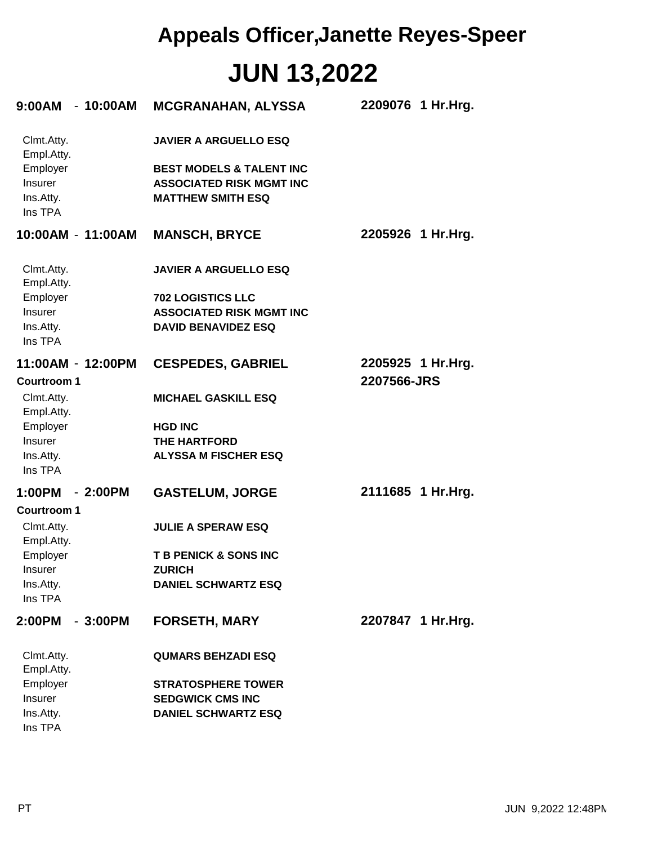| $9:00AM - 10:00AM$                             |           | <b>MCGRANAHAN, ALYSSA</b>                                                                          | 2209076 1 Hr.Hrg. |
|------------------------------------------------|-----------|----------------------------------------------------------------------------------------------------|-------------------|
| Clmt.Atty.<br>Empl.Atty.                       |           | <b>JAVIER A ARGUELLO ESQ</b>                                                                       |                   |
| Employer<br>Insurer<br>Ins.Atty.<br>Ins TPA    |           | <b>BEST MODELS &amp; TALENT INC</b><br><b>ASSOCIATED RISK MGMT INC</b><br><b>MATTHEW SMITH ESQ</b> |                   |
| 10:00AM - 11:00AM                              |           | <b>MANSCH, BRYCE</b>                                                                               | 2205926 1 Hr.Hrg. |
| Clmt.Atty.<br>Empl.Atty.                       |           | <b>JAVIER A ARGUELLO ESQ</b>                                                                       |                   |
| Employer                                       |           | <b>702 LOGISTICS LLC</b>                                                                           |                   |
| Insurer                                        |           | <b>ASSOCIATED RISK MGMT INC</b>                                                                    |                   |
| Ins.Atty.<br>Ins TPA                           |           | <b>DAVID BENAVIDEZ ESQ</b>                                                                         |                   |
| 11:00AM - 12:00PM                              |           | <b>CESPEDES, GABRIEL</b>                                                                           | 2205925 1 Hr.Hrg. |
| <b>Courtroom 1</b><br>Clmt.Atty.<br>Empl.Atty. |           | <b>MICHAEL GASKILL ESQ</b>                                                                         | 2207566-JRS       |
| Employer                                       |           | <b>HGD INC</b>                                                                                     |                   |
| Insurer                                        |           | <b>THE HARTFORD</b>                                                                                |                   |
| Ins.Atty.<br>Ins TPA                           |           | <b>ALYSSA M FISCHER ESQ</b>                                                                        |                   |
| 1:00PM - 2:00PM                                |           | <b>GASTELUM, JORGE</b>                                                                             | 2111685 1 Hr.Hrg. |
| Courtroom 1                                    |           |                                                                                                    |                   |
| Clmt.Atty.<br>Empl.Atty.                       |           | <b>JULIE A SPERAW ESQ</b>                                                                          |                   |
| Employer                                       |           | <b>T B PENICK &amp; SONS INC</b>                                                                   |                   |
| Insurer                                        |           | <b>ZURICH</b><br><b>DANIEL SCHWARTZ ESQ</b>                                                        |                   |
| Ins.Atty.<br>Ins TPA                           |           |                                                                                                    |                   |
| 2:00PM                                         | $-3:00PM$ | <b>FORSETH, MARY</b>                                                                               | 2207847 1 Hr.Hrg. |
| Clmt.Atty.<br>Empl.Atty.                       |           | <b>QUMARS BEHZADI ESQ</b>                                                                          |                   |
| Employer                                       |           | <b>STRATOSPHERE TOWER</b>                                                                          |                   |
| Insurer                                        |           | <b>SEDGWICK CMS INC</b>                                                                            |                   |
| Ins.Atty.<br>Ins TPA                           |           | <b>DANIEL SCHWARTZ ESQ</b>                                                                         |                   |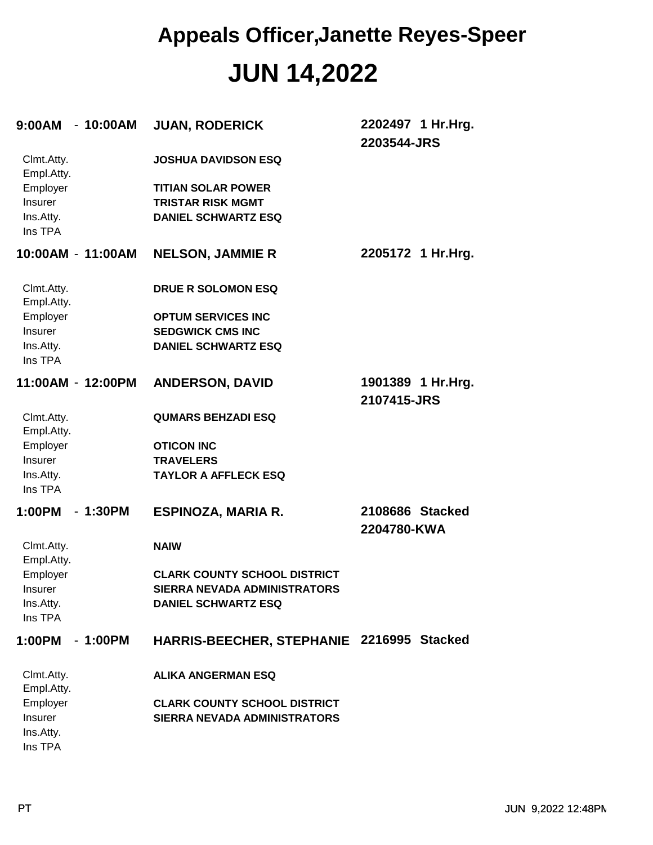| 9:00AM - 10:00AM                |                   | <b>JUAN, RODERICK</b>                     | 2202497 1 Hr.Hrg.<br>2203544-JRS |
|---------------------------------|-------------------|-------------------------------------------|----------------------------------|
| Clmt.Atty.<br>Empl.Atty.        |                   | <b>JOSHUA DAVIDSON ESQ</b>                |                                  |
| Employer                        |                   | <b>TITIAN SOLAR POWER</b>                 |                                  |
| Insurer                         |                   | <b>TRISTAR RISK MGMT</b>                  |                                  |
| Ins.Atty.<br>Ins TPA            |                   | <b>DANIEL SCHWARTZ ESQ</b>                |                                  |
| 10:00AM - 11:00AM               |                   | <b>NELSON, JAMMIE R</b>                   | 2205172 1 Hr.Hrg.                |
| Clmt.Atty.<br>Empl.Atty.        |                   | <b>DRUE R SOLOMON ESQ</b>                 |                                  |
| Employer                        |                   | <b>OPTUM SERVICES INC</b>                 |                                  |
| Insurer                         |                   | <b>SEDGWICK CMS INC</b>                   |                                  |
| Ins.Atty.<br>Ins TPA            |                   | <b>DANIEL SCHWARTZ ESQ</b>                |                                  |
|                                 | 11:00AM - 12:00PM | <b>ANDERSON, DAVID</b>                    | 1901389 1 Hr.Hrg.<br>2107415-JRS |
| Clmt.Atty.<br>Empl.Atty.        |                   | <b>QUMARS BEHZADI ESQ</b>                 |                                  |
| Employer                        |                   | <b>OTICON INC</b>                         |                                  |
| Insurer                         |                   | <b>TRAVELERS</b>                          |                                  |
| Ins.Atty.<br>Ins TPA            |                   | <b>TAYLOR A AFFLECK ESQ</b>               |                                  |
| 1:00PM                          | $-1:30PM$         | ESPINOZA, MARIA R.                        | 2108686 Stacked<br>2204780-KWA   |
| Clmt.Atty.<br>Empl.Atty.        |                   | <b>NAIW</b>                               |                                  |
| Employer                        |                   | <b>CLARK COUNTY SCHOOL DISTRICT</b>       |                                  |
| Insurer                         |                   | <b>SIERRA NEVADA ADMINISTRATORS</b>       |                                  |
| Ins.Atty.<br>Ins TPA            |                   | <b>DANIEL SCHWARTZ ESQ</b>                |                                  |
| 1:00PM                          | $-1:00PM$         | HARRIS-BEECHER, STEPHANIE 2216995 Stacked |                                  |
| Clmt.Atty.<br>Empl.Atty.        |                   | <b>ALIKA ANGERMAN ESQ</b>                 |                                  |
| Employer                        |                   | <b>CLARK COUNTY SCHOOL DISTRICT</b>       |                                  |
| Insurer<br>Ins.Atty.<br>Ins TPA |                   | <b>SIERRA NEVADA ADMINISTRATORS</b>       |                                  |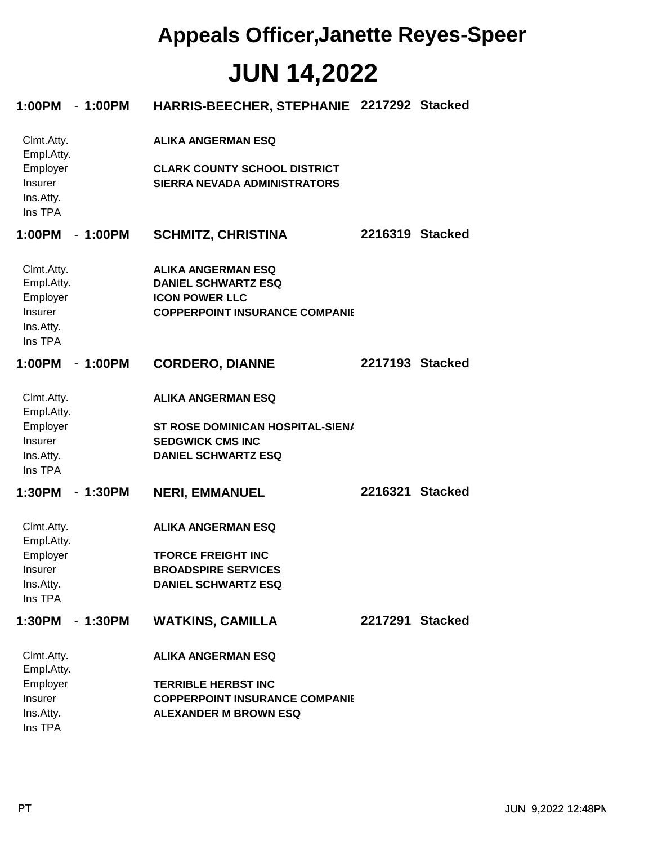| 1:00PM - 1:00PM                                                         |           | HARRIS-BEECHER, STEPHANIE 2217292 Stacked                                                                                 |                 |  |
|-------------------------------------------------------------------------|-----------|---------------------------------------------------------------------------------------------------------------------------|-----------------|--|
| Clmt.Atty.<br>Empl.Atty.                                                |           | <b>ALIKA ANGERMAN ESQ</b>                                                                                                 |                 |  |
| Employer<br>Insurer<br>Ins.Atty.<br>Ins TPA                             |           | <b>CLARK COUNTY SCHOOL DISTRICT</b><br><b>SIERRA NEVADA ADMINISTRATORS</b>                                                |                 |  |
| 1:00PM                                                                  | - 1:00PM  | <b>SCHMITZ, CHRISTINA</b>                                                                                                 | 2216319 Stacked |  |
| Clmt.Atty.<br>Empl.Atty.<br>Employer<br>Insurer<br>Ins.Atty.<br>Ins TPA |           | <b>ALIKA ANGERMAN ESQ</b><br><b>DANIEL SCHWARTZ ESQ</b><br><b>ICON POWER LLC</b><br><b>COPPERPOINT INSURANCE COMPANIE</b> |                 |  |
| 1:00PM                                                                  | $-1:00PM$ | <b>CORDERO, DIANNE</b>                                                                                                    | 2217193 Stacked |  |
| Clmt.Atty.<br>Empl.Atty.<br>Employer<br>Insurer<br>Ins.Atty.<br>Ins TPA |           | <b>ALIKA ANGERMAN ESQ</b><br>ST ROSE DOMINICAN HOSPITAL-SIEN/<br><b>SEDGWICK CMS INC</b><br><b>DANIEL SCHWARTZ ESQ</b>    |                 |  |
| 1:30PM                                                                  | $-1:30PM$ | <b>NERI, EMMANUEL</b>                                                                                                     | 2216321 Stacked |  |
| Clmt.Atty.<br>Empl.Atty.                                                |           | <b>ALIKA ANGERMAN ESQ</b>                                                                                                 |                 |  |
| Employer<br>Insurer<br>Ins.Atty.<br>Ins TPA                             |           | <b>TFORCE FREIGHT INC</b><br><b>BROADSPIRE SERVICES</b><br><b>DANIEL SCHWARTZ ESQ</b>                                     |                 |  |
| 1:30PM                                                                  | $-1:30PM$ | <b>WATKINS, CAMILLA</b>                                                                                                   | 2217291 Stacked |  |
| Clmt.Atty.<br>Empl.Atty.                                                |           | <b>ALIKA ANGERMAN ESQ</b>                                                                                                 |                 |  |
| Employer<br>Insurer<br>Ins.Atty.<br>Ins TPA                             |           | <b>TERRIBLE HERBST INC</b><br><b>COPPERPOINT INSURANCE COMPANIE</b><br><b>ALEXANDER M BROWN ESQ</b>                       |                 |  |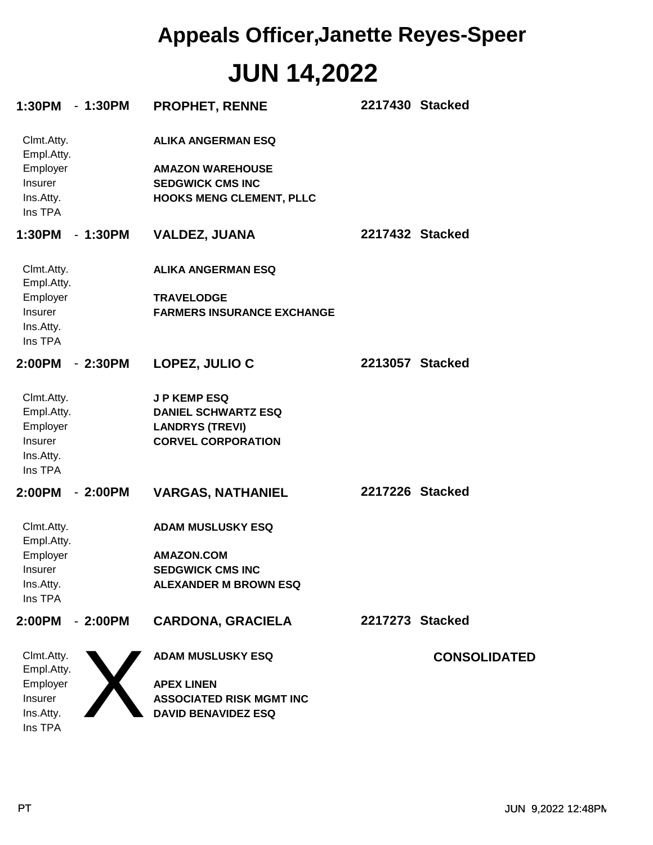| 1:30PM - 1:30PM                                                         |           | <b>PROPHET, RENNE</b>                                                                                              | 2217430 Stacked |                     |
|-------------------------------------------------------------------------|-----------|--------------------------------------------------------------------------------------------------------------------|-----------------|---------------------|
| Clmt.Atty.<br>Empl.Atty.<br>Employer<br>Insurer<br>Ins.Atty.<br>Ins TPA |           | <b>ALIKA ANGERMAN ESQ</b><br><b>AMAZON WAREHOUSE</b><br><b>SEDGWICK CMS INC</b><br><b>HOOKS MENG CLEMENT, PLLC</b> |                 |                     |
| 1:30PM                                                                  | - 1:30PM  | <b>VALDEZ, JUANA</b>                                                                                               | 2217432 Stacked |                     |
| Clmt.Atty.<br>Empl.Atty.<br>Employer                                    |           | <b>ALIKA ANGERMAN ESQ</b><br><b>TRAVELODGE</b>                                                                     |                 |                     |
| Insurer<br>Ins.Atty.<br>Ins TPA                                         |           | <b>FARMERS INSURANCE EXCHANGE</b>                                                                                  |                 |                     |
| 2:00PM                                                                  | $-2:30PM$ | LOPEZ, JULIO C                                                                                                     | 2213057 Stacked |                     |
| Clmt.Atty.<br>Empl.Atty.<br>Employer<br>Insurer<br>Ins.Atty.<br>Ins TPA |           | <b>JP KEMP ESQ</b><br><b>DANIEL SCHWARTZ ESQ</b><br><b>LANDRYS (TREVI)</b><br><b>CORVEL CORPORATION</b>            |                 |                     |
| 2:00PM                                                                  | $-2:00PM$ | <b>VARGAS, NATHANIEL</b>                                                                                           | 2217226 Stacked |                     |
| Clmt.Atty.<br>Empl.Atty.<br>Employer<br>Insurer<br>Ins.Atty.<br>Ins TPA |           | <b>ADAM MUSLUSKY ESQ</b><br><b>AMAZON.COM</b><br><b>SEDGWICK CMS INC</b><br><b>ALEXANDER M BROWN ESQ</b>           |                 |                     |
| 2:00PM                                                                  | $-2:00PM$ | <b>CARDONA, GRACIELA</b>                                                                                           | 2217273 Stacked |                     |
| Clmt.Atty.<br>Empl.Atty.                                                |           | <b>ADAM MUSLUSKY ESQ</b>                                                                                           |                 | <b>CONSOLIDATED</b> |
| Employer<br>Insurer<br>Ins.Atty.<br>Ins TPA                             |           | <b>APEX LINEN</b><br><b>ASSOCIATED RISK MGMT INC</b><br><b>DAVID BENAVIDEZ ESQ</b>                                 |                 |                     |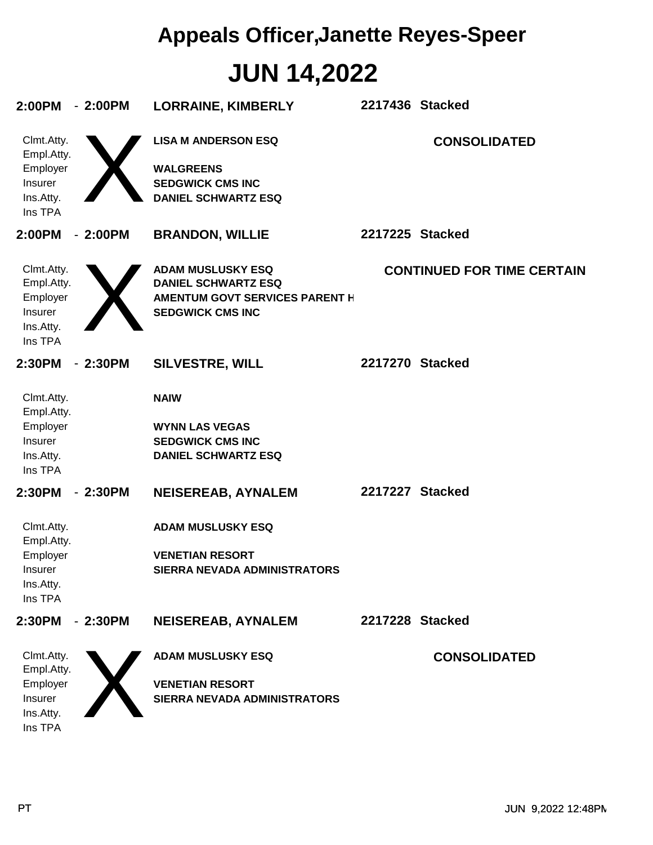## **JUN 14,2022 Appeals Officer,Janette Reyes-Speer**

| 2:00PM                                                                  | $-2:00PM$ | <b>LORRAINE, KIMBERLY</b>                                                                                                  | 2217436 Stacked |                                   |
|-------------------------------------------------------------------------|-----------|----------------------------------------------------------------------------------------------------------------------------|-----------------|-----------------------------------|
| Clmt.Atty.<br>Empl.Atty.<br>Employer<br>Insurer<br>Ins.Atty.<br>Ins TPA |           | <b>LISA M ANDERSON ESQ</b><br><b>WALGREENS</b><br><b>SEDGWICK CMS INC</b><br><b>DANIEL SCHWARTZ ESQ</b>                    |                 | <b>CONSOLIDATED</b>               |
| 2:00PM                                                                  | $-2:00PM$ | <b>BRANDON, WILLIE</b>                                                                                                     | 2217225 Stacked |                                   |
| Clmt.Atty.<br>Empl.Atty.<br>Employer<br>Insurer<br>Ins.Atty.<br>Ins TPA |           | <b>ADAM MUSLUSKY ESQ</b><br><b>DANIEL SCHWARTZ ESQ</b><br><b>AMENTUM GOVT SERVICES PARENT H</b><br><b>SEDGWICK CMS INC</b> |                 | <b>CONTINUED FOR TIME CERTAIN</b> |
| 2:30PM                                                                  | $-2:30PM$ | <b>SILVESTRE, WILL</b>                                                                                                     | 2217270 Stacked |                                   |
| Clmt.Atty.<br>Empl.Atty.<br>Employer<br>Insurer<br>Ins.Atty.<br>Ins TPA |           | <b>NAIW</b><br><b>WYNN LAS VEGAS</b><br><b>SEDGWICK CMS INC</b><br><b>DANIEL SCHWARTZ ESQ</b>                              |                 |                                   |
| 2:30PM                                                                  | $-2:30PM$ | <b>NEISEREAB, AYNALEM</b>                                                                                                  | 2217227 Stacked |                                   |
| Clmt.Atty.<br>Empl.Atty.<br>Employer<br>Insurer<br>Ins.Atty.<br>Ins TPA |           | <b>ADAM MUSLUSKY ESQ</b><br><b>VENETIAN RESORT</b><br>SIERRA NEVADA ADMINISTRATORS                                         |                 |                                   |
| 2:30PM                                                                  | $-2:30PM$ | <b>NEISEREAB, AYNALEM</b>                                                                                                  | 2217228 Stacked |                                   |
| Clmt.Atty.<br>Empl.Atty.<br>Employer<br>Insurer<br>Ins.Atty.<br>Ins TPA |           | <b>ADAM MUSLUSKY ESQ</b><br><b>VENETIAN RESORT</b><br>SIERRA NEVADA ADMINISTRATORS                                         |                 | <b>CONSOLIDATED</b>               |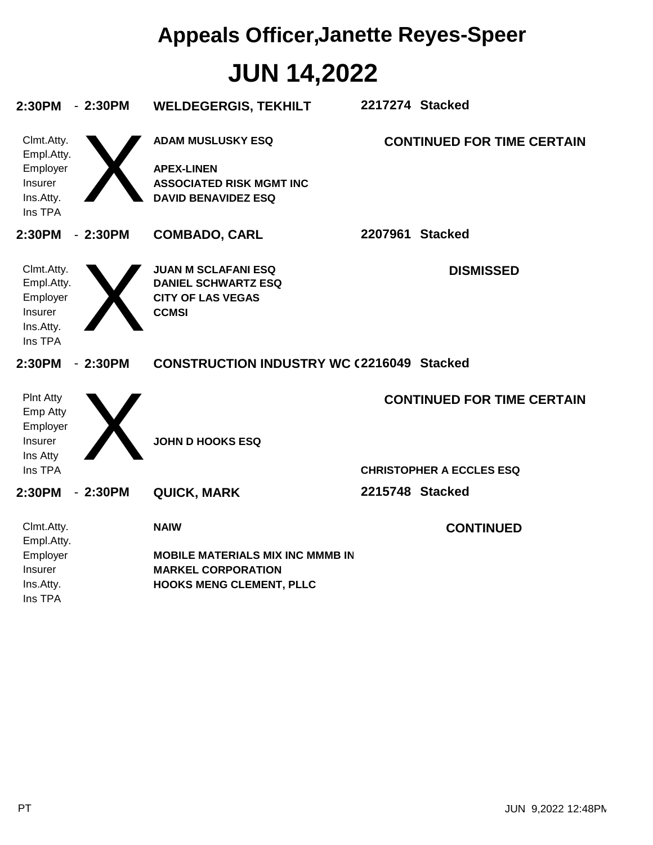# **JUN 14,2022 Appeals Officer,Janette Reyes-Speer**

| 2:30PM                     | $-2:30PM$ | <b>WELDEGERGIS, TEKHILT</b>                                   | 2217274 Stacked |                                   |
|----------------------------|-----------|---------------------------------------------------------------|-----------------|-----------------------------------|
| Clmt.Atty.<br>Empl.Atty.   |           | <b>ADAM MUSLUSKY ESQ</b>                                      |                 | <b>CONTINUED FOR TIME CERTAIN</b> |
| Employer                   |           | <b>APEX-LINEN</b>                                             |                 |                                   |
| Insurer<br>Ins.Atty.       |           | <b>ASSOCIATED RISK MGMT INC</b><br><b>DAVID BENAVIDEZ ESQ</b> |                 |                                   |
| Ins TPA                    |           |                                                               |                 |                                   |
| 2:30PM                     | $-2:30PM$ | <b>COMBADO, CARL</b>                                          | 2207961 Stacked |                                   |
| Clmt.Atty.                 |           | <b>JUAN M SCLAFANI ESQ</b>                                    |                 | <b>DISMISSED</b>                  |
| Empl.Atty.                 |           | <b>DANIEL SCHWARTZ ESQ</b>                                    |                 |                                   |
| Employer<br>Insurer        |           | <b>CITY OF LAS VEGAS</b><br><b>CCMSI</b>                      |                 |                                   |
| Ins.Atty.                  |           |                                                               |                 |                                   |
| Ins TPA                    |           |                                                               |                 |                                   |
|                            |           |                                                               |                 |                                   |
| 2:30PM                     | $-2:30PM$ | <b>CONSTRUCTION INDUSTRY WC (2216049 Stacked</b>              |                 |                                   |
| <b>PInt Atty</b>           |           |                                                               |                 | <b>CONTINUED FOR TIME CERTAIN</b> |
| Emp Atty                   |           |                                                               |                 |                                   |
| Employer<br>Insurer        |           | <b>JOHN D HOOKS ESQ</b>                                       |                 |                                   |
| Ins Atty                   |           |                                                               |                 |                                   |
| Ins TPA                    |           |                                                               |                 | <b>CHRISTOPHER A ECCLES ESQ</b>   |
| 2:30PM                     | $-2:30PM$ | <b>QUICK, MARK</b>                                            | 2215748 Stacked |                                   |
| Clmt.Atty.                 |           | <b>NAIW</b>                                                   |                 | <b>CONTINUED</b>                  |
| Empl.Atty.                 |           |                                                               |                 |                                   |
| Employer<br><b>Insurer</b> |           | <b>MOBILE MATERIALS MIX INC MMMB IN</b>                       |                 |                                   |
| Ins.Atty.                  |           | <b>MARKEL CORPORATION</b><br><b>HOOKS MENG CLEMENT, PLLC</b>  |                 |                                   |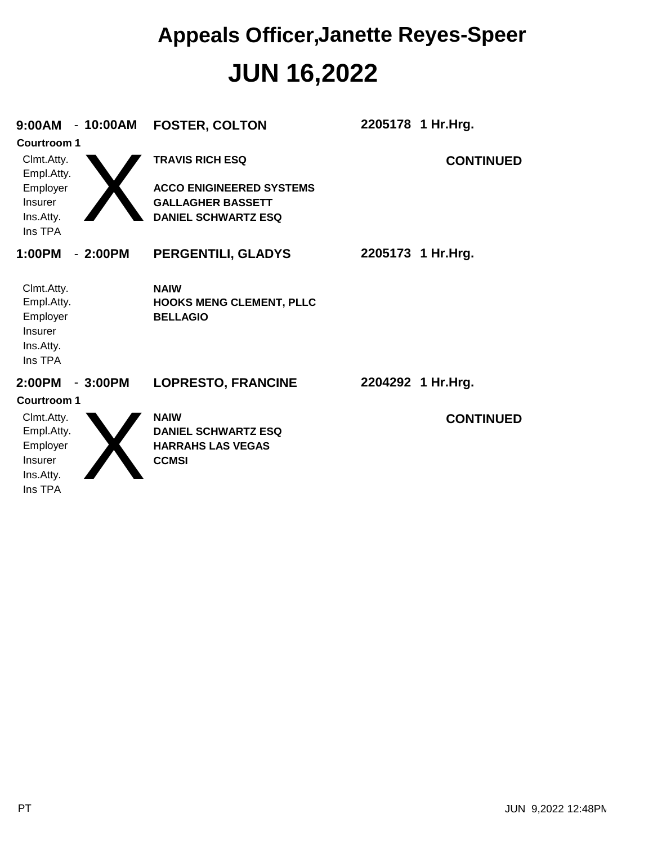### **JUN 16,2022 Appeals Officer,Janette Reyes-Speer**

| 9:00AM                                                                  | $-10:00AM$<br><b>FOSTER, COLTON</b>                     |                                 | 2205178 1 Hr.Hrg. |
|-------------------------------------------------------------------------|---------------------------------------------------------|---------------------------------|-------------------|
| <b>Courtroom 1</b>                                                      |                                                         |                                 |                   |
| Clmt.Atty.<br>Empl.Atty.                                                | <b>TRAVIS RICH ESQ</b>                                  |                                 | <b>CONTINUED</b>  |
| Employer                                                                |                                                         | <b>ACCO ENIGINEERED SYSTEMS</b> |                   |
| Insurer                                                                 | <b>GALLAGHER BASSETT</b>                                |                                 |                   |
| Ins.Atty.<br>Ins TPA                                                    |                                                         | <b>DANIEL SCHWARTZ ESQ</b>      |                   |
| 1:00PM                                                                  | $-2:00PM$                                               | PERGENTILI, GLADYS              | 2205173 1 Hr.Hrg. |
| Clmt.Atty.<br>Empl.Atty.<br>Employer<br>Insurer<br>Ins.Atty.<br>Ins TPA | <b>NAIW</b><br><b>BELLAGIO</b>                          | <b>HOOKS MENG CLEMENT, PLLC</b> |                   |
| 2:00PM                                                                  | $-3:00PM$                                               | <b>LOPRESTO, FRANCINE</b>       | 2204292 1 Hr.Hrg. |
| <b>Courtroom 1</b>                                                      |                                                         |                                 |                   |
| Clmt.Atty.<br>Empl.Atty.<br>Employer<br>Insurer<br>Ins.Atty.<br>Ins TPA | <b>NAIW</b><br><b>HARRAHS LAS VEGAS</b><br><b>CCMSI</b> | <b>DANIEL SCHWARTZ ESQ</b>      | <b>CONTINUED</b>  |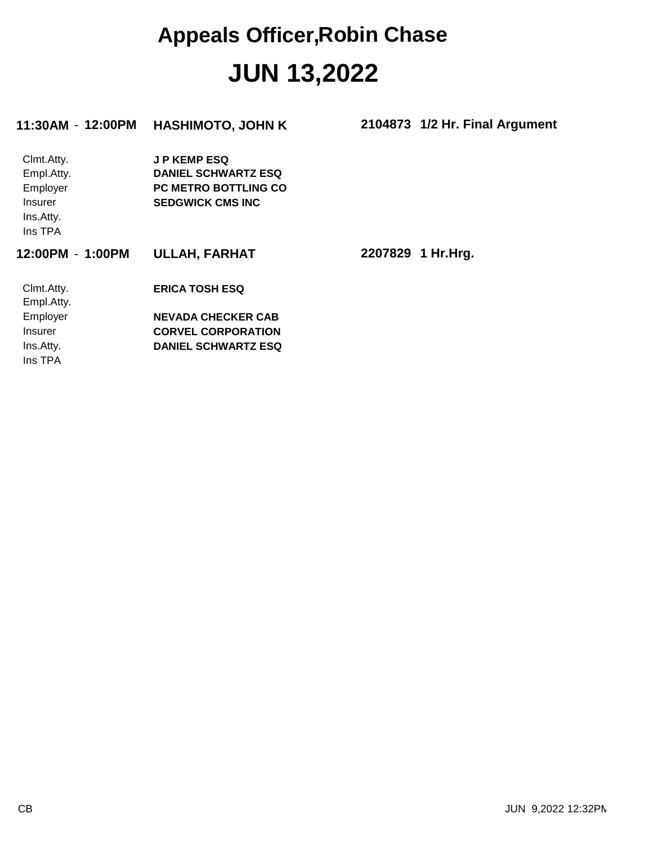### **JUN 13,2022 Appeals Officer,Robin Chase**

| 11:30AM - 12:00PM | <b>HASHIMOTO, JOHN K</b>    | 2104873 1/2 Hr. Final Argument |  |
|-------------------|-----------------------------|--------------------------------|--|
| Clmt.Atty.        | <b>JP KEMP ESQ</b>          |                                |  |
| Empl.Atty.        | <b>DANIEL SCHWARTZ ESQ</b>  |                                |  |
| Employer          | <b>PC METRO BOTTLING CO</b> |                                |  |
| <b>Insurer</b>    | <b>SEDGWICK CMS INC</b>     |                                |  |
| Ins.Atty.         |                             |                                |  |
| Ins TPA           |                             |                                |  |
| 12:00PM - 1:00PM  | <b>ULLAH, FARHAT</b>        | 2207829 1 Hr.Hrg.              |  |
| Clmt.Atty.        | <b>ERICA TOSH ESQ</b>       |                                |  |
| Empl.Atty.        |                             |                                |  |
| Employer          | <b>NEVADA CHECKER CAB</b>   |                                |  |
| <b>Insurer</b>    | <b>CORVEL CORPORATION</b>   |                                |  |
| Ins.Atty.         | <b>DANIEL SCHWARTZ ESQ</b>  |                                |  |
| Ins TPA           |                             |                                |  |
|                   |                             |                                |  |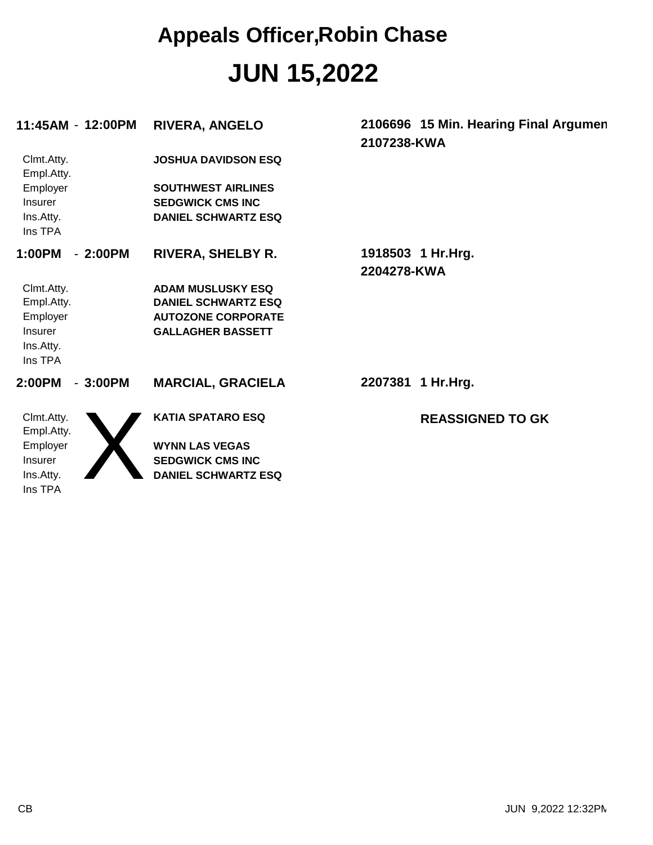## **JUN 15,2022 Appeals Officer,Robin Chase**

| 11:45AM - 12:00PM           | <b>RIVERA, ANGELO</b>                                   | 2106696 15 Min. Hearing Final Argumen<br>2107238-KWA |
|-----------------------------|---------------------------------------------------------|------------------------------------------------------|
| Clmt.Atty.<br>Empl.Atty.    | <b>JOSHUA DAVIDSON ESQ</b>                              |                                                      |
| Employer                    | <b>SOUTHWEST AIRLINES</b>                               |                                                      |
| <b>Insurer</b><br>Ins.Atty. | <b>SEDGWICK CMS INC</b><br><b>DANIEL SCHWARTZ ESQ</b>   |                                                      |
| Ins TPA                     |                                                         |                                                      |
| 1:00PM<br>$-2:00PM$         | <b>RIVERA, SHELBY R.</b>                                | 1918503 1 Hr. Hrg.                                   |
|                             |                                                         | 2204278-KWA                                          |
| Clmt.Atty.                  | <b>ADAM MUSLUSKY ESQ</b>                                |                                                      |
| Empl.Atty.<br>Employer      | <b>DANIEL SCHWARTZ ESQ</b><br><b>AUTOZONE CORPORATE</b> |                                                      |
| <b>Insurer</b>              | <b>GALLAGHER BASSETT</b>                                |                                                      |
| Ins.Atty.                   |                                                         |                                                      |
| Ins TPA                     |                                                         |                                                      |
| 2:00PM<br>$-3:00PM$         | <b>MARCIAL, GRACIELA</b>                                | 2207381 1 Hr.Hrg.                                    |
| Clmt.Atty.                  | <b>KATIA SPATARO ESQ</b>                                | <b>REASSIGNED TO GK</b>                              |
| Empl.Atty.                  |                                                         |                                                      |
| Employer                    | <b>WYNN LAS VEGAS</b>                                   |                                                      |
| <b>Insurer</b>              | <b>SEDGWICK CMS INC</b>                                 |                                                      |
| Ins.Atty.<br>Ins TPA        | <b>DANIEL SCHWARTZ ESQ</b>                              |                                                      |
|                             |                                                         |                                                      |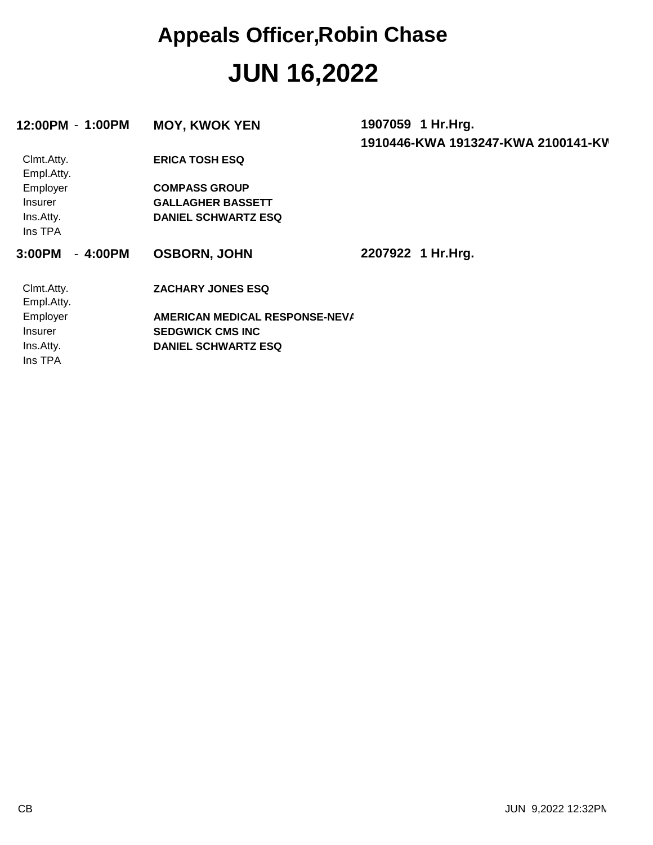### **JUN 16,2022 Appeals Officer,Robin Chase**

| 12:00PM - 1:00PM    | <b>MOY, KWOK YEN</b>           | 1907059 1 Hr.Hrg.                  |
|---------------------|--------------------------------|------------------------------------|
|                     |                                | 1910446-KWA 1913247-KWA 2100141-KV |
| Clmt.Atty.          | <b>ERICA TOSH ESQ</b>          |                                    |
| Empl.Atty.          |                                |                                    |
| Employer            | <b>COMPASS GROUP</b>           |                                    |
| <i>Insurer</i>      | <b>GALLAGHER BASSETT</b>       |                                    |
| Ins.Atty.           | <b>DANIEL SCHWARTZ ESQ</b>     |                                    |
| Ins TPA             |                                |                                    |
| $-4:00PM$<br>3:00PM | <b>OSBORN, JOHN</b>            | 2207922 1 Hr.Hrg.                  |
| Clmt.Atty.          | <b>ZACHARY JONES ESQ</b>       |                                    |
| Empl.Atty.          |                                |                                    |
| Employer            | AMERICAN MEDICAL RESPONSE-NEVA |                                    |
| <b>Insurer</b>      | <b>SEDGWICK CMS INC</b>        |                                    |
| Ins.Atty.           | <b>DANIEL SCHWARTZ ESQ</b>     |                                    |
| Ins TPA             |                                |                                    |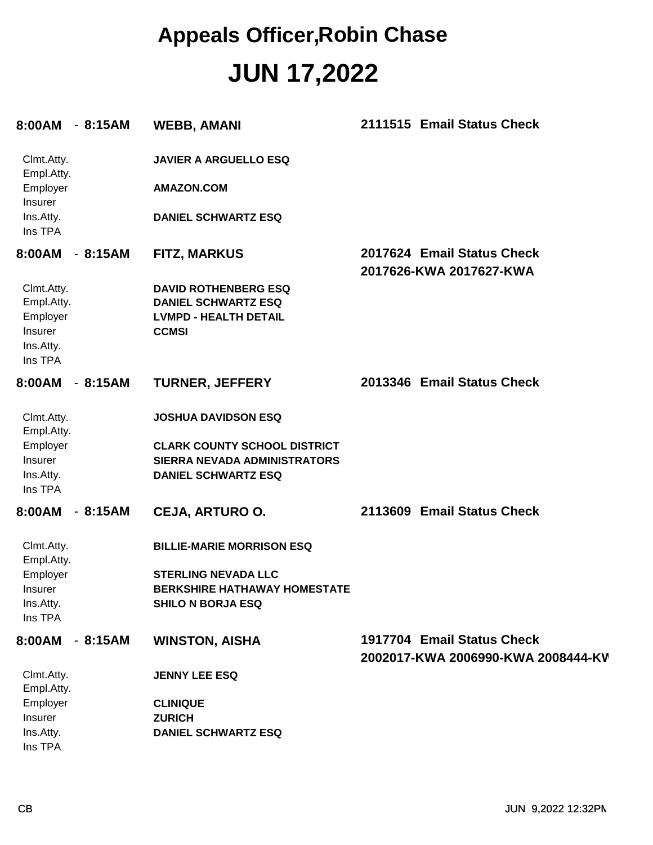### **JUN 17,2022 Appeals Officer,Robin Chase**

| 8:00AM - 8:15AM                                                         |           | <b>WEBB, AMANI</b>                                                                                        | 2111515 Email Status Check                                       |
|-------------------------------------------------------------------------|-----------|-----------------------------------------------------------------------------------------------------------|------------------------------------------------------------------|
| Clmt.Atty.<br>Empl.Atty.                                                |           | <b>JAVIER A ARGUELLO ESQ</b>                                                                              |                                                                  |
| Employer<br>Insurer                                                     |           | <b>AMAZON.COM</b>                                                                                         |                                                                  |
| Ins.Atty.<br>Ins TPA                                                    |           | <b>DANIEL SCHWARTZ ESQ</b>                                                                                |                                                                  |
| 8:00AM<br>$\sim$                                                        | 8:15AM    | <b>FITZ, MARKUS</b>                                                                                       | 2017624 Email Status Check<br>2017626-KWA 2017627-KWA            |
| Clmt.Atty.<br>Empl.Atty.<br>Employer<br>Insurer<br>Ins.Atty.<br>Ins TPA |           | <b>DAVID ROTHENBERG ESQ</b><br><b>DANIEL SCHWARTZ ESQ</b><br><b>LVMPD - HEALTH DETAIL</b><br><b>CCMSI</b> |                                                                  |
| 8:00AM<br>$\sim$                                                        | 8:15AM    | <b>TURNER, JEFFERY</b>                                                                                    | 2013346 Email Status Check                                       |
| Clmt.Atty.<br>Empl.Atty.                                                |           | <b>JOSHUA DAVIDSON ESQ</b>                                                                                |                                                                  |
| Employer<br>Insurer                                                     |           | <b>CLARK COUNTY SCHOOL DISTRICT</b><br>SIERRA NEVADA ADMINISTRATORS                                       |                                                                  |
| Ins.Atty.<br>Ins TPA                                                    |           | <b>DANIEL SCHWARTZ ESQ</b>                                                                                |                                                                  |
| 8:00AM                                                                  | $-8:15AM$ | <b>CEJA, ARTURO O.</b>                                                                                    | 2113609 Email Status Check                                       |
| Clmt.Atty.<br>Empl.Atty.                                                |           | <b>BILLIE-MARIE MORRISON ESQ</b>                                                                          |                                                                  |
| Employer<br>Insurer                                                     |           | <b>STERLING NEVADA LLC</b><br><b>BERKSHIRE HATHAWAY HOMESTATE</b>                                         |                                                                  |
| Ins.Atty.<br>Ins TPA                                                    |           | <b>SHILO N BORJA ESQ</b>                                                                                  |                                                                  |
| 8:00AM - 8:15AM                                                         |           | <b>WINSTON, AISHA</b>                                                                                     | 1917704 Email Status Check<br>2002017-KWA 2006990-KWA 2008444-KV |
| Clmt.Atty.<br>Empl.Atty.                                                |           | <b>JENNY LEE ESQ</b>                                                                                      |                                                                  |
| Employer                                                                |           | <b>CLINIQUE</b>                                                                                           |                                                                  |
| Insurer                                                                 |           | <b>ZURICH</b>                                                                                             |                                                                  |
| Ins.Atty.<br>Ins TPA                                                    |           | <b>DANIEL SCHWARTZ ESQ</b>                                                                                |                                                                  |